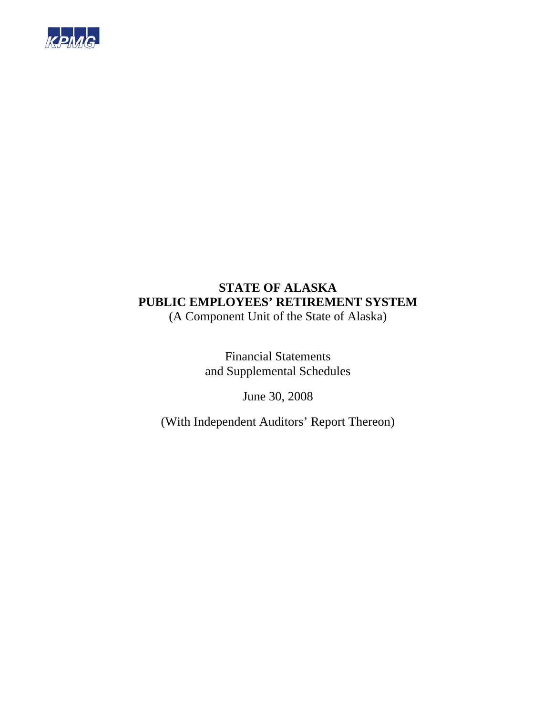

### **STATE OF ALASKA PUBLIC EMPLOYEES' RETIREMENT SYSTEM**  (A Component Unit of the State of Alaska)

Financial Statements and Supplemental Schedules

June 30, 2008

(With Independent Auditors' Report Thereon)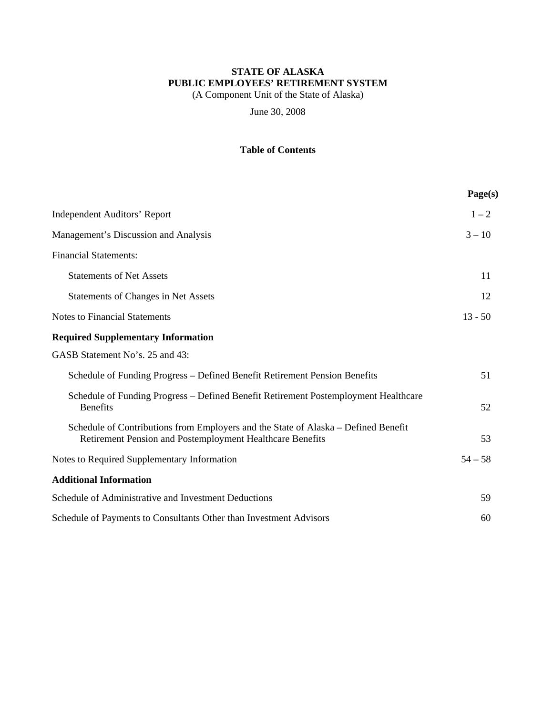(A Component Unit of the State of Alaska)

June 30, 2008

### **Table of Contents**

|                                                                                                                                                 | Page(s)   |
|-------------------------------------------------------------------------------------------------------------------------------------------------|-----------|
| <b>Independent Auditors' Report</b>                                                                                                             | $1 - 2$   |
| Management's Discussion and Analysis                                                                                                            | $3 - 10$  |
| <b>Financial Statements:</b>                                                                                                                    |           |
| <b>Statements of Net Assets</b>                                                                                                                 | 11        |
| <b>Statements of Changes in Net Assets</b>                                                                                                      | 12        |
| <b>Notes to Financial Statements</b>                                                                                                            | $13 - 50$ |
| <b>Required Supplementary Information</b>                                                                                                       |           |
| GASB Statement No's. 25 and 43:                                                                                                                 |           |
| Schedule of Funding Progress – Defined Benefit Retirement Pension Benefits                                                                      | 51        |
| Schedule of Funding Progress - Defined Benefit Retirement Postemployment Healthcare<br><b>Benefits</b>                                          | 52        |
| Schedule of Contributions from Employers and the State of Alaska – Defined Benefit<br>Retirement Pension and Postemployment Healthcare Benefits | 53        |
| Notes to Required Supplementary Information                                                                                                     | $54 - 58$ |
| <b>Additional Information</b>                                                                                                                   |           |
| Schedule of Administrative and Investment Deductions                                                                                            | 59        |
| Schedule of Payments to Consultants Other than Investment Advisors                                                                              | 60        |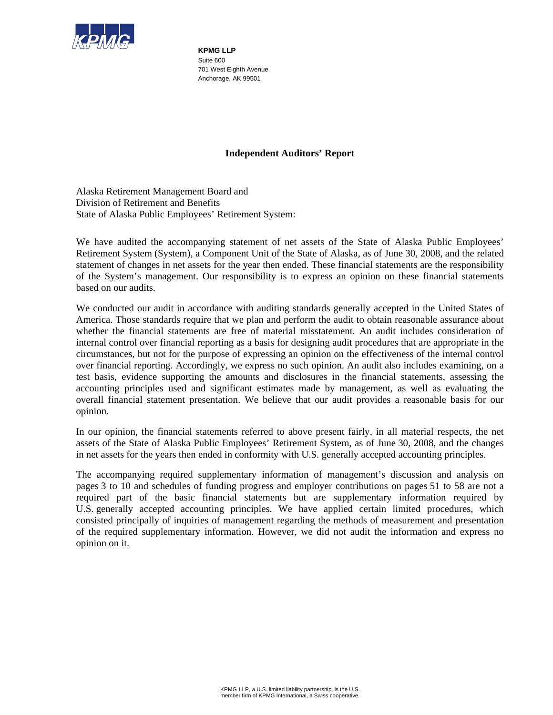

**KPMG LLP**  Suite 600 701 West Eighth Avenue Anchorage, AK 99501

#### **Independent Auditors' Report**

Alaska Retirement Management Board and Division of Retirement and Benefits State of Alaska Public Employees' Retirement System:

We have audited the accompanying statement of net assets of the State of Alaska Public Employees' Retirement System (System), a Component Unit of the State of Alaska, as of June 30, 2008, and the related statement of changes in net assets for the year then ended. These financial statements are the responsibility of the System's management. Our responsibility is to express an opinion on these financial statements based on our audits.

We conducted our audit in accordance with auditing standards generally accepted in the United States of America. Those standards require that we plan and perform the audit to obtain reasonable assurance about whether the financial statements are free of material misstatement. An audit includes consideration of internal control over financial reporting as a basis for designing audit procedures that are appropriate in the circumstances, but not for the purpose of expressing an opinion on the effectiveness of the internal control over financial reporting. Accordingly, we express no such opinion. An audit also includes examining, on a test basis, evidence supporting the amounts and disclosures in the financial statements, assessing the accounting principles used and significant estimates made by management, as well as evaluating the overall financial statement presentation. We believe that our audit provides a reasonable basis for our opinion.

In our opinion, the financial statements referred to above present fairly, in all material respects, the net assets of the State of Alaska Public Employees' Retirement System, as of June 30, 2008, and the changes in net assets for the years then ended in conformity with U.S. generally accepted accounting principles.

The accompanying required supplementary information of management's discussion and analysis on pages 3 to 10 and schedules of funding progress and employer contributions on pages 51 to 58 are not a required part of the basic financial statements but are supplementary information required by U.S. generally accepted accounting principles. We have applied certain limited procedures, which consisted principally of inquiries of management regarding the methods of measurement and presentation of the required supplementary information. However, we did not audit the information and express no opinion on it.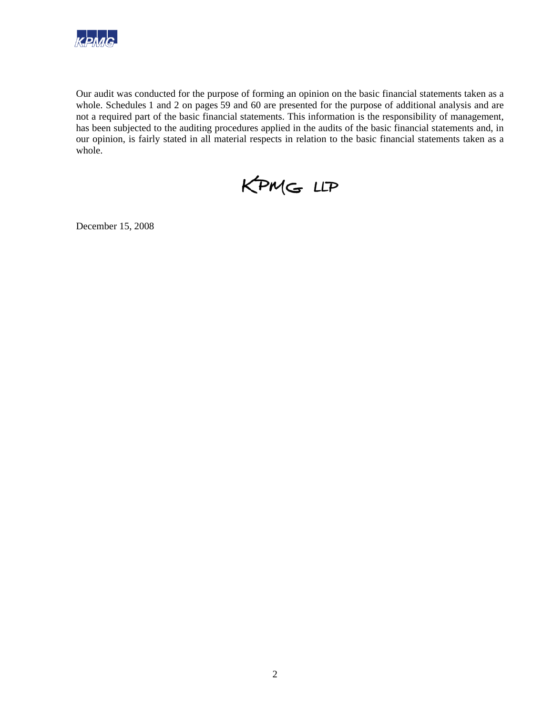

Our audit was conducted for the purpose of forming an opinion on the basic financial statements taken as a whole. Schedules 1 and 2 on pages 59 and 60 are presented for the purpose of additional analysis and are not a required part of the basic financial statements. This information is the responsibility of management, has been subjected to the auditing procedures applied in the audits of the basic financial statements and, in our opinion, is fairly stated in all material respects in relation to the basic financial statements taken as a whole.

KPMG LLP

December 15, 2008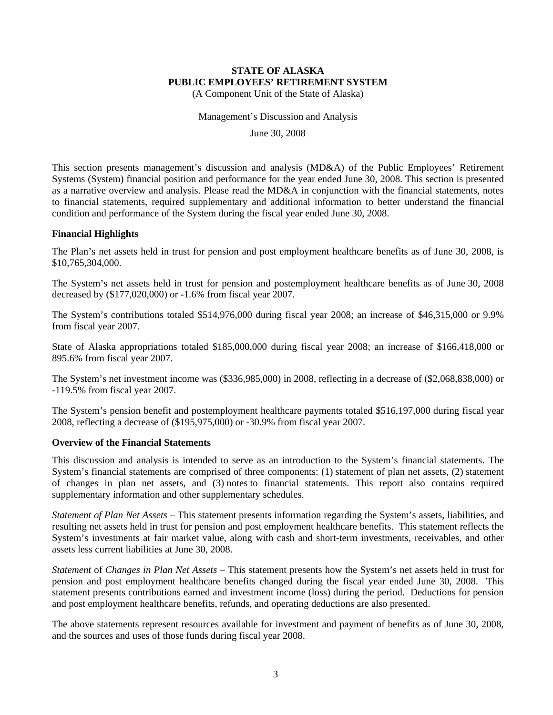(A Component Unit of the State of Alaska)

Management's Discussion and Analysis

June 30, 2008

This section presents management's discussion and analysis (MD&A) of the Public Employees' Retirement Systems (System) financial position and performance for the year ended June 30, 2008. This section is presented as a narrative overview and analysis. Please read the MD&A in conjunction with the financial statements, notes to financial statements, required supplementary and additional information to better understand the financial condition and performance of the System during the fiscal year ended June 30, 2008.

#### **Financial Highlights**

The Plan's net assets held in trust for pension and post employment healthcare benefits as of June 30, 2008, is \$10,765,304,000.

The System's net assets held in trust for pension and postemployment healthcare benefits as of June 30, 2008 decreased by (\$177,020,000) or -1.6% from fiscal year 2007.

The System's contributions totaled \$514,976,000 during fiscal year 2008; an increase of \$46,315,000 or 9.9% from fiscal year 2007.

State of Alaska appropriations totaled \$185,000,000 during fiscal year 2008; an increase of \$166,418,000 or 895.6% from fiscal year 2007.

The System's net investment income was (\$336,985,000) in 2008, reflecting in a decrease of (\$2,068,838,000) or -119.5% from fiscal year 2007.

The System's pension benefit and postemployment healthcare payments totaled \$516,197,000 during fiscal year 2008, reflecting a decrease of (\$195,975,000) or -30.9% from fiscal year 2007.

#### **Overview of the Financial Statements**

This discussion and analysis is intended to serve as an introduction to the System's financial statements. The System's financial statements are comprised of three components: (1) statement of plan net assets, (2) statement of changes in plan net assets, and (3) notes to financial statements. This report also contains required supplementary information and other supplementary schedules.

*Statement of Plan Net Assets* – This statement presents information regarding the System's assets, liabilities, and resulting net assets held in trust for pension and post employment healthcare benefits. This statement reflects the System's investments at fair market value, along with cash and short-term investments, receivables, and other assets less current liabilities at June 30, 2008.

*Statement* of *Changes in Plan Net Assets* – This statement presents how the System's net assets held in trust for pension and post employment healthcare benefits changed during the fiscal year ended June 30, 2008. This statement presents contributions earned and investment income (loss) during the period. Deductions for pension and post employment healthcare benefits, refunds, and operating deductions are also presented.

The above statements represent resources available for investment and payment of benefits as of June 30, 2008, and the sources and uses of those funds during fiscal year 2008.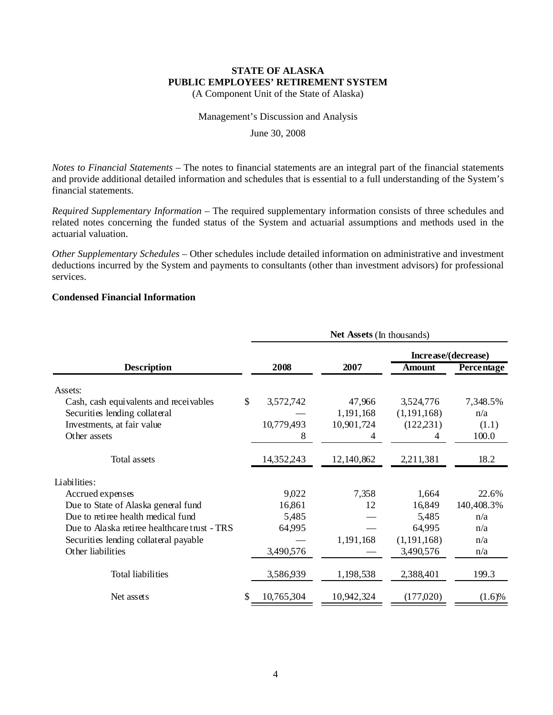(A Component Unit of the State of Alaska)

#### Management's Discussion and Analysis

June 30, 2008

*Notes to Financial Statements* – The notes to financial statements are an integral part of the financial statements and provide additional detailed information and schedules that is essential to a full understanding of the System's financial statements.

*Required Supplementary Information* – The required supplementary information consists of three schedules and related notes concerning the funded status of the System and actuarial assumptions and methods used in the actuarial valuation.

*Other Supplementary Schedules* – Other schedules include detailed information on administrative and investment deductions incurred by the System and payments to consultants (other than investment advisors) for professional services.

#### **Condensed Financial Information**

|                                              | Net Assets (In thousands) |            |                     |                   |  |  |  |  |
|----------------------------------------------|---------------------------|------------|---------------------|-------------------|--|--|--|--|
|                                              |                           |            | Increase/(decrease) |                   |  |  |  |  |
| <b>Description</b>                           | 2008                      | 2007       | Amount              | <b>Percentage</b> |  |  |  |  |
| Assets:                                      |                           |            |                     |                   |  |  |  |  |
| Cash, cash equivalents and receivables       | \$<br>3,572,742           | 47,966     | 3,524,776           | 7,348.5%          |  |  |  |  |
| Securities lending collateral                |                           | 1,191,168  | (1, 191, 168)       | n/a               |  |  |  |  |
| Investments, at fair value                   | 10,779,493                | 10,901,724 | (122, 231)          | (1.1)             |  |  |  |  |
| Other assets                                 | 8                         | 4          | 4                   | 100.0             |  |  |  |  |
| Total assets                                 | 14,352,243                | 12,140,862 | 2,211,381           | 18.2              |  |  |  |  |
| Liabilities:                                 |                           |            |                     |                   |  |  |  |  |
| Accrued expenses                             | 9,022                     | 7,358      | 1,664               | 22.6%             |  |  |  |  |
| Due to State of Alaska general fund          | 16,861                    | 12         | 16,849              | 140,408.3%        |  |  |  |  |
| Due to retiree health medical fund           | 5,485                     |            | 5,485               | n/a               |  |  |  |  |
| Due to Alaska retiree healthcare trust - TRS | 64,995                    |            | 64,995              | n/a               |  |  |  |  |
| Securities lending collateral payable        |                           | 1,191,168  | (1, 191, 168)       | n/a               |  |  |  |  |
| Other liabilities                            | 3,490,576                 |            | 3,490,576           | n/a               |  |  |  |  |
| <b>Total liabilities</b>                     | 3,586,939                 | 1,198,538  | 2,388,401           | 199.3             |  |  |  |  |
| Net assets                                   | \$<br>10,765,304          | 10,942,324 | (177,020)           | (1.6)%            |  |  |  |  |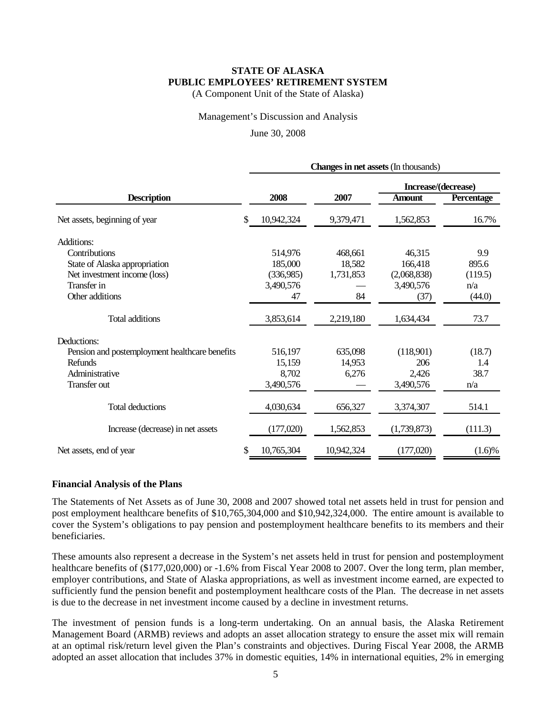(A Component Unit of the State of Alaska)

Management's Discussion and Analysis

June 30, 2008

|                                                | <b>Changes in net assets (In thousands)</b> |            |                     |                   |  |  |  |  |
|------------------------------------------------|---------------------------------------------|------------|---------------------|-------------------|--|--|--|--|
|                                                |                                             |            | Increase/(decrease) |                   |  |  |  |  |
| <b>Description</b>                             | 2008                                        | 2007       | <b>Amount</b>       | <b>Percentage</b> |  |  |  |  |
| Net assets, beginning of year                  | \$<br>10,942,324                            | 9,379,471  | 1,562,853           | 16.7%             |  |  |  |  |
| Additions:                                     |                                             |            |                     |                   |  |  |  |  |
| Contributions                                  | 514,976                                     | 468,661    | 46,315              | 9.9               |  |  |  |  |
| State of Alaska appropriation                  | 185,000                                     | 18,582     | 166,418             | 895.6             |  |  |  |  |
| Net investment income (loss)                   | (336,985)                                   | 1,731,853  | (2,068,838)         | (119.5)           |  |  |  |  |
| Transfer in                                    | 3,490,576                                   |            | 3,490,576           | n/a               |  |  |  |  |
| Other additions                                | 47                                          | 84         | (37)                | (44.0)            |  |  |  |  |
| Total additions                                | 3,853,614                                   | 2,219,180  | 1,634,434           | 73.7              |  |  |  |  |
| Deductions:                                    |                                             |            |                     |                   |  |  |  |  |
| Pension and postemployment healthcare benefits | 516,197                                     | 635,098    | (118,901)           | (18.7)            |  |  |  |  |
| Refunds                                        | 15,159                                      | 14,953     | 206                 | 1.4               |  |  |  |  |
| Administrative                                 | 8,702                                       | 6,276      | 2,426               | 38.7              |  |  |  |  |
| Transfer out                                   | 3,490,576                                   |            | 3,490,576           | n/a               |  |  |  |  |
| Total deductions                               | 4,030,634                                   | 656,327    | 3,374,307           | 514.1             |  |  |  |  |
| Increase (decrease) in net assets              | (177,020)                                   | 1,562,853  | (1,739,873)         | (111.3)           |  |  |  |  |
| Net assets, end of year                        | \$<br>10,765,304                            | 10,942,324 | (177,020)           | $(1.6)\%$         |  |  |  |  |

#### **Financial Analysis of the Plans**

The Statements of Net Assets as of June 30, 2008 and 2007 showed total net assets held in trust for pension and post employment healthcare benefits of \$10,765,304,000 and \$10,942,324,000. The entire amount is available to cover the System's obligations to pay pension and postemployment healthcare benefits to its members and their beneficiaries.

These amounts also represent a decrease in the System's net assets held in trust for pension and postemployment healthcare benefits of (\$177,020,000) or -1.6% from Fiscal Year 2008 to 2007. Over the long term, plan member, employer contributions, and State of Alaska appropriations, as well as investment income earned, are expected to sufficiently fund the pension benefit and postemployment healthcare costs of the Plan. The decrease in net assets is due to the decrease in net investment income caused by a decline in investment returns.

The investment of pension funds is a long-term undertaking. On an annual basis, the Alaska Retirement Management Board (ARMB) reviews and adopts an asset allocation strategy to ensure the asset mix will remain at an optimal risk/return level given the Plan's constraints and objectives. During Fiscal Year 2008, the ARMB adopted an asset allocation that includes 37% in domestic equities, 14% in international equities, 2% in emerging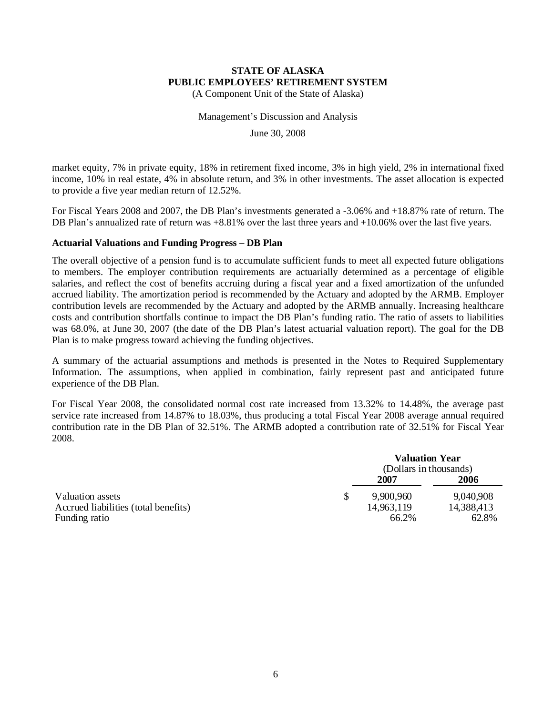(A Component Unit of the State of Alaska)

Management's Discussion and Analysis

June 30, 2008

market equity, 7% in private equity, 18% in retirement fixed income, 3% in high yield, 2% in international fixed income, 10% in real estate, 4% in absolute return, and 3% in other investments. The asset allocation is expected to provide a five year median return of 12.52%.

For Fiscal Years 2008 and 2007, the DB Plan's investments generated a -3.06% and +18.87% rate of return. The DB Plan's annualized rate of return was +8.81% over the last three years and +10.06% over the last five years.

#### **Actuarial Valuations and Funding Progress – DB Plan**

The overall objective of a pension fund is to accumulate sufficient funds to meet all expected future obligations to members. The employer contribution requirements are actuarially determined as a percentage of eligible salaries, and reflect the cost of benefits accruing during a fiscal year and a fixed amortization of the unfunded accrued liability. The amortization period is recommended by the Actuary and adopted by the ARMB. Employer contribution levels are recommended by the Actuary and adopted by the ARMB annually. Increasing healthcare costs and contribution shortfalls continue to impact the DB Plan's funding ratio. The ratio of assets to liabilities was 68.0%, at June 30, 2007 (the date of the DB Plan's latest actuarial valuation report). The goal for the DB Plan is to make progress toward achieving the funding objectives.

A summary of the actuarial assumptions and methods is presented in the Notes to Required Supplementary Information. The assumptions, when applied in combination, fairly represent past and anticipated future experience of the DB Plan.

For Fiscal Year 2008, the consolidated normal cost rate increased from 13.32% to 14.48%, the average past service rate increased from 14.87% to 18.03%, thus producing a total Fiscal Year 2008 average annual required contribution rate in the DB Plan of 32.51%. The ARMB adopted a contribution rate of 32.51% for Fiscal Year 2008.

|                                      | <b>Valuation Year</b><br>(Dollars in thousands) |            |
|--------------------------------------|-------------------------------------------------|------------|
|                                      | 2007                                            | 2006       |
| Valuation assets                     | 9,900,960                                       | 9,040,908  |
| Accrued liabilities (total benefits) | 14,963,119                                      | 14,388,413 |
| Funding ratio                        | 66.2%                                           | 62.8%      |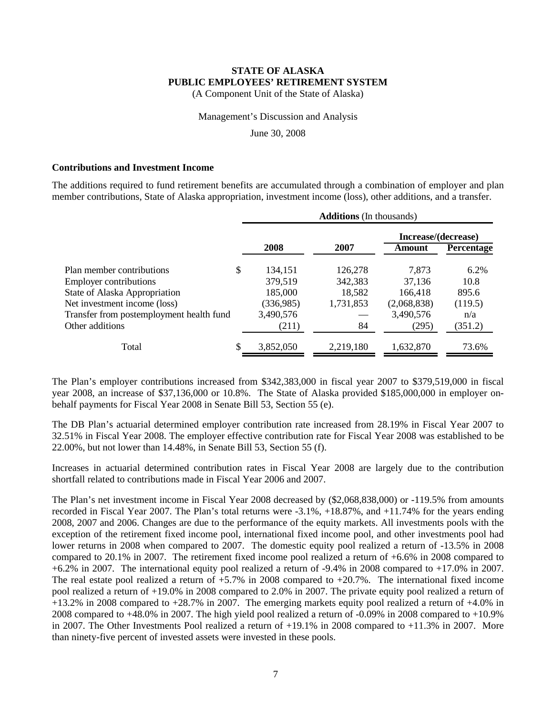(A Component Unit of the State of Alaska)

#### Management's Discussion and Analysis

June 30, 2008

#### **Contributions and Investment Income**

The additions required to fund retirement benefits are accumulated through a combination of employer and plan member contributions, State of Alaska appropriation, investment income (loss), other additions, and a transfer.

|                                          | <b>Additions</b> (In thousands) |           |                     |                   |  |  |  |  |  |  |
|------------------------------------------|---------------------------------|-----------|---------------------|-------------------|--|--|--|--|--|--|
|                                          |                                 |           | Increase/(decrease) |                   |  |  |  |  |  |  |
|                                          | 2008                            | 2007      | Amount              | <b>Percentage</b> |  |  |  |  |  |  |
| Plan member contributions                | \$<br>134,151                   | 126,278   | 7,873               | 6.2%              |  |  |  |  |  |  |
| <b>Employer contributions</b>            | 379,519                         | 342,383   | 37,136              | 10.8              |  |  |  |  |  |  |
| State of Alaska Appropriation            | 185,000                         | 18,582    | 166.418             | 895.6             |  |  |  |  |  |  |
| Net investment income (loss)             | (336,985)                       | 1,731,853 | (2,068,838)         | (119.5)           |  |  |  |  |  |  |
| Transfer from postemployment health fund | 3,490,576                       |           | 3,490,576           | n/a               |  |  |  |  |  |  |
| Other additions                          | (211)                           | 84        | (295)               | (351.2)           |  |  |  |  |  |  |
| Total                                    | \$<br>3,852,050                 | 2,219,180 | 1,632,870           | 73.6%             |  |  |  |  |  |  |

The Plan's employer contributions increased from \$342,383,000 in fiscal year 2007 to \$379,519,000 in fiscal year 2008, an increase of \$37,136,000 or 10.8%. The State of Alaska provided \$185,000,000 in employer onbehalf payments for Fiscal Year 2008 in Senate Bill 53, Section 55 (e).

The DB Plan's actuarial determined employer contribution rate increased from 28.19% in Fiscal Year 2007 to 32.51% in Fiscal Year 2008. The employer effective contribution rate for Fiscal Year 2008 was established to be 22.00%, but not lower than 14.48%, in Senate Bill 53, Section 55 (f).

Increases in actuarial determined contribution rates in Fiscal Year 2008 are largely due to the contribution shortfall related to contributions made in Fiscal Year 2006 and 2007.

The Plan's net investment income in Fiscal Year 2008 decreased by (\$2,068,838,000) or -119.5% from amounts recorded in Fiscal Year 2007. The Plan's total returns were -3.1%, +18.87%, and +11.74% for the years ending 2008, 2007 and 2006. Changes are due to the performance of the equity markets. All investments pools with the exception of the retirement fixed income pool, international fixed income pool, and other investments pool had lower returns in 2008 when compared to 2007. The domestic equity pool realized a return of -13.5% in 2008 compared to 20.1% in 2007. The retirement fixed income pool realized a return of +6.6% in 2008 compared to +6.2% in 2007. The international equity pool realized a return of -9.4% in 2008 compared to +17.0% in 2007. The real estate pool realized a return of  $+5.7\%$  in 2008 compared to  $+20.7\%$ . The international fixed income pool realized a return of +19.0% in 2008 compared to 2.0% in 2007. The private equity pool realized a return of +13.2% in 2008 compared to +28.7% in 2007. The emerging markets equity pool realized a return of +4.0% in 2008 compared to +48.0% in 2007. The high yield pool realized a return of -0.09% in 2008 compared to +10.9% in 2007. The Other Investments Pool realized a return of +19.1% in 2008 compared to +11.3% in 2007. More than ninety-five percent of invested assets were invested in these pools.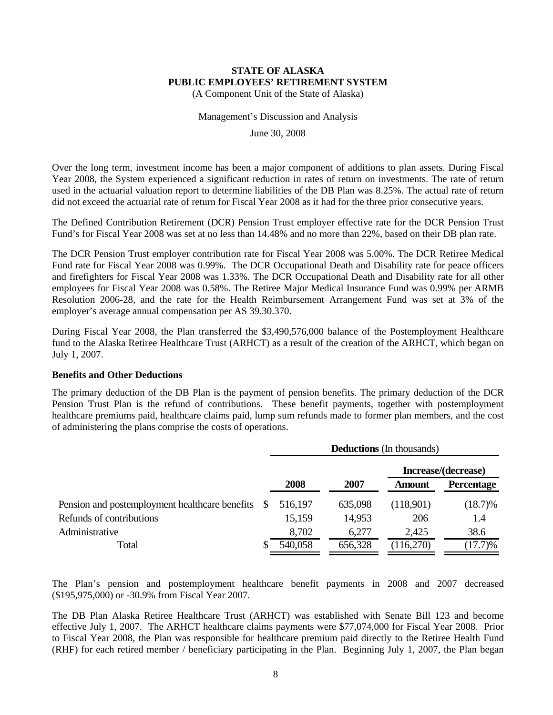(A Component Unit of the State of Alaska)

#### Management's Discussion and Analysis

June 30, 2008

Over the long term, investment income has been a major component of additions to plan assets. During Fiscal Year 2008, the System experienced a significant reduction in rates of return on investments. The rate of return used in the actuarial valuation report to determine liabilities of the DB Plan was 8.25%. The actual rate of return did not exceed the actuarial rate of return for Fiscal Year 2008 as it had for the three prior consecutive years.

The Defined Contribution Retirement (DCR) Pension Trust employer effective rate for the DCR Pension Trust Fund's for Fiscal Year 2008 was set at no less than 14.48% and no more than 22%, based on their DB plan rate.

The DCR Pension Trust employer contribution rate for Fiscal Year 2008 was 5.00%. The DCR Retiree Medical Fund rate for Fiscal Year 2008 was 0.99%. The DCR Occupational Death and Disability rate for peace officers and firefighters for Fiscal Year 2008 was 1.33%. The DCR Occupational Death and Disability rate for all other employees for Fiscal Year 2008 was 0.58%. The Retiree Major Medical Insurance Fund was 0.99% per ARMB Resolution 2006-28, and the rate for the Health Reimbursement Arrangement Fund was set at 3% of the employer's average annual compensation per AS 39.30.370.

During Fiscal Year 2008, the Plan transferred the \$3,490,576,000 balance of the Postemployment Healthcare fund to the Alaska Retiree Healthcare Trust (ARHCT) as a result of the creation of the ARHCT, which began on July 1, 2007.

#### **Benefits and Other Deductions**

The primary deduction of the DB Plan is the payment of pension benefits. The primary deduction of the DCR Pension Trust Plan is the refund of contributions. These benefit payments, together with postemployment healthcare premiums paid, healthcare claims paid, lump sum refunds made to former plan members, and the cost of administering the plans comprise the costs of operations.

|                                                |    | <b>Deductions</b> (In thousands) |         |                     |                   |  |  |  |  |  |
|------------------------------------------------|----|----------------------------------|---------|---------------------|-------------------|--|--|--|--|--|
|                                                |    |                                  |         | Increase/(decrease) |                   |  |  |  |  |  |
|                                                |    | 2008                             | 2007    | Amount              | <b>Percentage</b> |  |  |  |  |  |
| Pension and postemployment healthcare benefits | -S | 516,197                          | 635,098 | (118,901)           | $(18.7)\%$        |  |  |  |  |  |
| Refunds of contributions                       |    | 15,159                           | 14,953  | 206                 | 1.4               |  |  |  |  |  |
| Administrative                                 |    | 8,702                            | 6,277   | 2,425               | 38.6              |  |  |  |  |  |
| Total                                          |    | 540,058                          | 656,328 | (116,270)           | (17.7)%           |  |  |  |  |  |

The Plan's pension and postemployment healthcare benefit payments in 2008 and 2007 decreased (\$195,975,000) or -30.9% from Fiscal Year 2007.

The DB Plan Alaska Retiree Healthcare Trust (ARHCT) was established with Senate Bill 123 and become effective July 1, 2007. The ARHCT healthcare claims payments were \$77,074,000 for Fiscal Year 2008. Prior to Fiscal Year 2008, the Plan was responsible for healthcare premium paid directly to the Retiree Health Fund (RHF) for each retired member / beneficiary participating in the Plan. Beginning July 1, 2007, the Plan began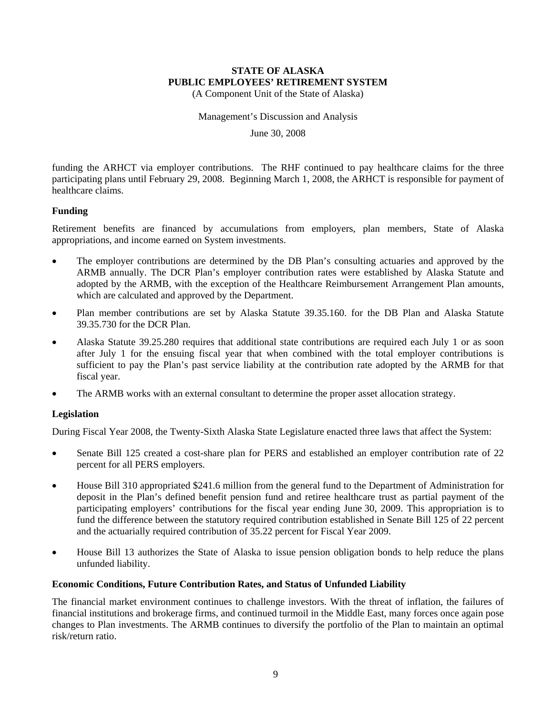(A Component Unit of the State of Alaska)

Management's Discussion and Analysis

June 30, 2008

funding the ARHCT via employer contributions. The RHF continued to pay healthcare claims for the three participating plans until February 29, 2008. Beginning March 1, 2008, the ARHCT is responsible for payment of healthcare claims.

#### **Funding**

Retirement benefits are financed by accumulations from employers, plan members, State of Alaska appropriations, and income earned on System investments.

- The employer contributions are determined by the DB Plan's consulting actuaries and approved by the ARMB annually. The DCR Plan's employer contribution rates were established by Alaska Statute and adopted by the ARMB, with the exception of the Healthcare Reimbursement Arrangement Plan amounts, which are calculated and approved by the Department.
- Plan member contributions are set by Alaska Statute 39.35.160. for the DB Plan and Alaska Statute 39.35.730 for the DCR Plan.
- Alaska Statute 39.25.280 requires that additional state contributions are required each July 1 or as soon after July 1 for the ensuing fiscal year that when combined with the total employer contributions is sufficient to pay the Plan's past service liability at the contribution rate adopted by the ARMB for that fiscal year.
- The ARMB works with an external consultant to determine the proper asset allocation strategy.

#### **Legislation**

During Fiscal Year 2008, the Twenty-Sixth Alaska State Legislature enacted three laws that affect the System:

- Senate Bill 125 created a cost-share plan for PERS and established an employer contribution rate of 22 percent for all PERS employers.
- House Bill 310 appropriated \$241.6 million from the general fund to the Department of Administration for deposit in the Plan's defined benefit pension fund and retiree healthcare trust as partial payment of the participating employers' contributions for the fiscal year ending June 30, 2009. This appropriation is to fund the difference between the statutory required contribution established in Senate Bill 125 of 22 percent and the actuarially required contribution of 35.22 percent for Fiscal Year 2009.
- House Bill 13 authorizes the State of Alaska to issue pension obligation bonds to help reduce the plans unfunded liability.

#### **Economic Conditions, Future Contribution Rates, and Status of Unfunded Liability**

The financial market environment continues to challenge investors. With the threat of inflation, the failures of financial institutions and brokerage firms, and continued turmoil in the Middle East, many forces once again pose changes to Plan investments. The ARMB continues to diversify the portfolio of the Plan to maintain an optimal risk/return ratio.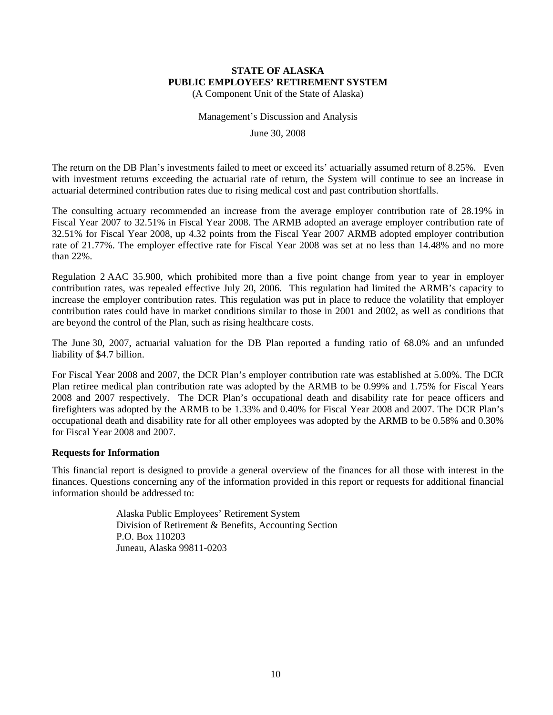(A Component Unit of the State of Alaska)

#### Management's Discussion and Analysis

June 30, 2008

The return on the DB Plan's investments failed to meet or exceed its' actuarially assumed return of 8.25%. Even with investment returns exceeding the actuarial rate of return, the System will continue to see an increase in actuarial determined contribution rates due to rising medical cost and past contribution shortfalls.

The consulting actuary recommended an increase from the average employer contribution rate of 28.19% in Fiscal Year 2007 to 32.51% in Fiscal Year 2008. The ARMB adopted an average employer contribution rate of 32.51% for Fiscal Year 2008, up 4.32 points from the Fiscal Year 2007 ARMB adopted employer contribution rate of 21.77%. The employer effective rate for Fiscal Year 2008 was set at no less than 14.48% and no more than 22%.

Regulation 2 AAC 35.900, which prohibited more than a five point change from year to year in employer contribution rates, was repealed effective July 20, 2006. This regulation had limited the ARMB's capacity to increase the employer contribution rates. This regulation was put in place to reduce the volatility that employer contribution rates could have in market conditions similar to those in 2001 and 2002, as well as conditions that are beyond the control of the Plan, such as rising healthcare costs.

The June 30, 2007, actuarial valuation for the DB Plan reported a funding ratio of 68.0% and an unfunded liability of \$4.7 billion.

For Fiscal Year 2008 and 2007, the DCR Plan's employer contribution rate was established at 5.00%. The DCR Plan retiree medical plan contribution rate was adopted by the ARMB to be 0.99% and 1.75% for Fiscal Years 2008 and 2007 respectively. The DCR Plan's occupational death and disability rate for peace officers and firefighters was adopted by the ARMB to be 1.33% and 0.40% for Fiscal Year 2008 and 2007. The DCR Plan's occupational death and disability rate for all other employees was adopted by the ARMB to be 0.58% and 0.30% for Fiscal Year 2008 and 2007.

#### **Requests for Information**

This financial report is designed to provide a general overview of the finances for all those with interest in the finances. Questions concerning any of the information provided in this report or requests for additional financial information should be addressed to:

> Alaska Public Employees' Retirement System Division of Retirement & Benefits, Accounting Section P.O. Box 110203 Juneau, Alaska 99811-0203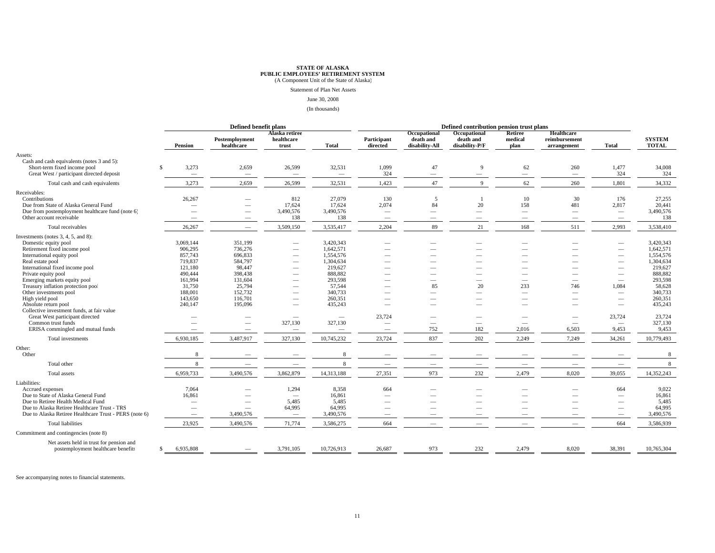# **STATE OF ALASKA<br><b>PUBLIC EMPLOYEES' RETIREMENT SYSTEM**<br>(A Component Unit of the State of Alaska)

Statement of Plan Net Assets

June 30, 2008

(In thousands)

|                                                                                                                                                                                                                                                                                                                                                                                                                                                                                                    |    |                                                                                                                        | Defined benefit plans                                                                                                                                                              |                                                                                                                                                                            |                                                                                                                                                                     |                                                                | Defined contribution pension trust plans                                         |                                                            |                                                                      |                                                                                                                              |                                                                                                                                                                                                                                           |                                                                                                                                                            |
|----------------------------------------------------------------------------------------------------------------------------------------------------------------------------------------------------------------------------------------------------------------------------------------------------------------------------------------------------------------------------------------------------------------------------------------------------------------------------------------------------|----|------------------------------------------------------------------------------------------------------------------------|------------------------------------------------------------------------------------------------------------------------------------------------------------------------------------|----------------------------------------------------------------------------------------------------------------------------------------------------------------------------|---------------------------------------------------------------------------------------------------------------------------------------------------------------------|----------------------------------------------------------------|----------------------------------------------------------------------------------|------------------------------------------------------------|----------------------------------------------------------------------|------------------------------------------------------------------------------------------------------------------------------|-------------------------------------------------------------------------------------------------------------------------------------------------------------------------------------------------------------------------------------------|------------------------------------------------------------------------------------------------------------------------------------------------------------|
|                                                                                                                                                                                                                                                                                                                                                                                                                                                                                                    |    | Pension                                                                                                                | Postemployment<br>healthcare                                                                                                                                                       | Alaska retiree<br>healthcare<br>trust                                                                                                                                      | <b>Total</b>                                                                                                                                                        | Participant<br>directed                                        | Occupational<br>death and<br>disability-All                                      | Occupational<br>death and<br>disability-P/F                | Retiree<br>medical<br>plan                                           | Healthcare<br>reimbursement<br>arrangement                                                                                   | <b>Total</b>                                                                                                                                                                                                                              | <b>SYSTEM</b><br><b>TOTAL</b>                                                                                                                              |
| Assets:                                                                                                                                                                                                                                                                                                                                                                                                                                                                                            |    |                                                                                                                        |                                                                                                                                                                                    |                                                                                                                                                                            |                                                                                                                                                                     |                                                                |                                                                                  |                                                            |                                                                      |                                                                                                                              |                                                                                                                                                                                                                                           |                                                                                                                                                            |
| Cash and cash equivalents (notes 3 and 5):<br>Short-term fixed income pool<br>Great West / participant directed deposit                                                                                                                                                                                                                                                                                                                                                                            | s  | 3,273<br>$\overline{\phantom{m}}$                                                                                      | 2,659<br>$\overline{\phantom{0}}$                                                                                                                                                  | 26,599<br>$\overline{\phantom{m}}$                                                                                                                                         | 32,531<br>$\overline{\phantom{m}}$                                                                                                                                  | 1,099<br>324                                                   | 47<br>$\overline{\phantom{m}}$                                                   | 9<br>$\overline{\phantom{m}}$                              | 62<br>$\equiv$                                                       | 260<br>$\overline{\phantom{m}}$                                                                                              | 1,477<br>324                                                                                                                                                                                                                              | 34,008<br>324                                                                                                                                              |
| Total cash and cash equivalents                                                                                                                                                                                                                                                                                                                                                                                                                                                                    |    | 3,273                                                                                                                  | 2,659                                                                                                                                                                              | 26,599                                                                                                                                                                     | 32,531                                                                                                                                                              | 1,423                                                          | 47                                                                               | $\mathbf Q$                                                | 62                                                                   | 260                                                                                                                          | 1,801                                                                                                                                                                                                                                     | 34,332                                                                                                                                                     |
| Receivables:<br>Contributions<br>Due from State of Alaska General Fund<br>Due from postemployment healthcare fund (note 6)<br>Other account receivable                                                                                                                                                                                                                                                                                                                                             |    | 26,267<br>$\overline{\phantom{0}}$<br>$\overline{\phantom{0}}$                                                         | $\overline{\phantom{0}}$<br>$\overline{\phantom{m}}$<br>$\overline{\phantom{m}}$<br>$\overline{\phantom{m}}$                                                                       | 812<br>17,624<br>3,490,576<br>138                                                                                                                                          | 27,079<br>17,624<br>3,490,576<br>138                                                                                                                                | 130<br>2.074<br>$\overline{\phantom{0}}$                       | 5<br>84<br>$\overline{\phantom{0}}$                                              | 20<br>$\overline{\phantom{m}}$<br>$\overline{\phantom{0}}$ | 10<br>158<br>$\overline{\phantom{0}}$<br>$\overline{\phantom{0}}$    | 30<br>481<br>$\overline{\phantom{m}}$<br>$\overline{\phantom{m}}$                                                            | 176<br>2,817<br>$\overline{\phantom{m}}$<br>$\overline{\phantom{m}}$                                                                                                                                                                      | 27,255<br>20,441<br>3,490,576<br>138                                                                                                                       |
| Total receivables                                                                                                                                                                                                                                                                                                                                                                                                                                                                                  |    | 26,267                                                                                                                 | $\overline{\phantom{m}}$                                                                                                                                                           | 3,509,150                                                                                                                                                                  | 3,535,417                                                                                                                                                           | 2,204                                                          | 89                                                                               | 21                                                         | 168                                                                  | 511                                                                                                                          | 2,993                                                                                                                                                                                                                                     | 3,538,410                                                                                                                                                  |
| Investments (notes $3, 4, 5,$ and $8$ ):<br>Domestic equity pool<br>Retirement fixed income pool<br>International equity pool<br>Real estate pool<br>International fixed income pool<br>Private equity pool<br>Emerging markets equity pool<br>Treasury inflation protection pool<br>Other investments pool<br>High yield pool<br>Absolute return pool<br>Collective investment funds, at fair value<br>Great West participant directed<br>Common trust funds<br>ERISA commingled and mutual funds |    | 3.069.144<br>906.295<br>857,743<br>719,837<br>121,180<br>490,444<br>161,994<br>31,750<br>188,001<br>143,650<br>240,147 | 351,199<br>736,276<br>696,833<br>584,797<br>98,447<br>398,438<br>131,604<br>25,794<br>152,732<br>116,701<br>195,096<br>$\hspace{0.1mm}-\hspace{0.1mm}$<br>$\overline{\phantom{a}}$ | $\overline{\phantom{0}}$<br>$\overline{\phantom{a}}$<br>$\overline{\phantom{0}}$<br>$\overline{\phantom{m}}$<br>--<br>$\frac{1}{2}$<br>$\overline{\phantom{m}}$<br>327,130 | 3,420,343<br>1,642,571<br>1,554,576<br>1,304,634<br>219,627<br>888,882<br>293,598<br>57,544<br>340,733<br>260,351<br>435,243<br>$\overline{\phantom{m}}$<br>327,130 | $\overline{\phantom{a}}$<br>23,724<br>$\overline{\phantom{0}}$ | $\sim$<br>85<br>$\overline{\phantom{0}}$<br>-<br>$\overline{\phantom{m}}$<br>752 | 20<br>$\overline{\phantom{a}}$<br>182                      | 233<br>$\overline{\phantom{0}}$<br>$\overline{\phantom{a}}$<br>2,016 | $\overline{\phantom{0}}$<br>$\overline{\phantom{0}}$<br>746<br>$\overline{\phantom{m}}$<br>$\overline{\phantom{a}}$<br>6,503 | $\sim$<br>$\overline{\phantom{0}}$<br>$\overline{\phantom{a}}$<br>$\overline{\phantom{m}}$<br>$\overline{\phantom{m}}$<br>$\hspace{0.05cm}$<br>1,084<br>$\overline{\phantom{a}}$<br>$\frac{1}{2}$<br>23,724<br>$\qquad \qquad -$<br>9,453 | 3.420.343<br>1,642,571<br>1,554,576<br>1,304,634<br>219,627<br>888,882<br>293,598<br>58,628<br>340,733<br>260,351<br>435,243<br>23,724<br>327,130<br>9,453 |
| Total investments<br>Other:                                                                                                                                                                                                                                                                                                                                                                                                                                                                        |    | 6,930,185                                                                                                              | 3,487,917                                                                                                                                                                          | 327,130                                                                                                                                                                    | 10,745,232                                                                                                                                                          | 23,724                                                         | 837                                                                              | 202                                                        | 2,249                                                                | 7,249                                                                                                                        | 34,261                                                                                                                                                                                                                                    | 10,779,493                                                                                                                                                 |
| Other                                                                                                                                                                                                                                                                                                                                                                                                                                                                                              |    | 8                                                                                                                      |                                                                                                                                                                                    |                                                                                                                                                                            | 8                                                                                                                                                                   |                                                                |                                                                                  |                                                            |                                                                      |                                                                                                                              |                                                                                                                                                                                                                                           | -8                                                                                                                                                         |
| Total other                                                                                                                                                                                                                                                                                                                                                                                                                                                                                        |    | 8                                                                                                                      | $\overline{\phantom{0}}$                                                                                                                                                           |                                                                                                                                                                            | 8                                                                                                                                                                   |                                                                |                                                                                  |                                                            |                                                                      |                                                                                                                              | $\overline{\phantom{a}}$                                                                                                                                                                                                                  | 8                                                                                                                                                          |
| Total assets                                                                                                                                                                                                                                                                                                                                                                                                                                                                                       |    | 6,959,733                                                                                                              | 3,490,576                                                                                                                                                                          | 3,862,879                                                                                                                                                                  | 14,313,188                                                                                                                                                          | 27,351                                                         | 973                                                                              | 232                                                        | 2,479                                                                | 8.020                                                                                                                        | 39,055                                                                                                                                                                                                                                    | 14,352,243                                                                                                                                                 |
| Liabilities:<br>Accrued expenses<br>Due to State of Alaska General Fund<br>Due to Retiree Health Medical Fund<br>Due to Alaska Retiree Healthcare Trust - TRS<br>Due to Alaska Retiree Healthcare Trust - PERS (note 6)                                                                                                                                                                                                                                                                            |    | 7.064<br>16.861<br>$\overline{\phantom{0}}$                                                                            | 3,490,576                                                                                                                                                                          | 1,294<br>$\overline{\phantom{a}}$<br>5,485<br>64,995<br>$\overline{\phantom{m}}$                                                                                           | 8,358<br>16,861<br>5,485<br>64,995<br>3,490,576                                                                                                                     | 664<br>$\overline{\phantom{a}}$<br>$\overline{\phantom{a}}$    |                                                                                  |                                                            |                                                                      |                                                                                                                              | 664<br>$\overline{\phantom{a}}$<br>$\overline{\phantom{0}}$<br>$\overline{\phantom{a}}$<br>$\overline{\phantom{0}}$                                                                                                                       | 9,022<br>16,861<br>5,485<br>64,995<br>3,490,576                                                                                                            |
| <b>Total liabilities</b>                                                                                                                                                                                                                                                                                                                                                                                                                                                                           |    | 23,925                                                                                                                 | 3,490,576                                                                                                                                                                          | 71,774                                                                                                                                                                     | 3,586,275                                                                                                                                                           | 664                                                            |                                                                                  |                                                            |                                                                      |                                                                                                                              | 664                                                                                                                                                                                                                                       | 3,586,939                                                                                                                                                  |
| Commitment and contingencies (note 8)                                                                                                                                                                                                                                                                                                                                                                                                                                                              |    |                                                                                                                        |                                                                                                                                                                                    |                                                                                                                                                                            |                                                                                                                                                                     |                                                                |                                                                                  |                                                            |                                                                      |                                                                                                                              |                                                                                                                                                                                                                                           |                                                                                                                                                            |
| Net assets held in trust for pension and<br>postemployment healthcare benefits                                                                                                                                                                                                                                                                                                                                                                                                                     | S. | 6,935,808                                                                                                              |                                                                                                                                                                                    | 3,791,105                                                                                                                                                                  | 10,726,913                                                                                                                                                          | 26,687                                                         | 973                                                                              | 232                                                        | 2,479                                                                | 8,020                                                                                                                        | 38,391                                                                                                                                                                                                                                    | 10,765,304                                                                                                                                                 |

See accompanying notes to financial statements.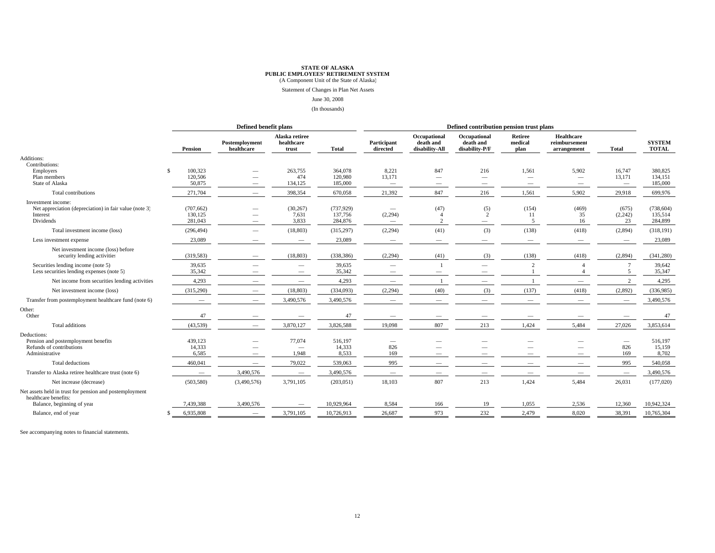# **STATE OF ALASKA<br><b>PUBLIC EMPLOYEES' RETIREMENT SYSTEM**<br>(A Component Unit of the State of Alaska)

Statement of Changes in Plan Net Assets

#### June 30, 2008

(In thousands)

|                                                                                                       |                                               | Defined benefit plans                                |                                                      |                                 | Defined contribution pension trust plans    |                                                             |                                                                    |                                                                      |                                            |                                              |                                  |
|-------------------------------------------------------------------------------------------------------|-----------------------------------------------|------------------------------------------------------|------------------------------------------------------|---------------------------------|---------------------------------------------|-------------------------------------------------------------|--------------------------------------------------------------------|----------------------------------------------------------------------|--------------------------------------------|----------------------------------------------|----------------------------------|
|                                                                                                       | Pension                                       | Postemployment<br>healthcare                         | Alaska retiree<br>healthcare<br>trust                | Total                           | Participant<br>directed                     | Occupational<br>death and<br>disability-All                 | Occupational<br>death and<br>disability-P/F                        | Retiree<br>medical<br>plan                                           | Healthcare<br>reimbursement<br>arrangement | Total                                        | <b>SYSTEM</b><br><b>TOTAL</b>    |
| Additions:                                                                                            |                                               |                                                      |                                                      |                                 |                                             |                                                             |                                                                    |                                                                      |                                            |                                              |                                  |
| Contributions:<br>Employers<br>Plan members<br>State of Alaska                                        | 100,323<br><sup>\$</sup><br>120,506<br>50,875 | $\overline{\phantom{a}}$<br>$\overline{\phantom{0}}$ | 263,755<br>474<br>134,125                            | 364,078<br>120,980<br>185,000   | 8,221<br>13,171<br>$\overline{\phantom{a}}$ | 847<br>$\overline{\phantom{a}}$<br>$\overline{\phantom{0}}$ | 216<br>$\overline{\phantom{m}}$<br>$\hspace{0.1mm}-\hspace{0.1mm}$ | 1,561<br>$\overline{\phantom{m}}$<br>$\hspace{0.1mm}-\hspace{0.1mm}$ | 5,902<br>$\overline{\phantom{0}}$          | 16,747<br>13,171<br>$\overline{\phantom{a}}$ | 380,825<br>134,151<br>185,000    |
| Total contributions                                                                                   | 271,704                                       | $\overline{\phantom{0}}$                             | 398,354                                              | 670,058                         | 21,392                                      | 847                                                         | 216                                                                | 1,561                                                                | 5,902                                      | 29,918                                       | 699,976                          |
| Investment income:<br>Net appreciation (depreciation) in fair value (note 3)<br>Interest<br>Dividends | (707, 662)<br>130,125<br>281,043              |                                                      | (30, 267)<br>7,631<br>3,833                          | (737,929)<br>137,756<br>284,876 | (2, 294)                                    | (47)<br>$\overline{2}$                                      | (5)<br>$\overline{2}$                                              | (154)<br>11<br>5                                                     | (469)<br>35<br>16                          | (675)<br>(2,242)<br>23                       | (738, 604)<br>135,514<br>284,899 |
| Total investment income (loss)                                                                        | (296, 494)                                    |                                                      | (18, 803)                                            | (315, 297)                      | (2,294)                                     | (41)                                                        | (3)                                                                | (138)                                                                | (418)                                      | (2,894)                                      | (318, 191)                       |
| Less investment expense                                                                               | 23,089                                        |                                                      | $\overline{\phantom{a}}$                             | 23,089                          | $\overline{\phantom{a}}$                    | $\overline{\phantom{m}}$                                    |                                                                    | $\overline{\phantom{m}}$                                             | $\overline{\phantom{0}}$                   |                                              | 23,089                           |
| Net investment income (loss) before<br>security lending activities                                    | (319, 583)                                    |                                                      | (18, 803)                                            | (338, 386)                      | (2, 294)                                    | (41)                                                        | (3)                                                                | (138)                                                                | (418)                                      | (2,894)                                      | (341, 280)                       |
| Securities lending income (note 5)<br>Less securities lending expenses (note 5)                       | 39,635<br>35,342                              |                                                      | $\overline{\phantom{0}}$<br>$\overline{\phantom{m}}$ | 39,635<br>35,342                | $\overline{\phantom{a}}$                    |                                                             | $\equiv$                                                           | $\mathcal{D}$                                                        |                                            | $\sim$                                       | 39,642<br>35,347                 |
| Net income from securities lending activities                                                         | 4,293                                         |                                                      | $\overline{\phantom{m}}$                             | 4,293                           | $\overline{\phantom{a}}$                    |                                                             | $\sim$                                                             |                                                                      | -                                          | $\mathcal{D}$                                | 4,295                            |
| Net investment income (loss)                                                                          | (315,290)                                     |                                                      | (18, 803)                                            | (334,093)                       | (2, 294)                                    | (40)                                                        | (3)                                                                | (137)                                                                | (418)                                      | (2,892)                                      | (336,985)                        |
| Transfer from postemployment healthcare fund (note 6)                                                 |                                               |                                                      | 3,490,576                                            | 3,490,576                       |                                             |                                                             |                                                                    |                                                                      | $\overline{\phantom{0}}$                   |                                              | 3,490,576                        |
| Other:<br>Other                                                                                       | 47                                            |                                                      | $\overline{\phantom{m}}$                             | 47                              |                                             |                                                             |                                                                    |                                                                      |                                            |                                              | 47                               |
| Total additions                                                                                       | (43,539)                                      | $\overline{\phantom{0}}$                             | 3,870,127                                            | 3,826,588                       | 19,098                                      | 807                                                         | 213                                                                | 1,424                                                                | 5,484                                      | 27,026                                       | 3,853,614                        |
| Deductions:<br>Pension and postemployment benefits<br>Refunds of contributions<br>Administrative      | 439,123<br>14,333<br>6,585                    | $\overline{\phantom{0}}$                             | 77,074<br>$\overline{\phantom{m}}$<br>1,948          | 516,197<br>14,333<br>8,533      | 826<br>169                                  |                                                             |                                                                    |                                                                      |                                            | $\overline{\phantom{a}}$<br>826<br>169       | 516,197<br>15,159<br>8,702       |
| Total deductions                                                                                      | 460,041                                       | $\overline{\phantom{a}}$                             | 79,022                                               | 539,063                         | 995                                         |                                                             |                                                                    |                                                                      |                                            | 995                                          | 540,058                          |
| Transfer to Alaska retiree healthcare trust (note 6)                                                  | $\overline{\phantom{m}}$                      | 3,490,576                                            | $\overline{\phantom{m}}$                             | 3,490,576                       | $\overline{\phantom{a}}$                    | $\overline{\phantom{0}}$                                    |                                                                    |                                                                      | $\overline{\phantom{0}}$                   | $\overline{\phantom{m}}$                     | 3,490,576                        |
| Net increase (decrease)                                                                               | (503, 580)                                    | (3,490,576)                                          | 3,791,105                                            | (203, 051)                      | 18,103                                      | 807                                                         | 213                                                                | 1,424                                                                | 5,484                                      | 26,031                                       | (177,020)                        |
| Net assets held in trust for pension and postemployment<br>healthcare benefits:                       |                                               |                                                      |                                                      |                                 |                                             |                                                             |                                                                    |                                                                      |                                            |                                              |                                  |
| Balance, beginning of year                                                                            | 7,439,388                                     | 3,490,576                                            |                                                      | 10,929,964                      | 8,584                                       | 166                                                         | 19                                                                 | 1,055                                                                | 2,536                                      | 12,360                                       | 10,942,324                       |
| Balance, end of year                                                                                  | 6,935,808                                     | $\overline{\phantom{0}}$                             | 3,791,105                                            | 10,726,913                      | 26,687                                      | 973                                                         | 232                                                                | 2,479                                                                | 8,020                                      | 38,391                                       | 10,765,304                       |

See accompanying notes to financial statements.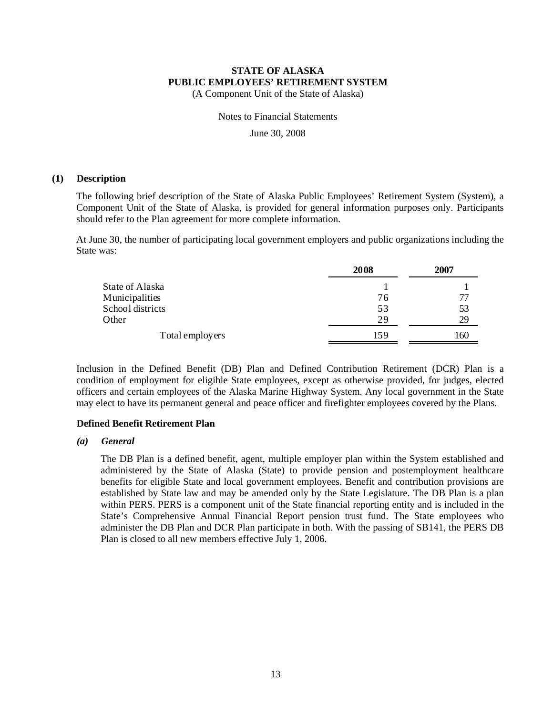(A Component Unit of the State of Alaska)

Notes to Financial Statements

June 30, 2008

#### **(1) Description**

The following brief description of the State of Alaska Public Employees' Retirement System (System), a Component Unit of the State of Alaska, is provided for general information purposes only. Participants should refer to the Plan agreement for more complete information.

At June 30, the number of participating local government employers and public organizations including the State was:

|                  | 2008 | 2007 |
|------------------|------|------|
| State of Alaska  |      |      |
| Municipalities   | 76   | 77   |
| School districts | 53   | 53   |
| Other            | 29   | 29   |
| Total employers  | 159  | 160  |

Inclusion in the Defined Benefit (DB) Plan and Defined Contribution Retirement (DCR) Plan is a condition of employment for eligible State employees, except as otherwise provided, for judges, elected officers and certain employees of the Alaska Marine Highway System. Any local government in the State may elect to have its permanent general and peace officer and firefighter employees covered by the Plans.

#### **Defined Benefit Retirement Plan**

#### *(a) General*

The DB Plan is a defined benefit, agent, multiple employer plan within the System established and administered by the State of Alaska (State) to provide pension and postemployment healthcare benefits for eligible State and local government employees. Benefit and contribution provisions are established by State law and may be amended only by the State Legislature. The DB Plan is a plan within PERS. PERS is a component unit of the State financial reporting entity and is included in the State's Comprehensive Annual Financial Report pension trust fund. The State employees who administer the DB Plan and DCR Plan participate in both. With the passing of SB141, the PERS DB Plan is closed to all new members effective July 1, 2006.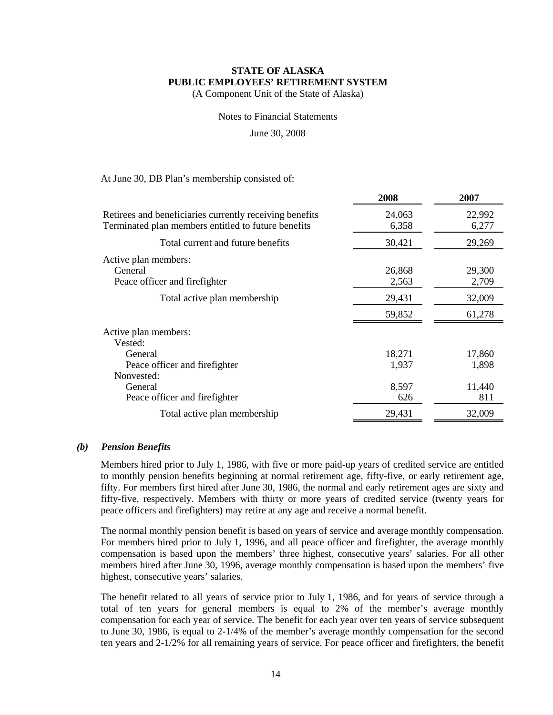(A Component Unit of the State of Alaska)

Notes to Financial Statements

June 30, 2008

At June 30, DB Plan's membership consisted of:

|                                                                                                                | 2008            | 2007            |
|----------------------------------------------------------------------------------------------------------------|-----------------|-----------------|
| Retirees and beneficiaries currently receiving benefits<br>Terminated plan members entitled to future benefits | 24,063<br>6,358 | 22,992<br>6,277 |
| Total current and future benefits                                                                              | 30,421          | 29,269          |
| Active plan members:<br>General<br>Peace officer and firefighter                                               | 26,868<br>2,563 | 29,300<br>2,709 |
| Total active plan membership                                                                                   | 29,431          | 32,009          |
|                                                                                                                | 59,852          | 61,278          |
| Active plan members:<br>Vested:                                                                                |                 |                 |
| General<br>Peace officer and firefighter<br>Nonvested:                                                         | 18,271<br>1,937 | 17,860<br>1,898 |
| General<br>Peace officer and firefighter                                                                       | 8,597<br>626    | 11,440<br>811   |
| Total active plan membership                                                                                   | 29,431          | 32,009          |

#### *(b) Pension Benefits*

Members hired prior to July 1, 1986, with five or more paid-up years of credited service are entitled to monthly pension benefits beginning at normal retirement age, fifty-five, or early retirement age, fifty. For members first hired after June 30, 1986, the normal and early retirement ages are sixty and fifty-five, respectively. Members with thirty or more years of credited service (twenty years for peace officers and firefighters) may retire at any age and receive a normal benefit.

The normal monthly pension benefit is based on years of service and average monthly compensation. For members hired prior to July 1, 1996, and all peace officer and firefighter, the average monthly compensation is based upon the members' three highest, consecutive years' salaries. For all other members hired after June 30, 1996, average monthly compensation is based upon the members' five highest, consecutive years' salaries.

The benefit related to all years of service prior to July 1, 1986, and for years of service through a total of ten years for general members is equal to 2% of the member's average monthly compensation for each year of service. The benefit for each year over ten years of service subsequent to June 30, 1986, is equal to 2-1/4% of the member's average monthly compensation for the second ten years and 2-1/2% for all remaining years of service. For peace officer and firefighters, the benefit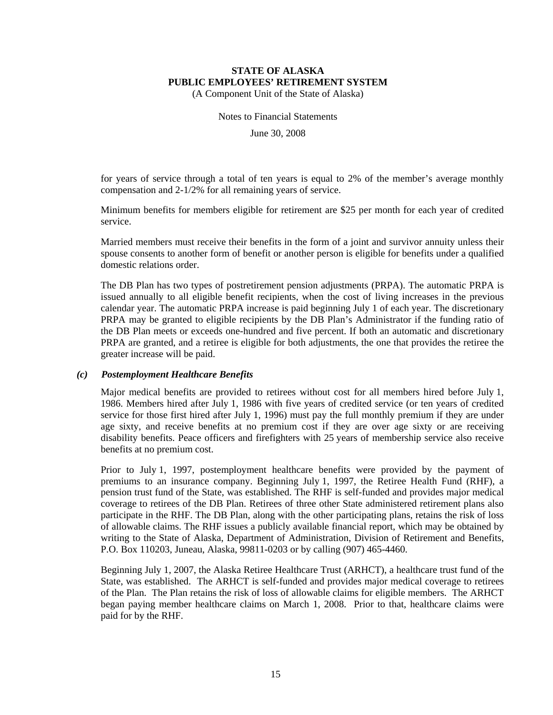(A Component Unit of the State of Alaska)

Notes to Financial Statements

June 30, 2008

for years of service through a total of ten years is equal to 2% of the member's average monthly compensation and 2-1/2% for all remaining years of service.

Minimum benefits for members eligible for retirement are \$25 per month for each year of credited service.

Married members must receive their benefits in the form of a joint and survivor annuity unless their spouse consents to another form of benefit or another person is eligible for benefits under a qualified domestic relations order.

The DB Plan has two types of postretirement pension adjustments (PRPA). The automatic PRPA is issued annually to all eligible benefit recipients, when the cost of living increases in the previous calendar year. The automatic PRPA increase is paid beginning July 1 of each year. The discretionary PRPA may be granted to eligible recipients by the DB Plan's Administrator if the funding ratio of the DB Plan meets or exceeds one-hundred and five percent. If both an automatic and discretionary PRPA are granted, and a retiree is eligible for both adjustments, the one that provides the retiree the greater increase will be paid.

#### *(c) Postemployment Healthcare Benefits*

Major medical benefits are provided to retirees without cost for all members hired before July 1, 1986. Members hired after July 1, 1986 with five years of credited service (or ten years of credited service for those first hired after July 1, 1996) must pay the full monthly premium if they are under age sixty, and receive benefits at no premium cost if they are over age sixty or are receiving disability benefits. Peace officers and firefighters with 25 years of membership service also receive benefits at no premium cost.

Prior to July 1, 1997, postemployment healthcare benefits were provided by the payment of premiums to an insurance company. Beginning July 1, 1997, the Retiree Health Fund (RHF), a pension trust fund of the State, was established. The RHF is self-funded and provides major medical coverage to retirees of the DB Plan. Retirees of three other State administered retirement plans also participate in the RHF. The DB Plan, along with the other participating plans, retains the risk of loss of allowable claims. The RHF issues a publicly available financial report, which may be obtained by writing to the State of Alaska, Department of Administration, Division of Retirement and Benefits, P.O. Box 110203, Juneau, Alaska, 99811-0203 or by calling (907) 465-4460.

Beginning July 1, 2007, the Alaska Retiree Healthcare Trust (ARHCT), a healthcare trust fund of the State, was established. The ARHCT is self-funded and provides major medical coverage to retirees of the Plan. The Plan retains the risk of loss of allowable claims for eligible members. The ARHCT began paying member healthcare claims on March 1, 2008. Prior to that, healthcare claims were paid for by the RHF.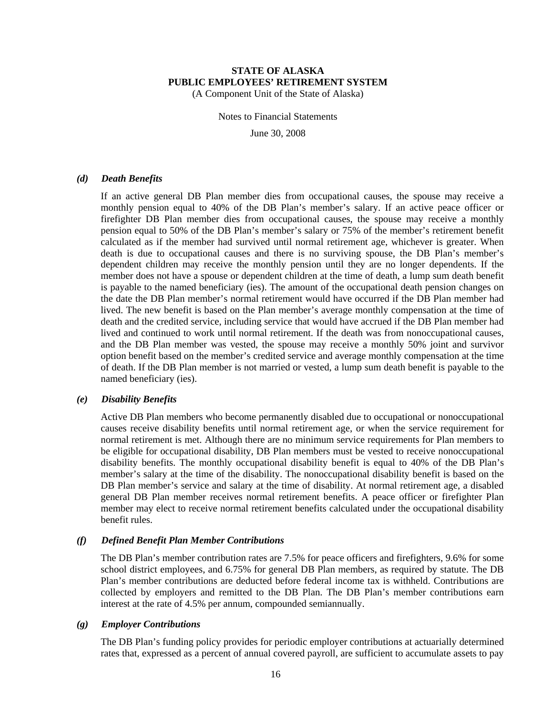(A Component Unit of the State of Alaska)

Notes to Financial Statements

June 30, 2008

#### *(d) Death Benefits*

If an active general DB Plan member dies from occupational causes, the spouse may receive a monthly pension equal to 40% of the DB Plan's member's salary. If an active peace officer or firefighter DB Plan member dies from occupational causes, the spouse may receive a monthly pension equal to 50% of the DB Plan's member's salary or 75% of the member's retirement benefit calculated as if the member had survived until normal retirement age, whichever is greater. When death is due to occupational causes and there is no surviving spouse, the DB Plan's member's dependent children may receive the monthly pension until they are no longer dependents. If the member does not have a spouse or dependent children at the time of death, a lump sum death benefit is payable to the named beneficiary (ies). The amount of the occupational death pension changes on the date the DB Plan member's normal retirement would have occurred if the DB Plan member had lived. The new benefit is based on the Plan member's average monthly compensation at the time of death and the credited service, including service that would have accrued if the DB Plan member had lived and continued to work until normal retirement. If the death was from nonoccupational causes, and the DB Plan member was vested, the spouse may receive a monthly 50% joint and survivor option benefit based on the member's credited service and average monthly compensation at the time of death. If the DB Plan member is not married or vested, a lump sum death benefit is payable to the named beneficiary (ies).

#### *(e) Disability Benefits*

Active DB Plan members who become permanently disabled due to occupational or nonoccupational causes receive disability benefits until normal retirement age, or when the service requirement for normal retirement is met. Although there are no minimum service requirements for Plan members to be eligible for occupational disability, DB Plan members must be vested to receive nonoccupational disability benefits. The monthly occupational disability benefit is equal to 40% of the DB Plan's member's salary at the time of the disability. The nonoccupational disability benefit is based on the DB Plan member's service and salary at the time of disability. At normal retirement age, a disabled general DB Plan member receives normal retirement benefits. A peace officer or firefighter Plan member may elect to receive normal retirement benefits calculated under the occupational disability benefit rules.

#### *(f) Defined Benefit Plan Member Contributions*

The DB Plan's member contribution rates are 7.5% for peace officers and firefighters, 9.6% for some school district employees, and 6.75% for general DB Plan members, as required by statute. The DB Plan's member contributions are deducted before federal income tax is withheld. Contributions are collected by employers and remitted to the DB Plan. The DB Plan's member contributions earn interest at the rate of 4.5% per annum, compounded semiannually.

#### *(g) Employer Contributions*

The DB Plan's funding policy provides for periodic employer contributions at actuarially determined rates that, expressed as a percent of annual covered payroll, are sufficient to accumulate assets to pay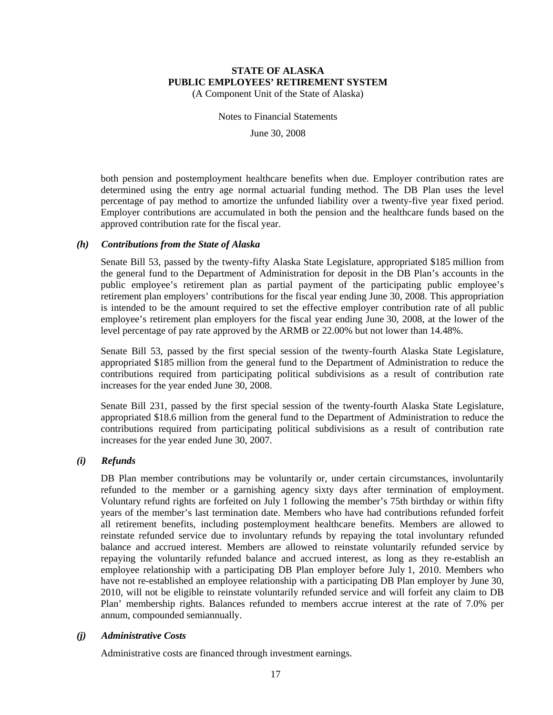(A Component Unit of the State of Alaska)

Notes to Financial Statements

June 30, 2008

both pension and postemployment healthcare benefits when due. Employer contribution rates are determined using the entry age normal actuarial funding method. The DB Plan uses the level percentage of pay method to amortize the unfunded liability over a twenty-five year fixed period. Employer contributions are accumulated in both the pension and the healthcare funds based on the approved contribution rate for the fiscal year.

#### *(h) Contributions from the State of Alaska*

Senate Bill 53, passed by the twenty-fifty Alaska State Legislature, appropriated \$185 million from the general fund to the Department of Administration for deposit in the DB Plan's accounts in the public employee's retirement plan as partial payment of the participating public employee's retirement plan employers' contributions for the fiscal year ending June 30, 2008. This appropriation is intended to be the amount required to set the effective employer contribution rate of all public employee's retirement plan employers for the fiscal year ending June 30, 2008, at the lower of the level percentage of pay rate approved by the ARMB or 22.00% but not lower than 14.48%.

Senate Bill 53, passed by the first special session of the twenty-fourth Alaska State Legislature, appropriated \$185 million from the general fund to the Department of Administration to reduce the contributions required from participating political subdivisions as a result of contribution rate increases for the year ended June 30, 2008.

Senate Bill 231, passed by the first special session of the twenty-fourth Alaska State Legislature, appropriated \$18.6 million from the general fund to the Department of Administration to reduce the contributions required from participating political subdivisions as a result of contribution rate increases for the year ended June 30, 2007.

#### *(i) Refunds*

DB Plan member contributions may be voluntarily or, under certain circumstances, involuntarily refunded to the member or a garnishing agency sixty days after termination of employment. Voluntary refund rights are forfeited on July 1 following the member's 75th birthday or within fifty years of the member's last termination date. Members who have had contributions refunded forfeit all retirement benefits, including postemployment healthcare benefits. Members are allowed to reinstate refunded service due to involuntary refunds by repaying the total involuntary refunded balance and accrued interest. Members are allowed to reinstate voluntarily refunded service by repaying the voluntarily refunded balance and accrued interest, as long as they re-establish an employee relationship with a participating DB Plan employer before July 1, 2010. Members who have not re-established an employee relationship with a participating DB Plan employer by June 30, 2010, will not be eligible to reinstate voluntarily refunded service and will forfeit any claim to DB Plan' membership rights. Balances refunded to members accrue interest at the rate of 7.0% per annum, compounded semiannually.

#### *(j) Administrative Costs*

Administrative costs are financed through investment earnings.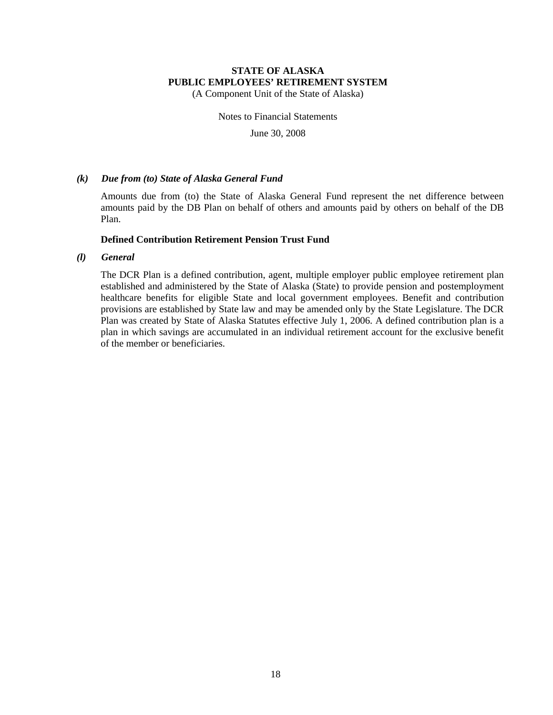(A Component Unit of the State of Alaska)

Notes to Financial Statements

June 30, 2008

#### *(k) Due from (to) State of Alaska General Fund*

Amounts due from (to) the State of Alaska General Fund represent the net difference between amounts paid by the DB Plan on behalf of others and amounts paid by others on behalf of the DB Plan.

#### **Defined Contribution Retirement Pension Trust Fund**

#### *(l) General*

The DCR Plan is a defined contribution, agent, multiple employer public employee retirement plan established and administered by the State of Alaska (State) to provide pension and postemployment healthcare benefits for eligible State and local government employees. Benefit and contribution provisions are established by State law and may be amended only by the State Legislature. The DCR Plan was created by State of Alaska Statutes effective July 1, 2006. A defined contribution plan is a plan in which savings are accumulated in an individual retirement account for the exclusive benefit of the member or beneficiaries.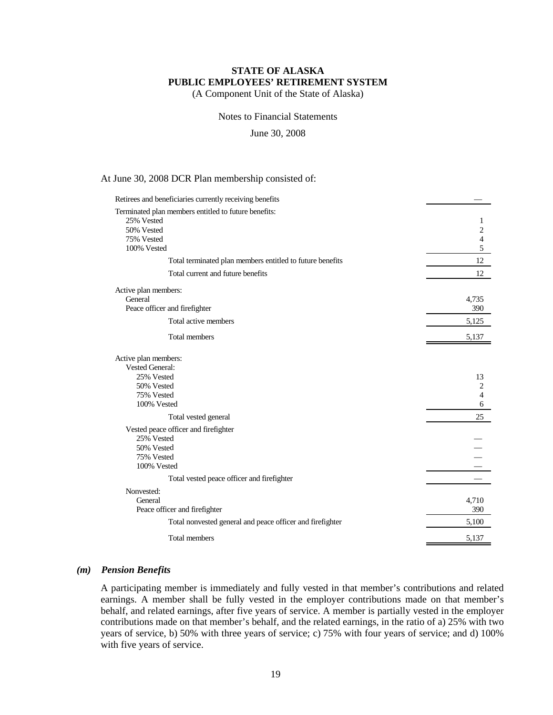(A Component Unit of the State of Alaska)

Notes to Financial Statements

June 30, 2008

#### At June 30, 2008 DCR Plan membership consisted of:

| Retirees and beneficiaries currently receiving benefits   |                |
|-----------------------------------------------------------|----------------|
| Terminated plan members entitled to future benefits:      |                |
| 25% Vested                                                |                |
| 50% Vested                                                | 2              |
| 75% Vested                                                | 4              |
| 100% Vested                                               | 5              |
| Total terminated plan members entitled to future benefits | 12             |
| Total current and future benefits                         | 12             |
| Active plan members:                                      |                |
| General                                                   | 4,735          |
| Peace officer and firefighter                             | 390            |
| Total active members                                      | 5,125          |
| Total members                                             | 5,137          |
| Active plan members:                                      |                |
| <b>Vested General:</b>                                    |                |
| 25% Vested                                                | 13             |
| 50% Vested                                                | $\overline{c}$ |
| 75% Vested<br>100% Vested                                 | 4<br>6         |
|                                                           |                |
| Total vested general                                      | 25             |
| Vested peace officer and firefighter                      |                |
| 25% Vested                                                |                |
| 50% Vested<br>75% Vested                                  |                |
| 100% Vested                                               |                |
| Total vested peace officer and firefighter                |                |
|                                                           |                |
| Nonvested:                                                |                |
| General<br>Peace officer and firefighter                  | 4,710<br>390   |
|                                                           |                |
| Total nonvested general and peace officer and firefighter | 5,100          |
| Total members                                             | 5,137          |

#### *(m) Pension Benefits*

A participating member is immediately and fully vested in that member's contributions and related earnings. A member shall be fully vested in the employer contributions made on that member's behalf, and related earnings, after five years of service. A member is partially vested in the employer contributions made on that member's behalf, and the related earnings, in the ratio of a) 25% with two years of service, b) 50% with three years of service; c) 75% with four years of service; and d) 100% with five years of service.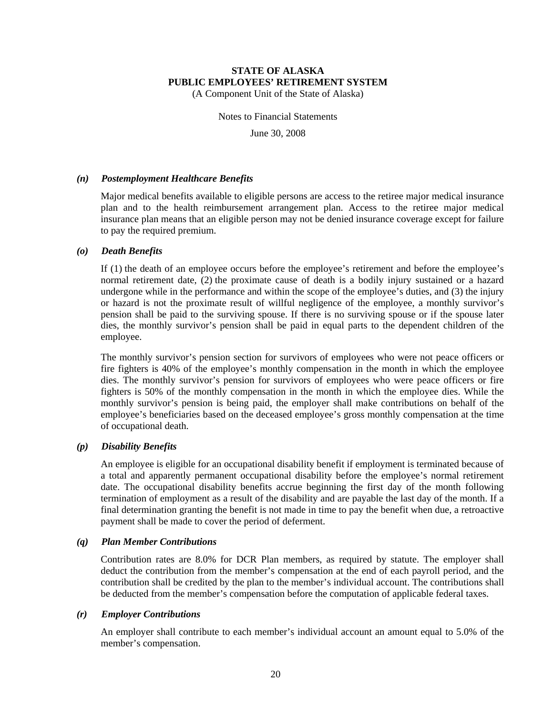(A Component Unit of the State of Alaska)

Notes to Financial Statements

June 30, 2008

#### *(n) Postemployment Healthcare Benefits*

Major medical benefits available to eligible persons are access to the retiree major medical insurance plan and to the health reimbursement arrangement plan. Access to the retiree major medical insurance plan means that an eligible person may not be denied insurance coverage except for failure to pay the required premium.

#### *(o) Death Benefits*

If (1) the death of an employee occurs before the employee's retirement and before the employee's normal retirement date, (2) the proximate cause of death is a bodily injury sustained or a hazard undergone while in the performance and within the scope of the employee's duties, and (3) the injury or hazard is not the proximate result of willful negligence of the employee, a monthly survivor's pension shall be paid to the surviving spouse. If there is no surviving spouse or if the spouse later dies, the monthly survivor's pension shall be paid in equal parts to the dependent children of the employee.

The monthly survivor's pension section for survivors of employees who were not peace officers or fire fighters is 40% of the employee's monthly compensation in the month in which the employee dies. The monthly survivor's pension for survivors of employees who were peace officers or fire fighters is 50% of the monthly compensation in the month in which the employee dies. While the monthly survivor's pension is being paid, the employer shall make contributions on behalf of the employee's beneficiaries based on the deceased employee's gross monthly compensation at the time of occupational death.

#### *(p) Disability Benefits*

An employee is eligible for an occupational disability benefit if employment is terminated because of a total and apparently permanent occupational disability before the employee's normal retirement date. The occupational disability benefits accrue beginning the first day of the month following termination of employment as a result of the disability and are payable the last day of the month. If a final determination granting the benefit is not made in time to pay the benefit when due, a retroactive payment shall be made to cover the period of deferment.

#### *(q) Plan Member Contributions*

Contribution rates are 8.0% for DCR Plan members, as required by statute. The employer shall deduct the contribution from the member's compensation at the end of each payroll period, and the contribution shall be credited by the plan to the member's individual account. The contributions shall be deducted from the member's compensation before the computation of applicable federal taxes.

#### *(r) Employer Contributions*

An employer shall contribute to each member's individual account an amount equal to 5.0% of the member's compensation.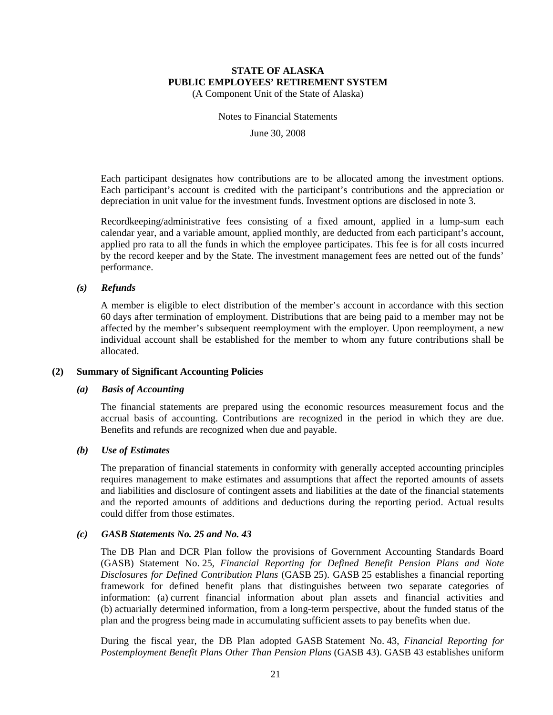(A Component Unit of the State of Alaska)

Notes to Financial Statements

June 30, 2008

Each participant designates how contributions are to be allocated among the investment options. Each participant's account is credited with the participant's contributions and the appreciation or depreciation in unit value for the investment funds. Investment options are disclosed in note 3.

Recordkeeping/administrative fees consisting of a fixed amount, applied in a lump-sum each calendar year, and a variable amount, applied monthly, are deducted from each participant's account, applied pro rata to all the funds in which the employee participates. This fee is for all costs incurred by the record keeper and by the State. The investment management fees are netted out of the funds' performance.

#### *(s) Refunds*

A member is eligible to elect distribution of the member's account in accordance with this section 60 days after termination of employment. Distributions that are being paid to a member may not be affected by the member's subsequent reemployment with the employer. Upon reemployment, a new individual account shall be established for the member to whom any future contributions shall be allocated.

#### **(2) Summary of Significant Accounting Policies**

#### *(a) Basis of Accounting*

The financial statements are prepared using the economic resources measurement focus and the accrual basis of accounting. Contributions are recognized in the period in which they are due. Benefits and refunds are recognized when due and payable.

#### *(b) Use of Estimates*

The preparation of financial statements in conformity with generally accepted accounting principles requires management to make estimates and assumptions that affect the reported amounts of assets and liabilities and disclosure of contingent assets and liabilities at the date of the financial statements and the reported amounts of additions and deductions during the reporting period. Actual results could differ from those estimates.

#### *(c) GASB Statements No. 25 and No. 43*

The DB Plan and DCR Plan follow the provisions of Government Accounting Standards Board (GASB) Statement No. 25, *Financial Reporting for Defined Benefit Pension Plans and Note Disclosures for Defined Contribution Plans* (GASB 25). GASB 25 establishes a financial reporting framework for defined benefit plans that distinguishes between two separate categories of information: (a) current financial information about plan assets and financial activities and (b) actuarially determined information, from a long-term perspective, about the funded status of the plan and the progress being made in accumulating sufficient assets to pay benefits when due.

During the fiscal year, the DB Plan adopted GASB Statement No. 43, *Financial Reporting for Postemployment Benefit Plans Other Than Pension Plans* (GASB 43). GASB 43 establishes uniform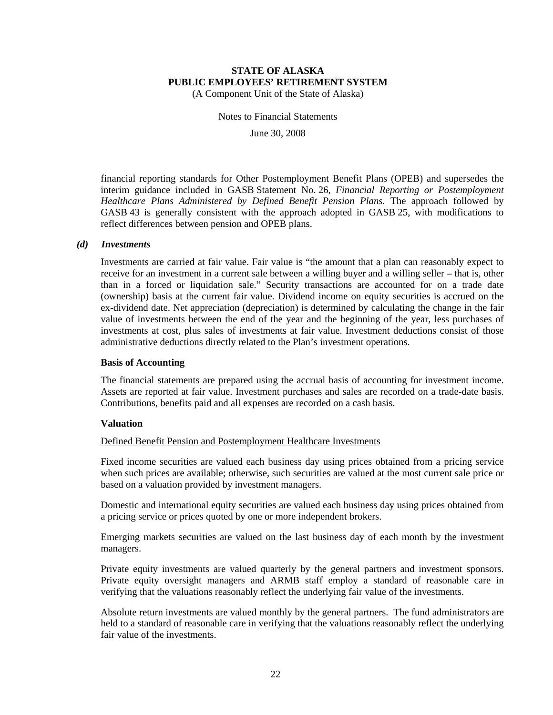(A Component Unit of the State of Alaska)

Notes to Financial Statements

June 30, 2008

financial reporting standards for Other Postemployment Benefit Plans (OPEB) and supersedes the interim guidance included in GASB Statement No. 26, *Financial Reporting or Postemployment Healthcare Plans Administered by Defined Benefit Pension Plans.* The approach followed by GASB 43 is generally consistent with the approach adopted in GASB 25, with modifications to reflect differences between pension and OPEB plans.

#### *(d) Investments*

Investments are carried at fair value. Fair value is "the amount that a plan can reasonably expect to receive for an investment in a current sale between a willing buyer and a willing seller – that is, other than in a forced or liquidation sale." Security transactions are accounted for on a trade date (ownership) basis at the current fair value. Dividend income on equity securities is accrued on the ex-dividend date. Net appreciation (depreciation) is determined by calculating the change in the fair value of investments between the end of the year and the beginning of the year, less purchases of investments at cost, plus sales of investments at fair value. Investment deductions consist of those administrative deductions directly related to the Plan's investment operations.

#### **Basis of Accounting**

The financial statements are prepared using the accrual basis of accounting for investment income. Assets are reported at fair value. Investment purchases and sales are recorded on a trade-date basis. Contributions, benefits paid and all expenses are recorded on a cash basis.

#### **Valuation**

#### Defined Benefit Pension and Postemployment Healthcare Investments

Fixed income securities are valued each business day using prices obtained from a pricing service when such prices are available; otherwise, such securities are valued at the most current sale price or based on a valuation provided by investment managers.

Domestic and international equity securities are valued each business day using prices obtained from a pricing service or prices quoted by one or more independent brokers.

Emerging markets securities are valued on the last business day of each month by the investment managers.

Private equity investments are valued quarterly by the general partners and investment sponsors. Private equity oversight managers and ARMB staff employ a standard of reasonable care in verifying that the valuations reasonably reflect the underlying fair value of the investments.

Absolute return investments are valued monthly by the general partners. The fund administrators are held to a standard of reasonable care in verifying that the valuations reasonably reflect the underlying fair value of the investments.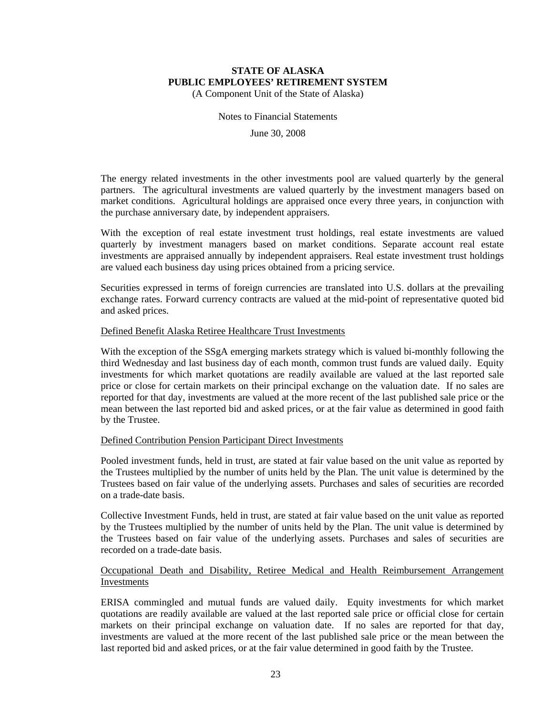(A Component Unit of the State of Alaska)

Notes to Financial Statements

June 30, 2008

The energy related investments in the other investments pool are valued quarterly by the general partners. The agricultural investments are valued quarterly by the investment managers based on market conditions. Agricultural holdings are appraised once every three years, in conjunction with the purchase anniversary date, by independent appraisers.

With the exception of real estate investment trust holdings, real estate investments are valued quarterly by investment managers based on market conditions. Separate account real estate investments are appraised annually by independent appraisers. Real estate investment trust holdings are valued each business day using prices obtained from a pricing service.

Securities expressed in terms of foreign currencies are translated into U.S. dollars at the prevailing exchange rates. Forward currency contracts are valued at the mid-point of representative quoted bid and asked prices.

#### Defined Benefit Alaska Retiree Healthcare Trust Investments

With the exception of the SSgA emerging markets strategy which is valued bi-monthly following the third Wednesday and last business day of each month, common trust funds are valued daily. Equity investments for which market quotations are readily available are valued at the last reported sale price or close for certain markets on their principal exchange on the valuation date. If no sales are reported for that day, investments are valued at the more recent of the last published sale price or the mean between the last reported bid and asked prices, or at the fair value as determined in good faith by the Trustee.

#### Defined Contribution Pension Participant Direct Investments

Pooled investment funds, held in trust, are stated at fair value based on the unit value as reported by the Trustees multiplied by the number of units held by the Plan. The unit value is determined by the Trustees based on fair value of the underlying assets. Purchases and sales of securities are recorded on a trade-date basis.

Collective Investment Funds, held in trust, are stated at fair value based on the unit value as reported by the Trustees multiplied by the number of units held by the Plan. The unit value is determined by the Trustees based on fair value of the underlying assets. Purchases and sales of securities are recorded on a trade-date basis.

#### Occupational Death and Disability, Retiree Medical and Health Reimbursement Arrangement Investments

ERISA commingled and mutual funds are valued daily. Equity investments for which market quotations are readily available are valued at the last reported sale price or official close for certain markets on their principal exchange on valuation date. If no sales are reported for that day, investments are valued at the more recent of the last published sale price or the mean between the last reported bid and asked prices, or at the fair value determined in good faith by the Trustee.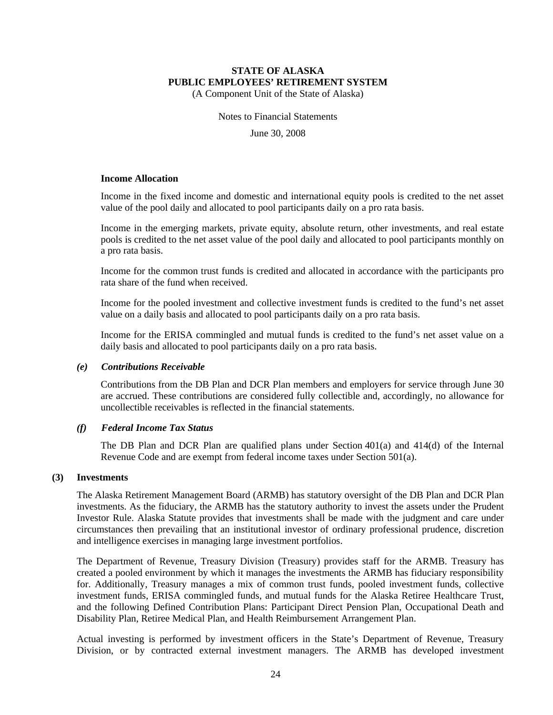(A Component Unit of the State of Alaska)

Notes to Financial Statements

June 30, 2008

#### **Income Allocation**

Income in the fixed income and domestic and international equity pools is credited to the net asset value of the pool daily and allocated to pool participants daily on a pro rata basis.

Income in the emerging markets, private equity, absolute return, other investments, and real estate pools is credited to the net asset value of the pool daily and allocated to pool participants monthly on a pro rata basis.

Income for the common trust funds is credited and allocated in accordance with the participants pro rata share of the fund when received.

Income for the pooled investment and collective investment funds is credited to the fund's net asset value on a daily basis and allocated to pool participants daily on a pro rata basis.

Income for the ERISA commingled and mutual funds is credited to the fund's net asset value on a daily basis and allocated to pool participants daily on a pro rata basis.

#### *(e) Contributions Receivable*

Contributions from the DB Plan and DCR Plan members and employers for service through June 30 are accrued. These contributions are considered fully collectible and, accordingly, no allowance for uncollectible receivables is reflected in the financial statements.

#### *(f) Federal Income Tax Status*

The DB Plan and DCR Plan are qualified plans under Section 401(a) and 414(d) of the Internal Revenue Code and are exempt from federal income taxes under Section 501(a).

#### **(3) Investments**

The Alaska Retirement Management Board (ARMB) has statutory oversight of the DB Plan and DCR Plan investments. As the fiduciary, the ARMB has the statutory authority to invest the assets under the Prudent Investor Rule. Alaska Statute provides that investments shall be made with the judgment and care under circumstances then prevailing that an institutional investor of ordinary professional prudence, discretion and intelligence exercises in managing large investment portfolios.

The Department of Revenue, Treasury Division (Treasury) provides staff for the ARMB. Treasury has created a pooled environment by which it manages the investments the ARMB has fiduciary responsibility for. Additionally, Treasury manages a mix of common trust funds, pooled investment funds, collective investment funds, ERISA commingled funds, and mutual funds for the Alaska Retiree Healthcare Trust, and the following Defined Contribution Plans: Participant Direct Pension Plan, Occupational Death and Disability Plan, Retiree Medical Plan, and Health Reimbursement Arrangement Plan.

Actual investing is performed by investment officers in the State's Department of Revenue, Treasury Division, or by contracted external investment managers. The ARMB has developed investment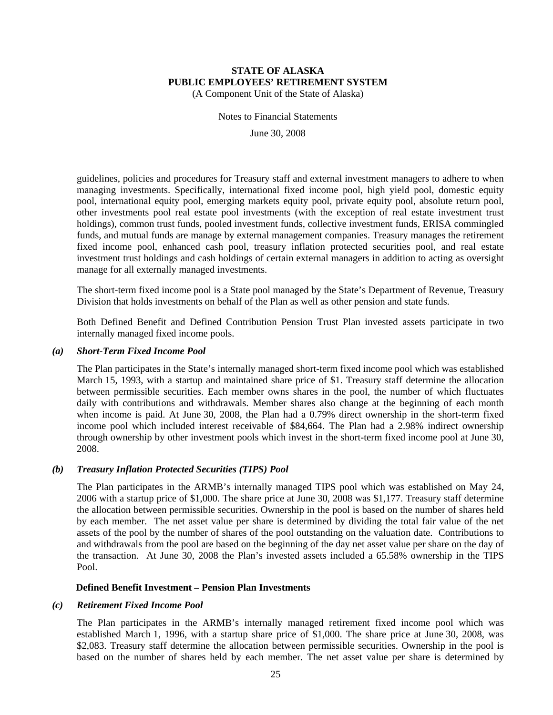(A Component Unit of the State of Alaska)

Notes to Financial Statements

June 30, 2008

guidelines, policies and procedures for Treasury staff and external investment managers to adhere to when managing investments. Specifically, international fixed income pool, high yield pool, domestic equity pool, international equity pool, emerging markets equity pool, private equity pool, absolute return pool, other investments pool real estate pool investments (with the exception of real estate investment trust holdings), common trust funds, pooled investment funds, collective investment funds, ERISA commingled funds, and mutual funds are manage by external management companies. Treasury manages the retirement fixed income pool, enhanced cash pool, treasury inflation protected securities pool, and real estate investment trust holdings and cash holdings of certain external managers in addition to acting as oversight manage for all externally managed investments.

The short-term fixed income pool is a State pool managed by the State's Department of Revenue, Treasury Division that holds investments on behalf of the Plan as well as other pension and state funds.

Both Defined Benefit and Defined Contribution Pension Trust Plan invested assets participate in two internally managed fixed income pools.

#### *(a) Short-Term Fixed Income Pool*

The Plan participates in the State's internally managed short-term fixed income pool which was established March 15, 1993, with a startup and maintained share price of \$1. Treasury staff determine the allocation between permissible securities. Each member owns shares in the pool, the number of which fluctuates daily with contributions and withdrawals. Member shares also change at the beginning of each month when income is paid. At June 30, 2008, the Plan had a 0.79% direct ownership in the short-term fixed income pool which included interest receivable of \$84,664. The Plan had a 2.98% indirect ownership through ownership by other investment pools which invest in the short-term fixed income pool at June 30, 2008.

#### *(b) Treasury Inflation Protected Securities (TIPS) Pool*

The Plan participates in the ARMB's internally managed TIPS pool which was established on May 24, 2006 with a startup price of \$1,000. The share price at June 30, 2008 was \$1,177. Treasury staff determine the allocation between permissible securities. Ownership in the pool is based on the number of shares held by each member. The net asset value per share is determined by dividing the total fair value of the net assets of the pool by the number of shares of the pool outstanding on the valuation date. Contributions to and withdrawals from the pool are based on the beginning of the day net asset value per share on the day of the transaction. At June 30, 2008 the Plan's invested assets included a 65.58% ownership in the TIPS Pool.

#### **Defined Benefit Investment – Pension Plan Investments**

#### *(c) Retirement Fixed Income Pool*

The Plan participates in the ARMB's internally managed retirement fixed income pool which was established March 1, 1996, with a startup share price of \$1,000. The share price at June 30, 2008, was \$2,083. Treasury staff determine the allocation between permissible securities. Ownership in the pool is based on the number of shares held by each member. The net asset value per share is determined by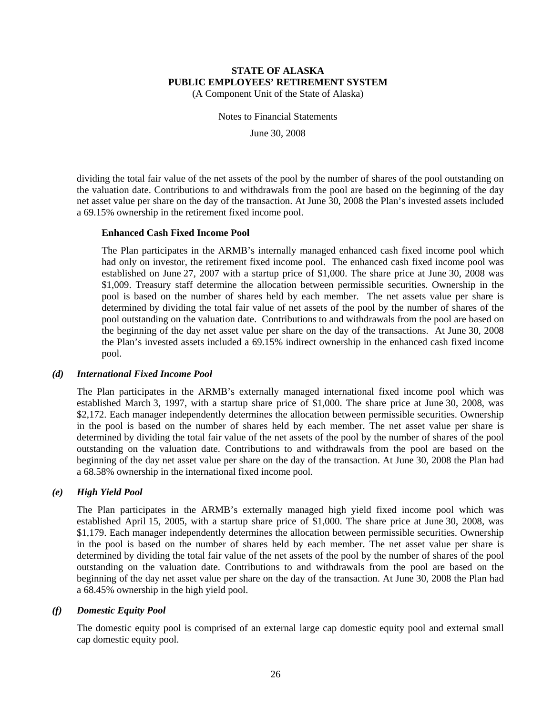(A Component Unit of the State of Alaska)

Notes to Financial Statements

June 30, 2008

dividing the total fair value of the net assets of the pool by the number of shares of the pool outstanding on the valuation date. Contributions to and withdrawals from the pool are based on the beginning of the day net asset value per share on the day of the transaction. At June 30, 2008 the Plan's invested assets included a 69.15% ownership in the retirement fixed income pool.

#### **Enhanced Cash Fixed Income Pool**

The Plan participates in the ARMB's internally managed enhanced cash fixed income pool which had only on investor, the retirement fixed income pool. The enhanced cash fixed income pool was established on June 27, 2007 with a startup price of \$1,000. The share price at June 30, 2008 was \$1,009. Treasury staff determine the allocation between permissible securities. Ownership in the pool is based on the number of shares held by each member. The net assets value per share is determined by dividing the total fair value of net assets of the pool by the number of shares of the pool outstanding on the valuation date. Contributions to and withdrawals from the pool are based on the beginning of the day net asset value per share on the day of the transactions. At June 30, 2008 the Plan's invested assets included a 69.15% indirect ownership in the enhanced cash fixed income pool.

#### *(d) International Fixed Income Pool*

The Plan participates in the ARMB's externally managed international fixed income pool which was established March 3, 1997, with a startup share price of \$1,000. The share price at June 30, 2008, was \$2,172. Each manager independently determines the allocation between permissible securities. Ownership in the pool is based on the number of shares held by each member. The net asset value per share is determined by dividing the total fair value of the net assets of the pool by the number of shares of the pool outstanding on the valuation date. Contributions to and withdrawals from the pool are based on the beginning of the day net asset value per share on the day of the transaction. At June 30, 2008 the Plan had a 68.58% ownership in the international fixed income pool.

#### *(e) High Yield Pool*

The Plan participates in the ARMB's externally managed high yield fixed income pool which was established April 15, 2005, with a startup share price of \$1,000. The share price at June 30, 2008, was \$1,179. Each manager independently determines the allocation between permissible securities. Ownership in the pool is based on the number of shares held by each member. The net asset value per share is determined by dividing the total fair value of the net assets of the pool by the number of shares of the pool outstanding on the valuation date. Contributions to and withdrawals from the pool are based on the beginning of the day net asset value per share on the day of the transaction. At June 30, 2008 the Plan had a 68.45% ownership in the high yield pool.

#### *(f) Domestic Equity Pool*

The domestic equity pool is comprised of an external large cap domestic equity pool and external small cap domestic equity pool.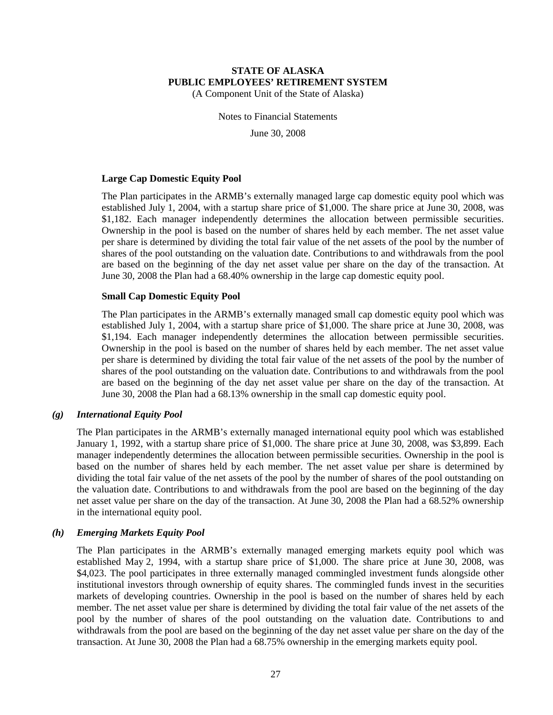(A Component Unit of the State of Alaska)

Notes to Financial Statements

June 30, 2008

#### **Large Cap Domestic Equity Pool**

The Plan participates in the ARMB's externally managed large cap domestic equity pool which was established July 1, 2004, with a startup share price of \$1,000. The share price at June 30, 2008, was \$1,182. Each manager independently determines the allocation between permissible securities. Ownership in the pool is based on the number of shares held by each member. The net asset value per share is determined by dividing the total fair value of the net assets of the pool by the number of shares of the pool outstanding on the valuation date. Contributions to and withdrawals from the pool are based on the beginning of the day net asset value per share on the day of the transaction. At June 30, 2008 the Plan had a 68.40% ownership in the large cap domestic equity pool.

#### **Small Cap Domestic Equity Pool**

The Plan participates in the ARMB's externally managed small cap domestic equity pool which was established July 1, 2004, with a startup share price of \$1,000. The share price at June 30, 2008, was \$1,194. Each manager independently determines the allocation between permissible securities. Ownership in the pool is based on the number of shares held by each member. The net asset value per share is determined by dividing the total fair value of the net assets of the pool by the number of shares of the pool outstanding on the valuation date. Contributions to and withdrawals from the pool are based on the beginning of the day net asset value per share on the day of the transaction. At June 30, 2008 the Plan had a 68.13% ownership in the small cap domestic equity pool.

#### *(g) International Equity Pool*

The Plan participates in the ARMB's externally managed international equity pool which was established January 1, 1992, with a startup share price of \$1,000. The share price at June 30, 2008, was \$3,899. Each manager independently determines the allocation between permissible securities. Ownership in the pool is based on the number of shares held by each member. The net asset value per share is determined by dividing the total fair value of the net assets of the pool by the number of shares of the pool outstanding on the valuation date. Contributions to and withdrawals from the pool are based on the beginning of the day net asset value per share on the day of the transaction. At June 30, 2008 the Plan had a 68.52% ownership in the international equity pool.

#### *(h) Emerging Markets Equity Pool*

The Plan participates in the ARMB's externally managed emerging markets equity pool which was established May 2, 1994, with a startup share price of \$1,000. The share price at June 30, 2008, was \$4,023. The pool participates in three externally managed commingled investment funds alongside other institutional investors through ownership of equity shares. The commingled funds invest in the securities markets of developing countries. Ownership in the pool is based on the number of shares held by each member. The net asset value per share is determined by dividing the total fair value of the net assets of the pool by the number of shares of the pool outstanding on the valuation date. Contributions to and withdrawals from the pool are based on the beginning of the day net asset value per share on the day of the transaction. At June 30, 2008 the Plan had a 68.75% ownership in the emerging markets equity pool.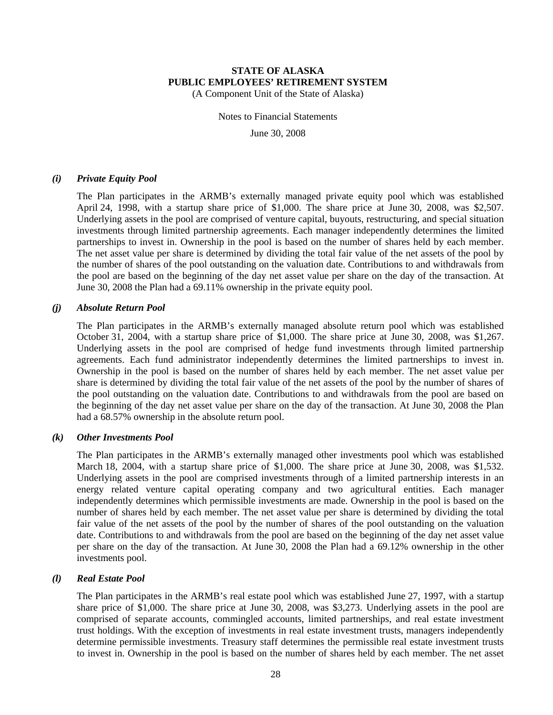(A Component Unit of the State of Alaska)

Notes to Financial Statements

June 30, 2008

#### *(i) Private Equity Pool*

The Plan participates in the ARMB's externally managed private equity pool which was established April 24, 1998, with a startup share price of \$1,000. The share price at June 30, 2008, was \$2,507. Underlying assets in the pool are comprised of venture capital, buyouts, restructuring, and special situation investments through limited partnership agreements. Each manager independently determines the limited partnerships to invest in. Ownership in the pool is based on the number of shares held by each member. The net asset value per share is determined by dividing the total fair value of the net assets of the pool by the number of shares of the pool outstanding on the valuation date. Contributions to and withdrawals from the pool are based on the beginning of the day net asset value per share on the day of the transaction. At June 30, 2008 the Plan had a 69.11% ownership in the private equity pool.

#### *(j) Absolute Return Pool*

The Plan participates in the ARMB's externally managed absolute return pool which was established October 31, 2004, with a startup share price of \$1,000. The share price at June 30, 2008, was \$1,267. Underlying assets in the pool are comprised of hedge fund investments through limited partnership agreements. Each fund administrator independently determines the limited partnerships to invest in. Ownership in the pool is based on the number of shares held by each member. The net asset value per share is determined by dividing the total fair value of the net assets of the pool by the number of shares of the pool outstanding on the valuation date. Contributions to and withdrawals from the pool are based on the beginning of the day net asset value per share on the day of the transaction. At June 30, 2008 the Plan had a 68.57% ownership in the absolute return pool.

#### *(k) Other Investments Pool*

The Plan participates in the ARMB's externally managed other investments pool which was established March 18, 2004, with a startup share price of \$1,000. The share price at June 30, 2008, was \$1,532. Underlying assets in the pool are comprised investments through of a limited partnership interests in an energy related venture capital operating company and two agricultural entities. Each manager independently determines which permissible investments are made. Ownership in the pool is based on the number of shares held by each member. The net asset value per share is determined by dividing the total fair value of the net assets of the pool by the number of shares of the pool outstanding on the valuation date. Contributions to and withdrawals from the pool are based on the beginning of the day net asset value per share on the day of the transaction. At June 30, 2008 the Plan had a 69.12% ownership in the other investments pool.

#### *(l) Real Estate Pool*

The Plan participates in the ARMB's real estate pool which was established June 27, 1997, with a startup share price of \$1,000. The share price at June 30, 2008, was \$3,273. Underlying assets in the pool are comprised of separate accounts, commingled accounts, limited partnerships, and real estate investment trust holdings. With the exception of investments in real estate investment trusts, managers independently determine permissible investments. Treasury staff determines the permissible real estate investment trusts to invest in. Ownership in the pool is based on the number of shares held by each member. The net asset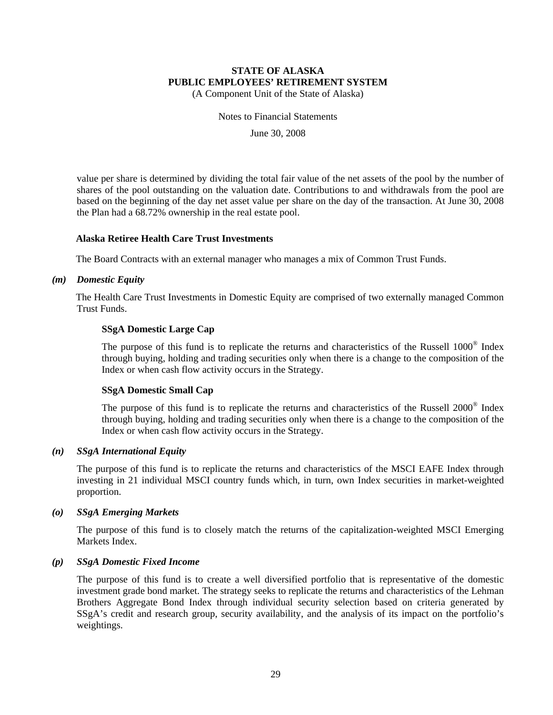(A Component Unit of the State of Alaska)

Notes to Financial Statements

June 30, 2008

value per share is determined by dividing the total fair value of the net assets of the pool by the number of shares of the pool outstanding on the valuation date. Contributions to and withdrawals from the pool are based on the beginning of the day net asset value per share on the day of the transaction. At June 30, 2008 the Plan had a 68.72% ownership in the real estate pool.

#### **Alaska Retiree Health Care Trust Investments**

The Board Contracts with an external manager who manages a mix of Common Trust Funds.

#### *(m) Domestic Equity*

The Health Care Trust Investments in Domestic Equity are comprised of two externally managed Common Trust Funds.

#### **SSgA Domestic Large Cap**

The purpose of this fund is to replicate the returns and characteristics of the Russell 1000® Index through buying, holding and trading securities only when there is a change to the composition of the Index or when cash flow activity occurs in the Strategy.

#### **SSgA Domestic Small Cap**

The purpose of this fund is to replicate the returns and characteristics of the Russell 2000® Index through buying, holding and trading securities only when there is a change to the composition of the Index or when cash flow activity occurs in the Strategy.

#### *(n) SSgA International Equity*

The purpose of this fund is to replicate the returns and characteristics of the MSCI EAFE Index through investing in 21 individual MSCI country funds which, in turn, own Index securities in market-weighted proportion.

#### *(o) SSgA Emerging Markets*

The purpose of this fund is to closely match the returns of the capitalization-weighted MSCI Emerging Markets Index.

#### *(p) SSgA Domestic Fixed Income*

The purpose of this fund is to create a well diversified portfolio that is representative of the domestic investment grade bond market. The strategy seeks to replicate the returns and characteristics of the Lehman Brothers Aggregate Bond Index through individual security selection based on criteria generated by SSgA's credit and research group, security availability, and the analysis of its impact on the portfolio's weightings.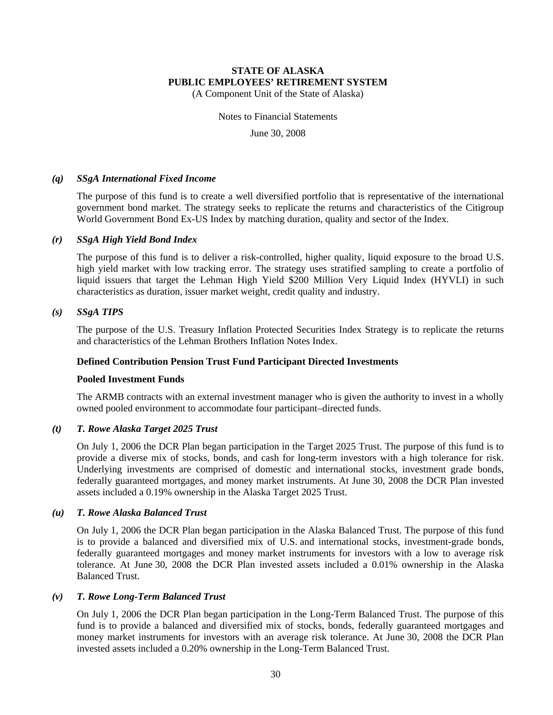(A Component Unit of the State of Alaska)

Notes to Financial Statements

June 30, 2008

#### *(q) SSgA International Fixed Income*

The purpose of this fund is to create a well diversified portfolio that is representative of the international government bond market. The strategy seeks to replicate the returns and characteristics of the Citigroup World Government Bond Ex-US Index by matching duration, quality and sector of the Index.

#### *(r) SSgA High Yield Bond Index*

The purpose of this fund is to deliver a risk-controlled, higher quality, liquid exposure to the broad U.S. high yield market with low tracking error. The strategy uses stratified sampling to create a portfolio of liquid issuers that target the Lehman High Yield \$200 Million Very Liquid Index (HYVLI) in such characteristics as duration, issuer market weight, credit quality and industry.

#### *(s) SSgA TIPS*

The purpose of the U.S. Treasury Inflation Protected Securities Index Strategy is to replicate the returns and characteristics of the Lehman Brothers Inflation Notes Index.

#### **Defined Contribution Pension Trust Fund Participant Directed Investments**

#### **Pooled Investment Funds**

The ARMB contracts with an external investment manager who is given the authority to invest in a wholly owned pooled environment to accommodate four participant–directed funds.

#### *(t) T. Rowe Alaska Target 2025 Trust*

On July 1, 2006 the DCR Plan began participation in the Target 2025 Trust. The purpose of this fund is to provide a diverse mix of stocks, bonds, and cash for long-term investors with a high tolerance for risk. Underlying investments are comprised of domestic and international stocks, investment grade bonds, federally guaranteed mortgages, and money market instruments. At June 30, 2008 the DCR Plan invested assets included a 0.19% ownership in the Alaska Target 2025 Trust.

#### *(u) T. Rowe Alaska Balanced Trust*

On July 1, 2006 the DCR Plan began participation in the Alaska Balanced Trust. The purpose of this fund is to provide a balanced and diversified mix of U.S. and international stocks, investment-grade bonds, federally guaranteed mortgages and money market instruments for investors with a low to average risk tolerance. At June 30, 2008 the DCR Plan invested assets included a 0.01% ownership in the Alaska Balanced Trust.

#### *(v) T. Rowe Long-Term Balanced Trust*

On July 1, 2006 the DCR Plan began participation in the Long-Term Balanced Trust. The purpose of this fund is to provide a balanced and diversified mix of stocks, bonds, federally guaranteed mortgages and money market instruments for investors with an average risk tolerance. At June 30, 2008 the DCR Plan invested assets included a 0.20% ownership in the Long-Term Balanced Trust.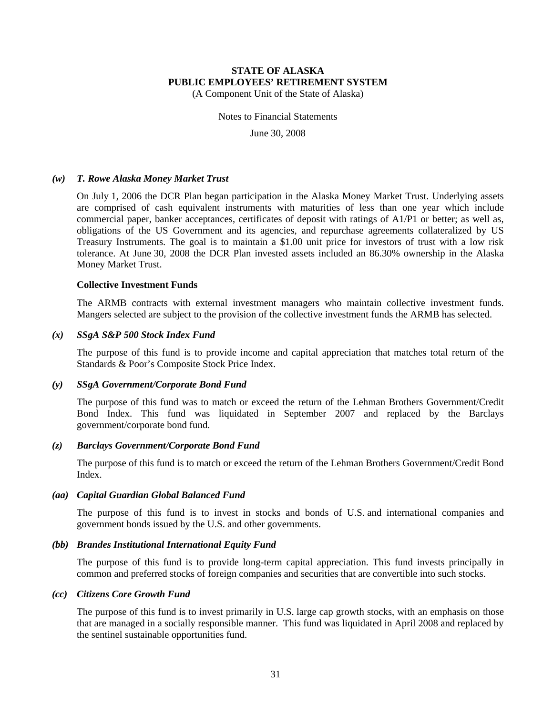(A Component Unit of the State of Alaska)

Notes to Financial Statements

June 30, 2008

#### *(w) T. Rowe Alaska Money Market Trust*

On July 1, 2006 the DCR Plan began participation in the Alaska Money Market Trust. Underlying assets are comprised of cash equivalent instruments with maturities of less than one year which include commercial paper, banker acceptances, certificates of deposit with ratings of A1/P1 or better; as well as, obligations of the US Government and its agencies, and repurchase agreements collateralized by US Treasury Instruments. The goal is to maintain a \$1.00 unit price for investors of trust with a low risk tolerance. At June 30, 2008 the DCR Plan invested assets included an 86.30% ownership in the Alaska Money Market Trust.

#### **Collective Investment Funds**

The ARMB contracts with external investment managers who maintain collective investment funds. Mangers selected are subject to the provision of the collective investment funds the ARMB has selected.

#### *(x) SSgA S&P 500 Stock Index Fund*

The purpose of this fund is to provide income and capital appreciation that matches total return of the Standards & Poor's Composite Stock Price Index.

#### *(y) SSgA Government/Corporate Bond Fund*

The purpose of this fund was to match or exceed the return of the Lehman Brothers Government/Credit Bond Index. This fund was liquidated in September 2007 and replaced by the Barclays government/corporate bond fund.

#### *(z) Barclays Government/Corporate Bond Fund*

The purpose of this fund is to match or exceed the return of the Lehman Brothers Government/Credit Bond Index.

#### *(aa) Capital Guardian Global Balanced Fund*

The purpose of this fund is to invest in stocks and bonds of U.S. and international companies and government bonds issued by the U.S. and other governments.

#### *(bb) Brandes Institutional International Equity Fund*

The purpose of this fund is to provide long-term capital appreciation. This fund invests principally in common and preferred stocks of foreign companies and securities that are convertible into such stocks.

#### *(cc) Citizens Core Growth Fund*

The purpose of this fund is to invest primarily in U.S. large cap growth stocks, with an emphasis on those that are managed in a socially responsible manner. This fund was liquidated in April 2008 and replaced by the sentinel sustainable opportunities fund.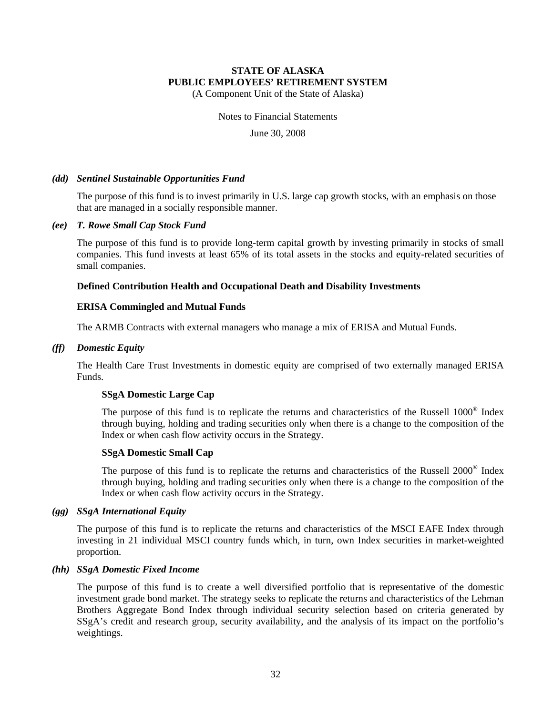(A Component Unit of the State of Alaska)

Notes to Financial Statements

June 30, 2008

#### *(dd) Sentinel Sustainable Opportunities Fund*

The purpose of this fund is to invest primarily in U.S. large cap growth stocks, with an emphasis on those that are managed in a socially responsible manner.

#### *(ee) T. Rowe Small Cap Stock Fund*

The purpose of this fund is to provide long-term capital growth by investing primarily in stocks of small companies. This fund invests at least 65% of its total assets in the stocks and equity-related securities of small companies.

#### **Defined Contribution Health and Occupational Death and Disability Investments**

#### **ERISA Commingled and Mutual Funds**

The ARMB Contracts with external managers who manage a mix of ERISA and Mutual Funds.

#### *(ff) Domestic Equity*

The Health Care Trust Investments in domestic equity are comprised of two externally managed ERISA Funds.

#### **SSgA Domestic Large Cap**

The purpose of this fund is to replicate the returns and characteristics of the Russell 1000® Index through buying, holding and trading securities only when there is a change to the composition of the Index or when cash flow activity occurs in the Strategy.

#### **SSgA Domestic Small Cap**

The purpose of this fund is to replicate the returns and characteristics of the Russell 2000® Index through buying, holding and trading securities only when there is a change to the composition of the Index or when cash flow activity occurs in the Strategy.

#### *(gg) SSgA International Equity*

The purpose of this fund is to replicate the returns and characteristics of the MSCI EAFE Index through investing in 21 individual MSCI country funds which, in turn, own Index securities in market-weighted proportion.

#### *(hh) SSgA Domestic Fixed Income*

The purpose of this fund is to create a well diversified portfolio that is representative of the domestic investment grade bond market. The strategy seeks to replicate the returns and characteristics of the Lehman Brothers Aggregate Bond Index through individual security selection based on criteria generated by SSgA's credit and research group, security availability, and the analysis of its impact on the portfolio's weightings.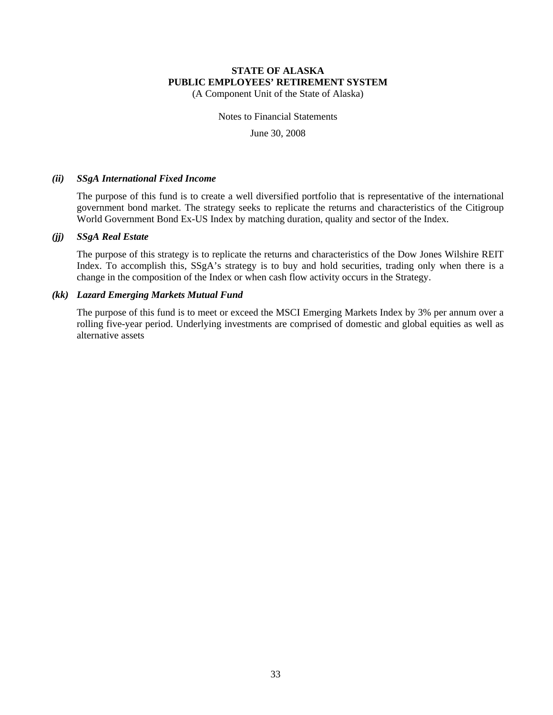(A Component Unit of the State of Alaska)

Notes to Financial Statements

June 30, 2008

#### *(ii) SSgA International Fixed Income*

The purpose of this fund is to create a well diversified portfolio that is representative of the international government bond market. The strategy seeks to replicate the returns and characteristics of the Citigroup World Government Bond Ex-US Index by matching duration, quality and sector of the Index.

#### *(jj) SSgA Real Estate*

The purpose of this strategy is to replicate the returns and characteristics of the Dow Jones Wilshire REIT Index. To accomplish this, SSgA's strategy is to buy and hold securities, trading only when there is a change in the composition of the Index or when cash flow activity occurs in the Strategy.

#### *(kk) Lazard Emerging Markets Mutual Fund*

The purpose of this fund is to meet or exceed the MSCI Emerging Markets Index by 3% per annum over a rolling five-year period. Underlying investments are comprised of domestic and global equities as well as alternative assets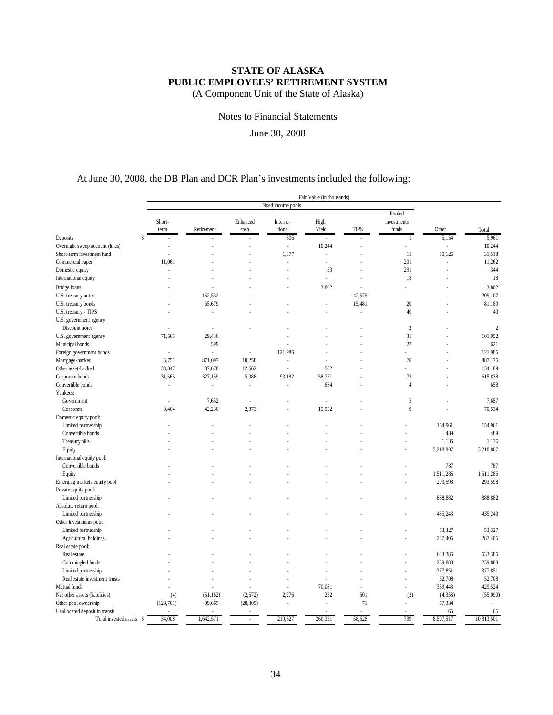(A Component Unit of the State of Alaska)

Notes to Financial Statements

June 30, 2008

### At June 30, 2008, the DB Plan and DCR Plan's investments included the following:

|                                |                    |            |           |          | Fair Value (in thousands) |             |                |           |                |
|--------------------------------|--------------------|------------|-----------|----------|---------------------------|-------------|----------------|-----------|----------------|
|                                | Fixed income pools |            |           |          |                           |             |                |           |                |
|                                | Pooled             |            |           |          |                           |             |                |           |                |
|                                | Short-             |            | Enhanced  | Interna- | High                      |             | investments    |           |                |
|                                | term               | Retirement | cash      | tional   | Yield                     | <b>TIPS</b> | funds          | Other     | Total          |
| $\hat{\mathbf{S}}$<br>Deposits |                    |            |           | 806      |                           |             | $\mathbf{1}$   | 5,154     | 5,961          |
| Overnight sweep account (lmcs) |                    |            |           | ä,       | 10,244                    |             |                | ł,        | 10,244         |
| Short-term investment fund     |                    |            |           | 1,377    | ÷,                        |             | 15             | 30,126    | 31,518         |
| Commercial paper               | 11,061             |            |           |          | ä,                        |             | 201            |           | 11,262         |
| Domestic equity                | í,                 |            |           |          | 53                        |             | 291            | ä,        | 344            |
| International equity           |                    |            |           |          |                           |             | 18             |           | 18             |
|                                |                    |            |           |          |                           |             |                |           |                |
| Bridge loans                   |                    |            |           |          | 3,862                     |             |                |           | 3,862          |
| U.S. treasury notes            |                    | 162,532    |           |          | ł.                        | 42,575      | ÷.             |           | 205,107        |
| U.S. treasury bonds            |                    | 65,679     |           |          | i,                        | 15,481      | 20             |           | 81,180         |
| U.S. treasury - TIPS           |                    |            |           |          | ÷.                        | ×.          | 40             | J.        | 40             |
| U.S. government agency         |                    |            |           |          |                           |             |                |           |                |
| Discount notes                 | Î.                 | ä,         |           |          |                           |             | $\overline{2}$ |           | $\overline{c}$ |
| U.S. government agency         | 71,585             | 29,436     |           |          |                           |             | 31             |           | 101,052        |
| Municipal bonds                |                    | 599        |           |          |                           |             | 22             |           | 621            |
| Foreign government bonds       | ×,                 | L,         | ä,        | 121,986  |                           |             |                |           | 121,986        |
| Mortgage-backed                | 5,751              | 871,097    | 10,258    | ÷.       |                           |             | 70             |           | 887,176        |
| Other asset-backed             | 33,347             | 87,678     | 12,662    | ÷,       | 502                       |             |                |           | 134,189        |
| Corporate bonds                | 31,565             | 327,159    | 5,088     | 93,182   | 158,771                   |             | 73             |           | 615,838        |
| Convertible bonds              | i,                 | ÷,         | ÷,        |          | 654                       |             | $\overline{4}$ |           | 658            |
| Yankees:                       |                    |            |           |          |                           |             |                |           |                |
| Government                     | Î.                 | 7,652      | ä,        |          |                           |             | 5              |           | 7,657          |
| Corporate                      | 9,464              | 42,236     | 2,873     |          | 15,952                    |             | 9              | í,        | 70,534         |
| Domestic equity pool:          |                    |            |           |          |                           |             |                |           |                |
| Limited partnership            |                    |            |           |          |                           |             |                | 154,961   | 154,961        |
| Convertible bonds              |                    |            |           |          |                           |             |                | 489       | 489            |
| Treasury bills                 |                    |            |           |          |                           |             |                | 1,136     | 1,136          |
|                                |                    |            |           |          |                           |             |                | 3,218,807 | 3,218,807      |
| Equity                         |                    |            |           |          |                           |             |                |           |                |
| International equity pool:     |                    |            |           |          |                           |             |                |           |                |
| Convertible bonds              |                    |            |           |          |                           |             |                | 787       | 787            |
| Equity                         |                    |            |           |          |                           |             |                | 1,511,285 | 1,511,285      |
| Emerging markets equity pool   |                    |            |           |          |                           |             |                | 293,598   | 293,598        |
| Private equity pool:           |                    |            |           |          |                           |             |                |           |                |
| Limited partnership            |                    |            |           |          |                           |             |                | 888,882   | 888,882        |
| Absolute return pool:          |                    |            |           |          |                           |             |                |           |                |
| Limited partnership            |                    |            |           |          |                           |             |                | 435,243   | 435,243        |
| Other investments pool:        |                    |            |           |          |                           |             |                |           |                |
| Limited partnership            |                    |            |           |          |                           |             |                | 53,327    | 53,327         |
| Agricultural holdings          |                    |            |           |          |                           |             |                | 287,405   | 287,405        |
| Real estate pool:              |                    |            |           |          |                           |             |                |           |                |
| Real estate                    |                    |            |           |          |                           |             |                | 633,386   | 633,386        |
| Commingled funds               |                    |            |           |          |                           |             |                | 239,888   | 239,888        |
| Limited partnership            |                    |            |           |          |                           |             |                | 377,851   | 377,851        |
| Real estate investment trusts  |                    |            |           |          |                           |             | Î.             | 52,708    | 52,708         |
| Mutual funds                   |                    |            |           | ÷.       | 70,081                    |             | ٠              | 359,443   | 429,524        |
| Net other assets (liabilities) | (4)                | (51, 162)  | (2,572)   | 2,276    | 232                       | 501         | (3)            | (4,358)   | (55,090)       |
| Other pool ownership           | (128, 761)         | 99,665     | (28, 309) |          | J.                        | 71          | ×,             | 57,334    |                |
| Unallocated deposit in transit |                    |            |           |          |                           |             |                | 65        | 65             |
| Total invested assets \$       | 34,008             | 1,642,571  | ×         | 219,627  | 260,351                   | 58,628      | 799            | 8,597,517 | 10,813,501     |
|                                |                    |            |           |          |                           |             |                |           |                |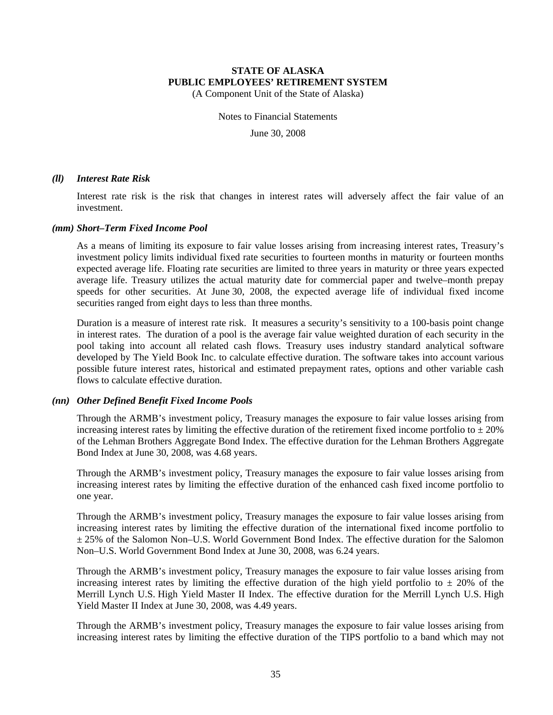(A Component Unit of the State of Alaska)

Notes to Financial Statements

June 30, 2008

#### *(ll) Interest Rate Risk*

Interest rate risk is the risk that changes in interest rates will adversely affect the fair value of an investment.

#### *(mm) Short–Term Fixed Income Pool*

As a means of limiting its exposure to fair value losses arising from increasing interest rates, Treasury's investment policy limits individual fixed rate securities to fourteen months in maturity or fourteen months expected average life. Floating rate securities are limited to three years in maturity or three years expected average life. Treasury utilizes the actual maturity date for commercial paper and twelve–month prepay speeds for other securities. At June 30, 2008, the expected average life of individual fixed income securities ranged from eight days to less than three months.

Duration is a measure of interest rate risk. It measures a security's sensitivity to a 100-basis point change in interest rates. The duration of a pool is the average fair value weighted duration of each security in the pool taking into account all related cash flows. Treasury uses industry standard analytical software developed by The Yield Book Inc. to calculate effective duration. The software takes into account various possible future interest rates, historical and estimated prepayment rates, options and other variable cash flows to calculate effective duration.

#### *(nn) Other Defined Benefit Fixed Income Pools*

Through the ARMB's investment policy, Treasury manages the exposure to fair value losses arising from increasing interest rates by limiting the effective duration of the retirement fixed income portfolio to  $\pm 20\%$ of the Lehman Brothers Aggregate Bond Index. The effective duration for the Lehman Brothers Aggregate Bond Index at June 30, 2008, was 4.68 years.

Through the ARMB's investment policy, Treasury manages the exposure to fair value losses arising from increasing interest rates by limiting the effective duration of the enhanced cash fixed income portfolio to one year.

Through the ARMB's investment policy, Treasury manages the exposure to fair value losses arising from increasing interest rates by limiting the effective duration of the international fixed income portfolio to  $\pm$  25% of the Salomon Non–U.S. World Government Bond Index. The effective duration for the Salomon Non–U.S. World Government Bond Index at June 30, 2008, was 6.24 years.

Through the ARMB's investment policy, Treasury manages the exposure to fair value losses arising from increasing interest rates by limiting the effective duration of the high yield portfolio to  $\pm$  20% of the Merrill Lynch U.S. High Yield Master II Index. The effective duration for the Merrill Lynch U.S. High Yield Master II Index at June 30, 2008, was 4.49 years.

Through the ARMB's investment policy, Treasury manages the exposure to fair value losses arising from increasing interest rates by limiting the effective duration of the TIPS portfolio to a band which may not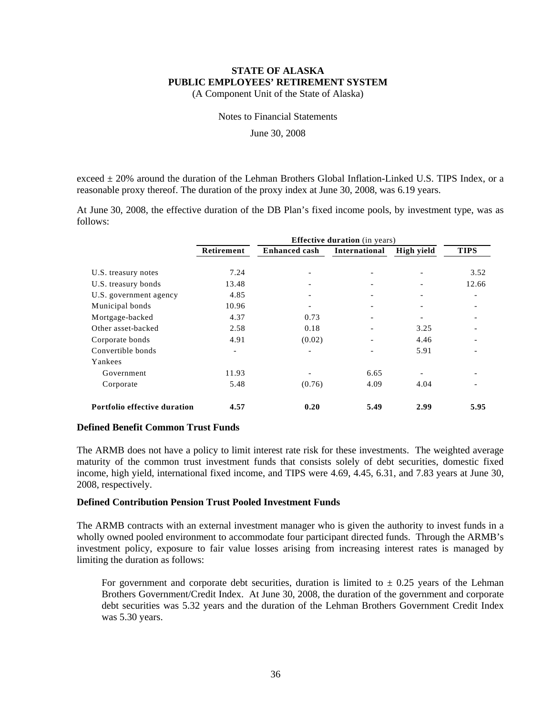(A Component Unit of the State of Alaska)

Notes to Financial Statements

June 30, 2008

exceed  $\pm$  20% around the duration of the Lehman Brothers Global Inflation-Linked U.S. TIPS Index, or a reasonable proxy thereof. The duration of the proxy index at June 30, 2008, was 6.19 years.

At June 30, 2008, the effective duration of the DB Plan's fixed income pools, by investment type, was as follows:

|                                            | <b>Effective duration</b> (in years) |                      |                          |                          |               |  |  |
|--------------------------------------------|--------------------------------------|----------------------|--------------------------|--------------------------|---------------|--|--|
|                                            | Retirement                           | <b>Enhanced cash</b> | International            | High yield               | <b>TIPS</b>   |  |  |
| U.S. treasury notes<br>U.S. treasury bonds | 7.24<br>13.48                        |                      | $\overline{\phantom{a}}$ |                          | 3.52<br>12.66 |  |  |
| U.S. government agency                     | 4.85                                 |                      |                          |                          |               |  |  |
| Municipal bonds                            | 10.96                                |                      |                          |                          |               |  |  |
| Mortgage-backed                            | 4.37                                 | 0.73                 | $\overline{\phantom{0}}$ | $\overline{\phantom{a}}$ |               |  |  |
| Other asset-backed                         | 2.58                                 | 0.18                 |                          | 3.25                     |               |  |  |
| Corporate bonds                            | 4.91                                 | (0.02)               |                          | 4.46                     |               |  |  |
| Convertible bonds                          | $\overline{\phantom{a}}$             | -                    | $\overline{\phantom{0}}$ | 5.91                     |               |  |  |
| Yankees                                    |                                      |                      |                          |                          |               |  |  |
| Government                                 | 11.93                                |                      | 6.65                     |                          |               |  |  |
| Corporate                                  | 5.48                                 | (0.76)               | 4.09                     | 4.04                     |               |  |  |
| Portfolio effective duration               | 4.57                                 | 0.20                 | 5.49                     | 2.99                     | 5.95          |  |  |

#### **Defined Benefit Common Trust Funds**

The ARMB does not have a policy to limit interest rate risk for these investments. The weighted average maturity of the common trust investment funds that consists solely of debt securities, domestic fixed income, high yield, international fixed income, and TIPS were 4.69, 4.45, 6.31, and 7.83 years at June 30, 2008, respectively.

#### **Defined Contribution Pension Trust Pooled Investment Funds**

The ARMB contracts with an external investment manager who is given the authority to invest funds in a wholly owned pooled environment to accommodate four participant directed funds. Through the ARMB's investment policy, exposure to fair value losses arising from increasing interest rates is managed by limiting the duration as follows:

For government and corporate debt securities, duration is limited to  $\pm$  0.25 years of the Lehman Brothers Government/Credit Index. At June 30, 2008, the duration of the government and corporate debt securities was 5.32 years and the duration of the Lehman Brothers Government Credit Index was 5.30 years.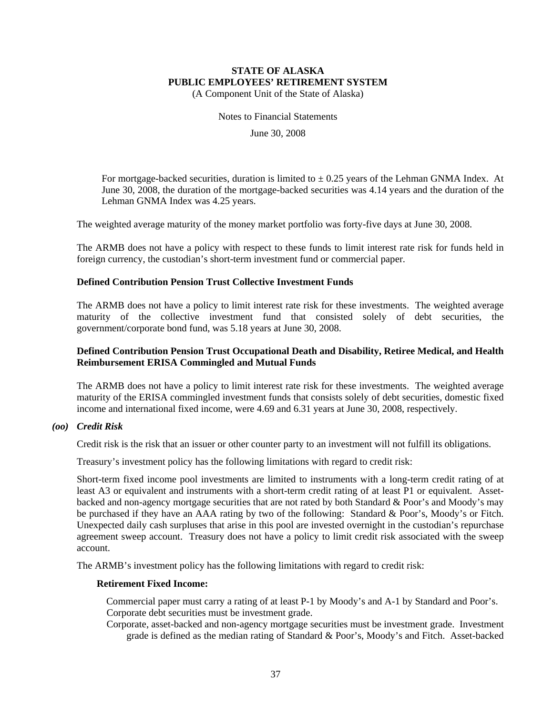(A Component Unit of the State of Alaska)

Notes to Financial Statements

June 30, 2008

For mortgage-backed securities, duration is limited to  $\pm$  0.25 years of the Lehman GNMA Index. At June 30, 2008, the duration of the mortgage-backed securities was 4.14 years and the duration of the Lehman GNMA Index was 4.25 years.

The weighted average maturity of the money market portfolio was forty-five days at June 30, 2008.

The ARMB does not have a policy with respect to these funds to limit interest rate risk for funds held in foreign currency, the custodian's short-term investment fund or commercial paper.

#### **Defined Contribution Pension Trust Collective Investment Funds**

The ARMB does not have a policy to limit interest rate risk for these investments. The weighted average maturity of the collective investment fund that consisted solely of debt securities, the government/corporate bond fund, was 5.18 years at June 30, 2008.

#### **Defined Contribution Pension Trust Occupational Death and Disability, Retiree Medical, and Health Reimbursement ERISA Commingled and Mutual Funds**

The ARMB does not have a policy to limit interest rate risk for these investments. The weighted average maturity of the ERISA commingled investment funds that consists solely of debt securities, domestic fixed income and international fixed income, were 4.69 and 6.31 years at June 30, 2008, respectively.

#### *(oo) Credit Risk*

Credit risk is the risk that an issuer or other counter party to an investment will not fulfill its obligations.

Treasury's investment policy has the following limitations with regard to credit risk:

Short-term fixed income pool investments are limited to instruments with a long-term credit rating of at least A3 or equivalent and instruments with a short-term credit rating of at least P1 or equivalent. Assetbacked and non-agency mortgage securities that are not rated by both Standard & Poor's and Moody's may be purchased if they have an AAA rating by two of the following: Standard & Poor's, Moody's or Fitch. Unexpected daily cash surpluses that arise in this pool are invested overnight in the custodian's repurchase agreement sweep account. Treasury does not have a policy to limit credit risk associated with the sweep account.

The ARMB's investment policy has the following limitations with regard to credit risk:

#### **Retirement Fixed Income:**

Commercial paper must carry a rating of at least P-1 by Moody's and A-1 by Standard and Poor's. Corporate debt securities must be investment grade.

Corporate, asset-backed and non-agency mortgage securities must be investment grade. Investment grade is defined as the median rating of Standard & Poor's, Moody's and Fitch. Asset-backed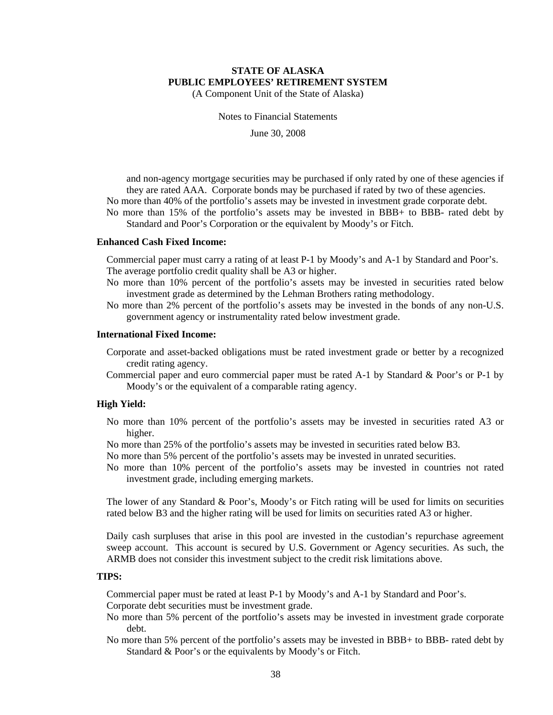(A Component Unit of the State of Alaska)

Notes to Financial Statements

June 30, 2008

and non-agency mortgage securities may be purchased if only rated by one of these agencies if they are rated AAA. Corporate bonds may be purchased if rated by two of these agencies. No more than 40% of the portfolio's assets may be invested in investment grade corporate debt. No more than 15% of the portfolio's assets may be invested in BBB+ to BBB- rated debt by

Standard and Poor's Corporation or the equivalent by Moody's or Fitch.

#### **Enhanced Cash Fixed Income:**

Commercial paper must carry a rating of at least P-1 by Moody's and A-1 by Standard and Poor's. The average portfolio credit quality shall be A3 or higher.

- No more than 10% percent of the portfolio's assets may be invested in securities rated below investment grade as determined by the Lehman Brothers rating methodology.
- No more than 2% percent of the portfolio's assets may be invested in the bonds of any non-U.S. government agency or instrumentality rated below investment grade.

#### **International Fixed Income:**

- Corporate and asset-backed obligations must be rated investment grade or better by a recognized credit rating agency.
- Commercial paper and euro commercial paper must be rated A-1 by Standard & Poor's or P-1 by Moody's or the equivalent of a comparable rating agency.

#### **High Yield:**

- No more than 10% percent of the portfolio's assets may be invested in securities rated A3 or higher.
- No more than 25% of the portfolio's assets may be invested in securities rated below B3.
- No more than 5% percent of the portfolio's assets may be invested in unrated securities.
- No more than 10% percent of the portfolio's assets may be invested in countries not rated investment grade, including emerging markets.

The lower of any Standard & Poor's, Moody's or Fitch rating will be used for limits on securities rated below B3 and the higher rating will be used for limits on securities rated A3 or higher.

Daily cash surpluses that arise in this pool are invested in the custodian's repurchase agreement sweep account. This account is secured by U.S. Government or Agency securities. As such, the ARMB does not consider this investment subject to the credit risk limitations above.

#### **TIPS:**

Commercial paper must be rated at least P-1 by Moody's and A-1 by Standard and Poor's.

Corporate debt securities must be investment grade.

- No more than 5% percent of the portfolio's assets may be invested in investment grade corporate debt.
- No more than 5% percent of the portfolio's assets may be invested in BBB+ to BBB- rated debt by Standard & Poor's or the equivalents by Moody's or Fitch.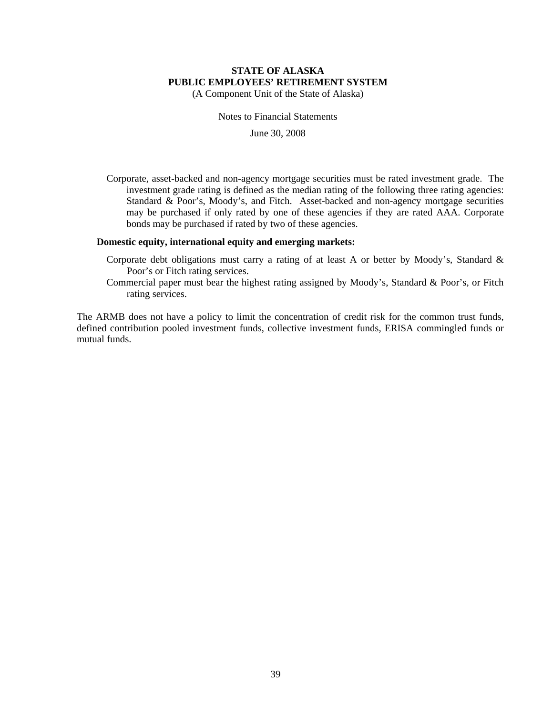(A Component Unit of the State of Alaska)

Notes to Financial Statements

June 30, 2008

Corporate, asset-backed and non-agency mortgage securities must be rated investment grade. The investment grade rating is defined as the median rating of the following three rating agencies: Standard & Poor's, Moody's, and Fitch. Asset-backed and non-agency mortgage securities may be purchased if only rated by one of these agencies if they are rated AAA. Corporate bonds may be purchased if rated by two of these agencies.

#### **Domestic equity, international equity and emerging markets:**

- Corporate debt obligations must carry a rating of at least A or better by Moody's, Standard & Poor's or Fitch rating services.
- Commercial paper must bear the highest rating assigned by Moody's, Standard & Poor's, or Fitch rating services.

The ARMB does not have a policy to limit the concentration of credit risk for the common trust funds, defined contribution pooled investment funds, collective investment funds, ERISA commingled funds or mutual funds.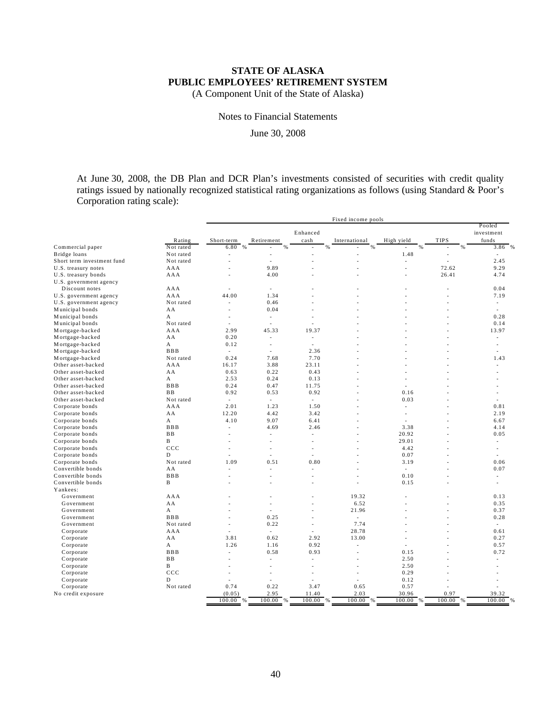(A Component Unit of the State of Alaska)

Notes to Financial Statements

June 30, 2008

At June 30, 2008, the DB Plan and DCR Plan's investments consisted of securities with credit quality ratings issued by nationally recognized statistical rating organizations as follows (using Standard & Poor's Corporation rating scale):

|                            |            | Fixed income pools       |                     |                         |                |                          |                |                     |
|----------------------------|------------|--------------------------|---------------------|-------------------------|----------------|--------------------------|----------------|---------------------|
|                            |            |                          |                     |                         |                |                          |                | Pooled              |
|                            | Rating     | Short-term               | Retirement          | Enhanced<br>cash        | International  | High yield               | <b>TIPS</b>    | investment<br>funds |
| Commercial paper           | Not rated  | 6.80<br>$\frac{9}{6}$    | %                   | %                       | $\%$           | %<br>Ĭ.                  | %              | 3.86<br>%           |
| Bridge loans               | Not rated  | ÷                        |                     |                         |                | 1.48                     | $\overline{a}$ |                     |
| Short term investment fund | Not rated  | $\overline{\phantom{a}}$ | ÷                   | $\overline{a}$          | $\overline{a}$ | $\overline{\phantom{a}}$ | $\overline{a}$ | 2.45                |
| U.S. treasury notes        | AAA        | Ĭ.                       | 9.89                |                         |                | $\overline{a}$           | 72.62          | 9.29                |
| U.S. treasury bonds        | AAA        | J.                       | 4.00                |                         |                | $\overline{a}$           | 26.41          | 4.74                |
| U.S. government agency     |            |                          |                     |                         |                |                          |                |                     |
| Discount notes             | AAA        |                          | ÷                   |                         |                |                          |                | 0.04                |
| U.S. government agency     | AAA        | 44.00                    | 1.34                |                         |                |                          | $\overline{a}$ | 7.19                |
| U.S. government agency     | Not rated  | $\overline{a}$           | 0.46                |                         |                |                          |                | ٠                   |
| Municipal bonds            | AA         | J.                       | 0.04                |                         |                |                          |                | $\overline{a}$      |
| Municipal bonds            | A          | ÷                        | L,                  | ÷                       |                |                          |                | 0.28                |
| Municipal bonds            | Not rated  | $\overline{a}$           | ÷                   | ÷                       |                |                          |                | 0.14                |
| Mortgage-backed            | AAA        | 2.99                     | 45.33               | 19.37                   |                |                          |                | 13.97               |
| Mortgage-backed            | AA         | 0.20                     | L,                  | L,                      |                |                          |                | $\overline{a}$      |
| Mortgage-backed            | A          | 0.12                     | $\overline{a}$      | $\overline{a}$          |                |                          |                | $\overline{a}$      |
| Mortgage-backed            | <b>BBB</b> | $\sim$                   | ٠                   | 2.36                    |                |                          |                |                     |
| Mortgage-backed            | Not rated  | 0.24                     | 7.68                | 7.70                    |                |                          |                | 1.43                |
| Other asset-backed         | AAA        | 16.17                    | 3.88                | 23.11                   |                |                          |                | $\overline{a}$      |
| Other asset-backed         | AA         | 0.63                     | 0.22                | 0.43                    |                |                          |                |                     |
| Other asset-backed         | A          | 2.53                     | 0.24                | 0.13                    |                | L                        |                |                     |
| Other asset-backed         | <b>BBB</b> | 0.24                     | 0.47                | 11.75                   | $\overline{a}$ | $\overline{a}$           |                |                     |
| Other asset-backed         | <b>BB</b>  | 0.92                     | 0.53                | 0.92                    |                | 0.16                     |                |                     |
| Other asset-backed         | Not rated  | $\sim$                   | $\sim$              | $\sim$                  |                | 0.03                     |                | L.                  |
| Corporate bonds            | AAA        | 2.01                     | 1.23                | 1.50                    |                | $\overline{a}$           |                | 0.81                |
| Corporate bonds            | AA         | 12.20                    | 4.42                | 3.42                    |                | L,                       |                | 2.19                |
| Corporate bonds            | A          | 4.10                     | 9.07                | 6.41                    |                | $\overline{\phantom{a}}$ |                | 6.67                |
| Corporate bonds            | <b>BBB</b> | $\sim$                   | 4.69                | 2.46                    | $\overline{a}$ | 3.38                     |                | 4.14                |
| Corporate bonds            | BB         |                          | ÷                   | ÷                       |                | 20.92                    |                | 0.05                |
| Corporate bonds            | B          | ÷                        | ÷,                  | ٠                       | $\overline{a}$ | 29.01                    |                | ٠                   |
| Corporate bonds            | ccc        | ٠                        | $\overline{a}$      | Ĭ.                      |                | 4.42                     |                | ÷                   |
| Corporate bonds            | D          |                          | Ĭ.                  | L,                      |                | 0.07                     |                | $\overline{a}$      |
| Corporate bonds            | Not rated  | 1.09                     | 0.51                | 0.80                    |                | 3.19                     |                | 0.06                |
| Convertible bonds          | AA         | $\overline{a}$           | L,                  | $\overline{a}$          |                | $\overline{\phantom{a}}$ |                | 0.07                |
| Convertible bonds          | <b>BBB</b> | ÷                        | Ĭ.                  |                         |                | 0.10                     |                | ٠                   |
| Convertible bonds          | B          | ÷                        | ÷                   | $\overline{a}$          |                | 0.15                     |                | $\overline{a}$      |
| Yankees:                   |            |                          |                     |                         |                |                          |                |                     |
| Government                 | AAA        |                          |                     |                         | 19.32          |                          |                | 0.13                |
| Government                 | AA         |                          | Ĭ.                  | ÷                       | 6.52           | ÷                        |                | 0.35                |
| Government                 | A          | ÷                        | $\overline{a}$      | $\overline{a}$          | 21.96          | $\overline{a}$           | $\overline{a}$ | 0.37                |
| Government                 | <b>BBB</b> |                          | 0.25                |                         | $\sim$         |                          |                | 0.28                |
| Government                 | Not rated  | ٠                        | 0.22                | ÷                       | 7.74           | $\overline{a}$           |                | $\overline{a}$      |
| Corporate                  | AAA        | $\overline{a}$           | ÷                   |                         | 28.78          |                          |                | 0.61                |
| Corporate                  | AA         | 3.81                     | 0.62                | 2.92                    | 13.00          |                          |                | 0.27                |
|                            | A          | 1.26                     | 1.16                | 0.92                    | $\overline{a}$ | Ĭ.                       |                | 0.57                |
| Corporate<br>Corporate     | <b>BBB</b> | $\overline{\phantom{a}}$ | 0.58                | 0.93                    | $\overline{a}$ | 0.15                     |                | 0.72                |
|                            | <b>BB</b>  | ÷                        | $\sim$              | Ĭ.                      |                | 2.50                     |                | $\overline{a}$      |
| Corporate                  |            |                          |                     |                         | $\overline{a}$ |                          |                |                     |
| Corporate                  | B<br>ccc   | ÷                        | ÷<br>$\overline{a}$ | $\overline{a}$          | ٠              | 2.50<br>0.29             |                |                     |
| Corporate                  | D          | ٠                        |                     | ÷                       | L,             |                          |                |                     |
| Corporate                  |            | 0.74                     | 0.22                |                         |                | 0.12                     |                |                     |
| Corporate                  | Not rated  | (0.05)                   | 2.95                | 3.47                    | 0.65<br>2.03   | 0.57<br>30.96            | 0.97           | 39.32               |
| No credit exposure         |            | 100.00<br>%              | $100.00\%$          | 11.40<br>100.00<br>$\%$ | $100.00\%$     | $100.00\%$               | 100.00<br>$\%$ | 100.00<br>%         |
|                            |            |                          |                     |                         |                |                          |                |                     |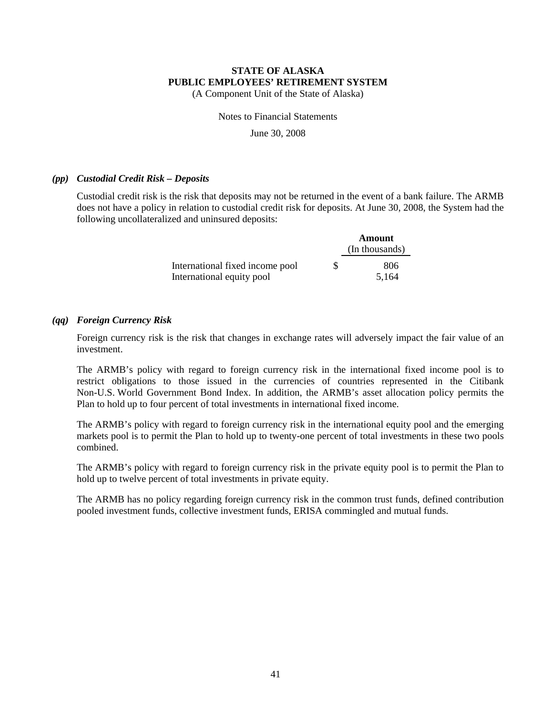(A Component Unit of the State of Alaska)

Notes to Financial Statements

June 30, 2008

#### *(pp) Custodial Credit Risk – Deposits*

Custodial credit risk is the risk that deposits may not be returned in the event of a bank failure. The ARMB does not have a policy in relation to custodial credit risk for deposits. At June 30, 2008, the System had the following uncollateralized and uninsured deposits:

|                                 |   | Amount<br>(In thousands) |
|---------------------------------|---|--------------------------|
| International fixed income pool | S | 806                      |
| International equity pool       |   | 5,164                    |

#### *(qq) Foreign Currency Risk*

Foreign currency risk is the risk that changes in exchange rates will adversely impact the fair value of an investment.

The ARMB's policy with regard to foreign currency risk in the international fixed income pool is to restrict obligations to those issued in the currencies of countries represented in the Citibank Non-U.S. World Government Bond Index. In addition, the ARMB's asset allocation policy permits the Plan to hold up to four percent of total investments in international fixed income.

The ARMB's policy with regard to foreign currency risk in the international equity pool and the emerging markets pool is to permit the Plan to hold up to twenty-one percent of total investments in these two pools combined.

The ARMB's policy with regard to foreign currency risk in the private equity pool is to permit the Plan to hold up to twelve percent of total investments in private equity.

The ARMB has no policy regarding foreign currency risk in the common trust funds, defined contribution pooled investment funds, collective investment funds, ERISA commingled and mutual funds.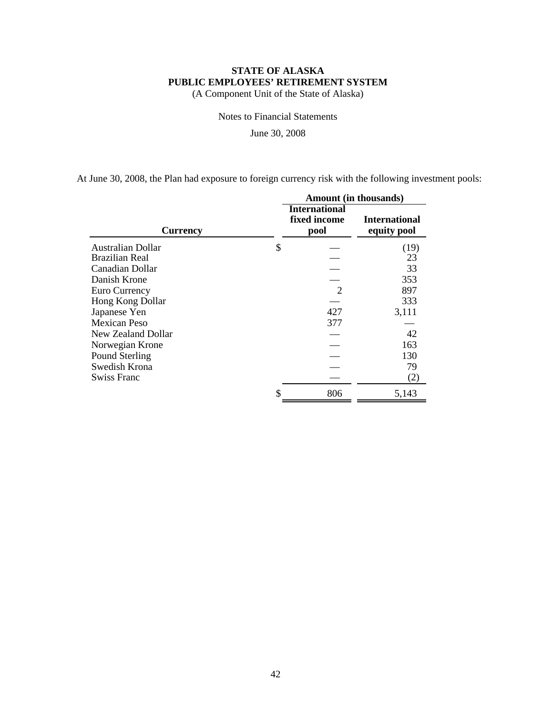(A Component Unit of the State of Alaska)

Notes to Financial Statements

June 30, 2008

At June 30, 2008, the Plan had exposure to foreign currency risk with the following investment pools:

|                     |                                              | <b>Amount</b> (in thousands)        |
|---------------------|----------------------------------------------|-------------------------------------|
| <b>Currency</b>     | <b>International</b><br>fixed income<br>pool | <b>International</b><br>equity pool |
| Australian Dollar   | \$                                           | (19)                                |
| Brazilian Real      |                                              | 23                                  |
| Canadian Dollar     |                                              | 33                                  |
| Danish Krone        |                                              | 353                                 |
| Euro Currency       | $\mathcal{D}_{\mathcal{L}}$                  | 897                                 |
| Hong Kong Dollar    |                                              | 333                                 |
| Japanese Yen        | 427                                          | 3,111                               |
| <b>Mexican Peso</b> | 377                                          |                                     |
| New Zealand Dollar  |                                              | 42                                  |
| Norwegian Krone     |                                              | 163                                 |
| Pound Sterling      |                                              | 130                                 |
| Swedish Krona       |                                              | 79                                  |
| Swiss Franc         |                                              | (2)                                 |
|                     | 806                                          | 5,143                               |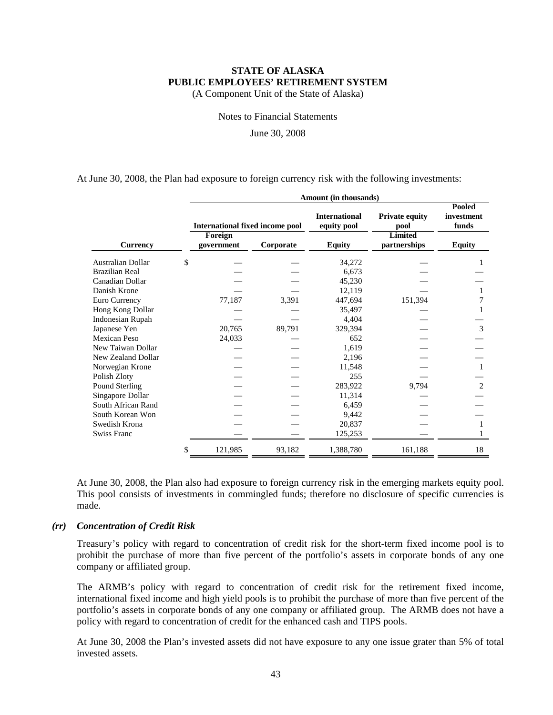(A Component Unit of the State of Alaska)

Notes to Financial Statements

June 30, 2008

At June 30, 2008, the Plan had exposure to foreign currency risk with the following investments:

|                          |                                                   | Amount (in thousands) |           |                                     |                                                 |                               |  |  |  |
|--------------------------|---------------------------------------------------|-----------------------|-----------|-------------------------------------|-------------------------------------------------|-------------------------------|--|--|--|
|                          | <b>International fixed income pool</b><br>Foreign |                       |           | <b>International</b><br>equity pool | <b>Private equity</b><br>pool<br><b>Limited</b> | Pooled<br>investment<br>funds |  |  |  |
| <b>Currency</b>          |                                                   | government            | Corporate | <b>Equity</b>                       | partnerships                                    | <b>Equity</b>                 |  |  |  |
| <b>Australian Dollar</b> | \$                                                |                       |           | 34,272                              |                                                 |                               |  |  |  |
| Brazilian Real           |                                                   |                       |           | 6,673                               |                                                 |                               |  |  |  |
| Canadian Dollar          |                                                   |                       |           | 45,230                              |                                                 |                               |  |  |  |
| Danish Krone             |                                                   |                       |           | 12,119                              |                                                 | 1                             |  |  |  |
| Euro Currency            |                                                   | 77,187                | 3,391     | 447,694                             | 151,394                                         | 7                             |  |  |  |
| Hong Kong Dollar         |                                                   |                       |           | 35,497                              |                                                 |                               |  |  |  |
| <b>Indonesian Rupah</b>  |                                                   |                       |           | 4,404                               |                                                 |                               |  |  |  |
| Japanese Yen             |                                                   | 20,765                | 89,791    | 329,394                             |                                                 | 3                             |  |  |  |
| <b>Mexican Peso</b>      |                                                   | 24,033                |           | 652                                 |                                                 |                               |  |  |  |
| New Taiwan Dollar        |                                                   |                       |           | 1,619                               |                                                 |                               |  |  |  |
| New Zealand Dollar       |                                                   |                       |           | 2,196                               |                                                 |                               |  |  |  |
| Norwegian Krone          |                                                   |                       |           | 11,548                              |                                                 | $\mathbf{1}$                  |  |  |  |
| Polish Zloty             |                                                   |                       |           | 255                                 |                                                 |                               |  |  |  |
| Pound Sterling           |                                                   |                       |           | 283,922                             | 9,794                                           | 2                             |  |  |  |
| Singapore Dollar         |                                                   |                       |           | 11,314                              |                                                 |                               |  |  |  |
| South African Rand       |                                                   |                       |           | 6,459                               |                                                 |                               |  |  |  |
| South Korean Won         |                                                   |                       |           | 9,442                               |                                                 |                               |  |  |  |
| Swedish Krona            |                                                   |                       |           | 20,837                              |                                                 | $\mathbf{1}$                  |  |  |  |
| <b>Swiss Franc</b>       |                                                   |                       |           | 125,253                             |                                                 |                               |  |  |  |
|                          | \$                                                | 121,985               | 93,182    | 1,388,780                           | 161,188                                         | 18                            |  |  |  |

At June 30, 2008, the Plan also had exposure to foreign currency risk in the emerging markets equity pool. This pool consists of investments in commingled funds; therefore no disclosure of specific currencies is made.

#### *(rr) Concentration of Credit Risk*

Treasury's policy with regard to concentration of credit risk for the short-term fixed income pool is to prohibit the purchase of more than five percent of the portfolio's assets in corporate bonds of any one company or affiliated group.

The ARMB's policy with regard to concentration of credit risk for the retirement fixed income, international fixed income and high yield pools is to prohibit the purchase of more than five percent of the portfolio's assets in corporate bonds of any one company or affiliated group. The ARMB does not have a policy with regard to concentration of credit for the enhanced cash and TIPS pools.

At June 30, 2008 the Plan's invested assets did not have exposure to any one issue grater than 5% of total invested assets.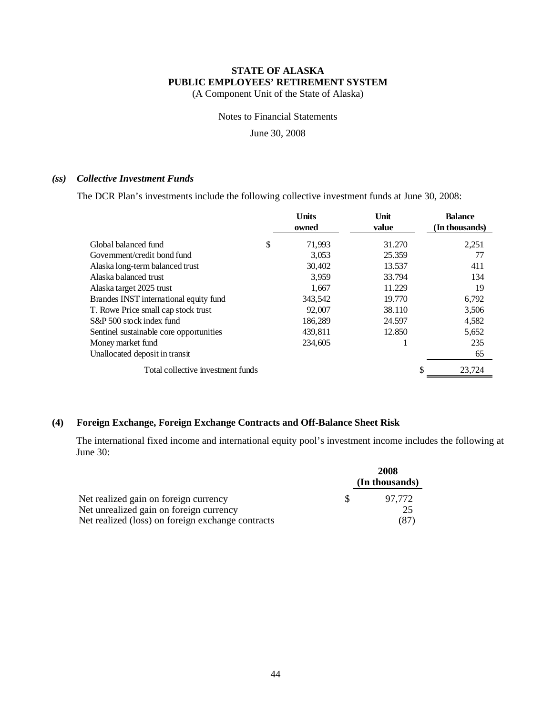(A Component Unit of the State of Alaska)

Notes to Financial Statements

June 30, 2008

#### *(ss) Collective Investment Funds*

The DCR Plan's investments include the following collective investment funds at June 30, 2008:

|                                         | <b>Units</b><br>owned | Unit<br>value | <b>Balance</b><br>(In thousands) |
|-----------------------------------------|-----------------------|---------------|----------------------------------|
| Global balanced fund                    | \$<br>71,993          | 31.270        | 2,251                            |
| Government/credit bond fund             | 3,053                 | 25.359        | 77                               |
| Alaska long-term balanced trust         | 30,402                | 13.537        | 411                              |
| Alaska balanced trust                   | 3,959                 | 33.794        | 134                              |
| Alaska target 2025 trust                | 1,667                 | 11.229        | 19                               |
| Brandes INST international equity fund  | 343,542               | 19.770        | 6,792                            |
| T. Rowe Price small cap stock trust     | 92,007                | 38.110        | 3,506                            |
| S&P 500 stock index fund                | 186,289               | 24.597        | 4,582                            |
| Sentinel sustainable core opportunities | 439,811               | 12.850        | 5,652                            |
| Money market fund                       | 234,605               |               | 235                              |
| Unallocated deposit in transit          |                       |               | 65                               |
| Total collective investment funds       |                       |               | 23,724                           |

### **(4) Foreign Exchange, Foreign Exchange Contracts and Off-Balance Sheet Risk**

The international fixed income and international equity pool's investment income includes the following at June 30:

|                                                   |     | 2008           |
|---------------------------------------------------|-----|----------------|
|                                                   |     | (In thousands) |
| Net realized gain on foreign currency             | -SS | 97.772         |
| Net unrealized gain on foreign currency           |     | 25             |
| Net realized (loss) on foreign exchange contracts |     | (87)           |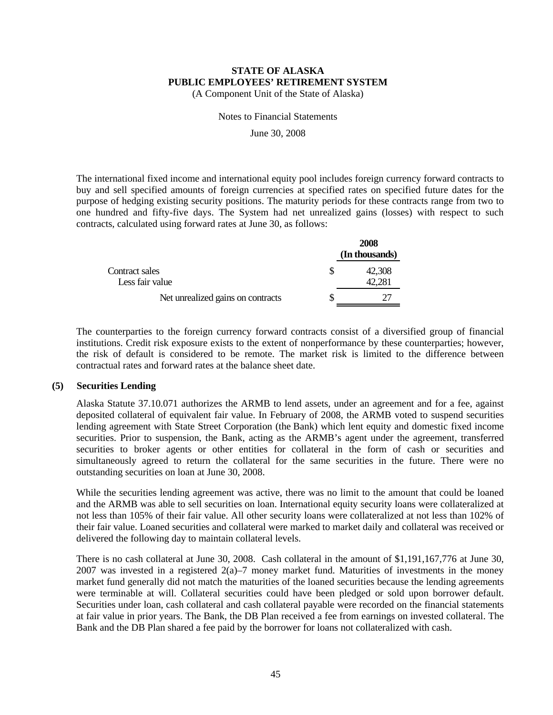(A Component Unit of the State of Alaska)

Notes to Financial Statements

June 30, 2008

The international fixed income and international equity pool includes foreign currency forward contracts to buy and sell specified amounts of foreign currencies at specified rates on specified future dates for the purpose of hedging existing security positions. The maturity periods for these contracts range from two to one hundred and fifty-five days. The System had net unrealized gains (losses) with respect to such contracts, calculated using forward rates at June 30, as follows:

|                                   | 2008<br>(In thousands) |
|-----------------------------------|------------------------|
| Contract sales<br>Less fair value | 42,308                 |
| Net unrealized gains on contracts |                        |

The counterparties to the foreign currency forward contracts consist of a diversified group of financial institutions. Credit risk exposure exists to the extent of nonperformance by these counterparties; however, the risk of default is considered to be remote. The market risk is limited to the difference between contractual rates and forward rates at the balance sheet date.

#### **(5) Securities Lending**

Alaska Statute 37.10.071 authorizes the ARMB to lend assets, under an agreement and for a fee, against deposited collateral of equivalent fair value. In February of 2008, the ARMB voted to suspend securities lending agreement with State Street Corporation (the Bank) which lent equity and domestic fixed income securities. Prior to suspension, the Bank, acting as the ARMB's agent under the agreement, transferred securities to broker agents or other entities for collateral in the form of cash or securities and simultaneously agreed to return the collateral for the same securities in the future. There were no outstanding securities on loan at June 30, 2008.

While the securities lending agreement was active, there was no limit to the amount that could be loaned and the ARMB was able to sell securities on loan. International equity security loans were collateralized at not less than 105% of their fair value. All other security loans were collateralized at not less than 102% of their fair value. Loaned securities and collateral were marked to market daily and collateral was received or delivered the following day to maintain collateral levels.

There is no cash collateral at June 30, 2008. Cash collateral in the amount of \$1,191,167,776 at June 30, 2007 was invested in a registered  $2(a)$ –7 money market fund. Maturities of investments in the money market fund generally did not match the maturities of the loaned securities because the lending agreements were terminable at will. Collateral securities could have been pledged or sold upon borrower default. Securities under loan, cash collateral and cash collateral payable were recorded on the financial statements at fair value in prior years. The Bank, the DB Plan received a fee from earnings on invested collateral. The Bank and the DB Plan shared a fee paid by the borrower for loans not collateralized with cash.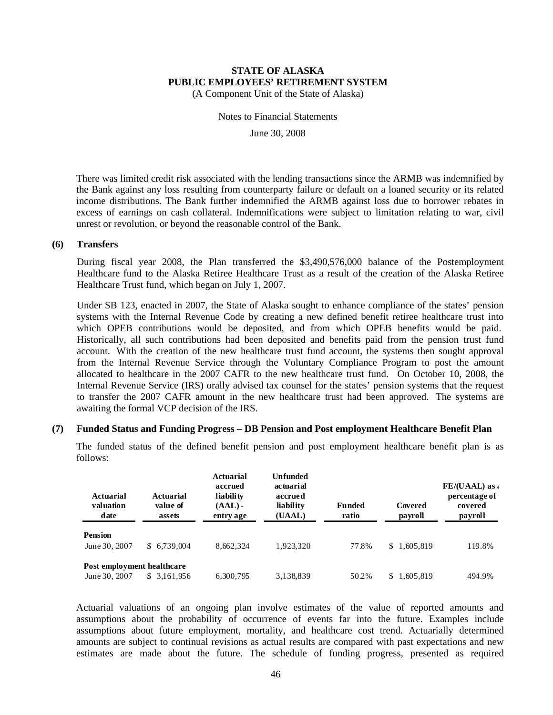(A Component Unit of the State of Alaska)

Notes to Financial Statements

June 30, 2008

There was limited credit risk associated with the lending transactions since the ARMB was indemnified by the Bank against any loss resulting from counterparty failure or default on a loaned security or its related income distributions. The Bank further indemnified the ARMB against loss due to borrower rebates in excess of earnings on cash collateral. Indemnifications were subject to limitation relating to war, civil unrest or revolution, or beyond the reasonable control of the Bank.

#### **(6) Transfers**

During fiscal year 2008, the Plan transferred the \$3,490,576,000 balance of the Postemployment Healthcare fund to the Alaska Retiree Healthcare Trust as a result of the creation of the Alaska Retiree Healthcare Trust fund, which began on July 1, 2007.

Under SB 123, enacted in 2007, the State of Alaska sought to enhance compliance of the states' pension systems with the Internal Revenue Code by creating a new defined benefit retiree healthcare trust into which OPEB contributions would be deposited, and from which OPEB benefits would be paid. Historically, all such contributions had been deposited and benefits paid from the pension trust fund account. With the creation of the new healthcare trust fund account, the systems then sought approval from the Internal Revenue Service through the Voluntary Compliance Program to post the amount allocated to healthcare in the 2007 CAFR to the new healthcare trust fund. On October 10, 2008, the Internal Revenue Service (IRS) orally advised tax counsel for the states' pension systems that the request to transfer the 2007 CAFR amount in the new healthcare trust had been approved. The systems are awaiting the formal VCP decision of the IRS.

#### **(7) Funded Status and Funding Progress – DB Pension and Post employment Healthcare Benefit Plan**

The funded status of the defined benefit pension and post employment healthcare benefit plan is as follows:

| Actuarial<br>valuation<br>date | <b>Actuarial</b><br>value of<br>assets | Actuarial<br>accrued<br>liability<br>$(AAL)$ -<br>entry age | Unfunded<br>actuarial<br>accrued<br>liability<br>(UAAL) | <b>Funded</b><br>ratio | Covered<br>payroll | FE/(UAAL) as a<br>percentage of<br>covered<br>payroll |
|--------------------------------|----------------------------------------|-------------------------------------------------------------|---------------------------------------------------------|------------------------|--------------------|-------------------------------------------------------|
| <b>Pension</b>                 |                                        |                                                             |                                                         |                        |                    |                                                       |
| June 30, 2007                  | \$6,739,004                            | 8,662,324                                                   | 1.923.320                                               | 77.8%                  | \$1,605,819        | 119.8%                                                |
| Post employment healthcare     |                                        |                                                             |                                                         |                        |                    |                                                       |
| June 30, 2007                  | \$ 3.161.956                           | 6,300,795                                                   | 3.138.839                                               | 50.2%                  | 1,605,819<br>S.    | 494.9%                                                |

Actuarial valuations of an ongoing plan involve estimates of the value of reported amounts and assumptions about the probability of occurrence of events far into the future. Examples include assumptions about future employment, mortality, and healthcare cost trend. Actuarially determined amounts are subject to continual revisions as actual results are compared with past expectations and new estimates are made about the future. The schedule of funding progress, presented as required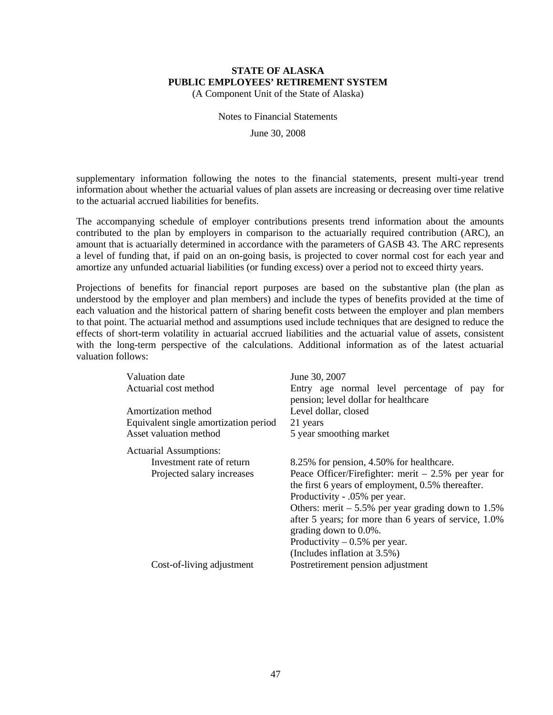(A Component Unit of the State of Alaska)

Notes to Financial Statements

June 30, 2008

supplementary information following the notes to the financial statements, present multi-year trend information about whether the actuarial values of plan assets are increasing or decreasing over time relative to the actuarial accrued liabilities for benefits.

The accompanying schedule of employer contributions presents trend information about the amounts contributed to the plan by employers in comparison to the actuarially required contribution (ARC), an amount that is actuarially determined in accordance with the parameters of GASB 43. The ARC represents a level of funding that, if paid on an on-going basis, is projected to cover normal cost for each year and amortize any unfunded actuarial liabilities (or funding excess) over a period not to exceed thirty years.

Projections of benefits for financial report purposes are based on the substantive plan (the plan as understood by the employer and plan members) and include the types of benefits provided at the time of each valuation and the historical pattern of sharing benefit costs between the employer and plan members to that point. The actuarial method and assumptions used include techniques that are designed to reduce the effects of short-term volatility in actuarial accrued liabilities and the actuarial value of assets, consistent with the long-term perspective of the calculations. Additional information as of the latest actuarial valuation follows:

| June 30, 2007                                                                           |
|-----------------------------------------------------------------------------------------|
| Entry age normal level percentage of pay<br>for<br>pension; level dollar for healthcare |
| Level dollar, closed                                                                    |
| 21 years                                                                                |
| 5 year smoothing market                                                                 |
|                                                                                         |
| 8.25% for pension, 4.50% for healthcare.                                                |
| Peace Officer/Firefighter: merit $-2.5%$ per year for                                   |
| the first 6 years of employment, 0.5% thereafter.                                       |
| Productivity - .05% per year.                                                           |
| Others: merit $-5.5\%$ per year grading down to 1.5%                                    |
| after 5 years; for more than 6 years of service, 1.0%<br>grading down to 0.0%.          |
| Productivity $-0.5%$ per year.                                                          |
| (Includes inflation at 3.5%)                                                            |
| Postretirement pension adjustment                                                       |
|                                                                                         |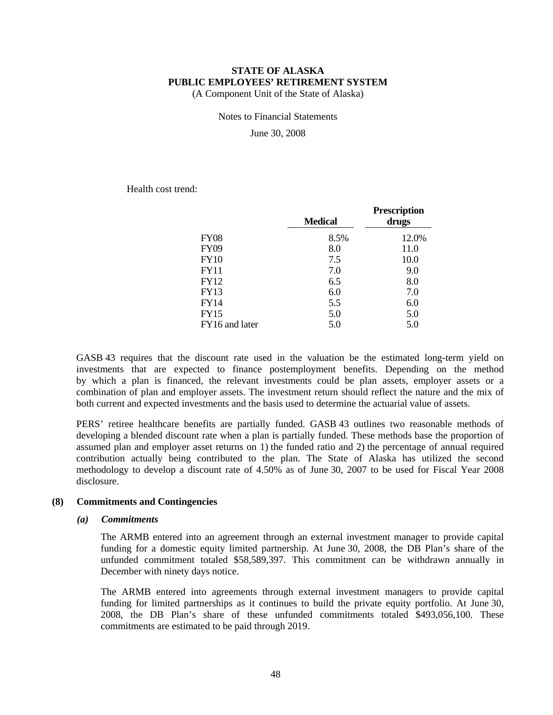(A Component Unit of the State of Alaska)

Notes to Financial Statements

June 30, 2008

Health cost trend:

|                | <b>Medical</b> | <b>Prescription</b><br>drugs |
|----------------|----------------|------------------------------|
| <b>FY08</b>    | 8.5%           | 12.0%                        |
| <b>FY09</b>    | 8.0            | 11.0                         |
| <b>FY10</b>    | 7.5            | 10.0                         |
| <b>FY11</b>    | 7.0            | 9.0                          |
| FY12           | 6.5            | 8.0                          |
| <b>FY13</b>    | 6.0            | 7.0                          |
| <b>FY14</b>    | 5.5            | 6.0                          |
| <b>FY15</b>    | 5.0            | 5.0                          |
| FY16 and later | 5.0            | 5.0                          |

GASB 43 requires that the discount rate used in the valuation be the estimated long-term yield on investments that are expected to finance postemployment benefits. Depending on the method by which a plan is financed, the relevant investments could be plan assets, employer assets or a combination of plan and employer assets. The investment return should reflect the nature and the mix of both current and expected investments and the basis used to determine the actuarial value of assets.

PERS' retiree healthcare benefits are partially funded. GASB 43 outlines two reasonable methods of developing a blended discount rate when a plan is partially funded. These methods base the proportion of assumed plan and employer asset returns on 1) the funded ratio and 2) the percentage of annual required contribution actually being contributed to the plan. The State of Alaska has utilized the second methodology to develop a discount rate of 4.50% as of June 30, 2007 to be used for Fiscal Year 2008 disclosure.

#### **(8) Commitments and Contingencies**

#### *(a) Commitments*

The ARMB entered into an agreement through an external investment manager to provide capital funding for a domestic equity limited partnership. At June 30, 2008, the DB Plan's share of the unfunded commitment totaled \$58,589,397. This commitment can be withdrawn annually in December with ninety days notice.

The ARMB entered into agreements through external investment managers to provide capital funding for limited partnerships as it continues to build the private equity portfolio. At June 30, 2008, the DB Plan's share of these unfunded commitments totaled \$493,056,100. These commitments are estimated to be paid through 2019.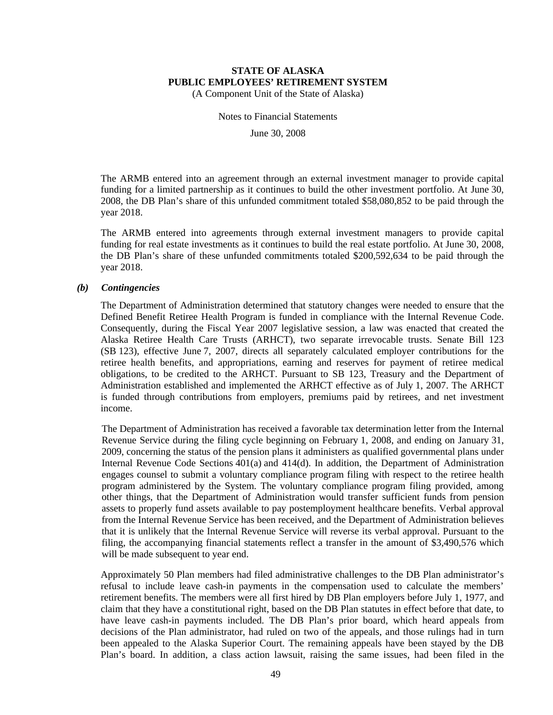(A Component Unit of the State of Alaska)

Notes to Financial Statements

June 30, 2008

The ARMB entered into an agreement through an external investment manager to provide capital funding for a limited partnership as it continues to build the other investment portfolio. At June 30, 2008, the DB Plan's share of this unfunded commitment totaled \$58,080,852 to be paid through the year 2018.

The ARMB entered into agreements through external investment managers to provide capital funding for real estate investments as it continues to build the real estate portfolio. At June 30, 2008, the DB Plan's share of these unfunded commitments totaled \$200,592,634 to be paid through the year 2018.

#### *(b) Contingencies*

The Department of Administration determined that statutory changes were needed to ensure that the Defined Benefit Retiree Health Program is funded in compliance with the Internal Revenue Code. Consequently, during the Fiscal Year 2007 legislative session, a law was enacted that created the Alaska Retiree Health Care Trusts (ARHCT), two separate irrevocable trusts. Senate Bill 123 (SB 123), effective June 7, 2007, directs all separately calculated employer contributions for the retiree health benefits, and appropriations, earning and reserves for payment of retiree medical obligations, to be credited to the ARHCT. Pursuant to SB 123, Treasury and the Department of Administration established and implemented the ARHCT effective as of July 1, 2007. The ARHCT is funded through contributions from employers, premiums paid by retirees, and net investment income.

The Department of Administration has received a favorable tax determination letter from the Internal Revenue Service during the filing cycle beginning on February 1, 2008, and ending on January 31, 2009, concerning the status of the pension plans it administers as qualified governmental plans under Internal Revenue Code Sections 401(a) and 414(d). In addition, the Department of Administration engages counsel to submit a voluntary compliance program filing with respect to the retiree health program administered by the System. The voluntary compliance program filing provided, among other things, that the Department of Administration would transfer sufficient funds from pension assets to properly fund assets available to pay postemployment healthcare benefits. Verbal approval from the Internal Revenue Service has been received, and the Department of Administration believes that it is unlikely that the Internal Revenue Service will reverse its verbal approval. Pursuant to the filing, the accompanying financial statements reflect a transfer in the amount of \$3,490,576 which will be made subsequent to year end.

Approximately 50 Plan members had filed administrative challenges to the DB Plan administrator's refusal to include leave cash-in payments in the compensation used to calculate the members' retirement benefits. The members were all first hired by DB Plan employers before July 1, 1977, and claim that they have a constitutional right, based on the DB Plan statutes in effect before that date, to have leave cash-in payments included. The DB Plan's prior board, which heard appeals from decisions of the Plan administrator, had ruled on two of the appeals, and those rulings had in turn been appealed to the Alaska Superior Court. The remaining appeals have been stayed by the DB Plan's board. In addition, a class action lawsuit, raising the same issues, had been filed in the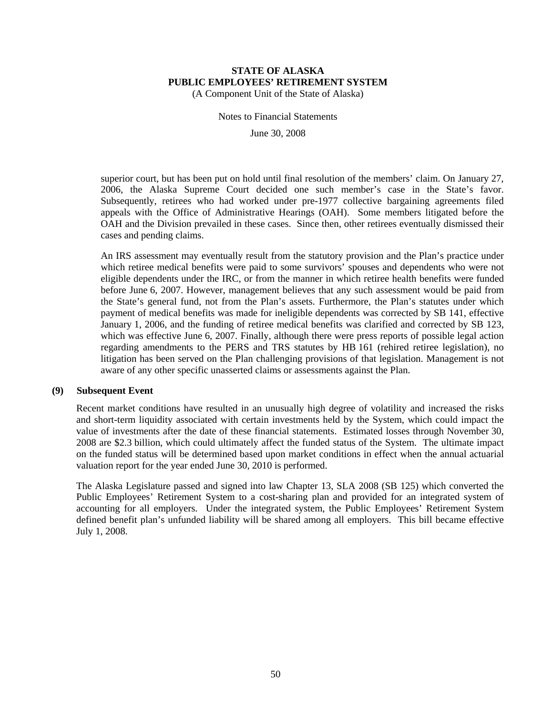(A Component Unit of the State of Alaska)

Notes to Financial Statements

June 30, 2008

superior court, but has been put on hold until final resolution of the members' claim. On January 27, 2006, the Alaska Supreme Court decided one such member's case in the State's favor. Subsequently, retirees who had worked under pre-1977 collective bargaining agreements filed appeals with the Office of Administrative Hearings (OAH). Some members litigated before the OAH and the Division prevailed in these cases. Since then, other retirees eventually dismissed their cases and pending claims.

An IRS assessment may eventually result from the statutory provision and the Plan's practice under which retiree medical benefits were paid to some survivors' spouses and dependents who were not eligible dependents under the IRC, or from the manner in which retiree health benefits were funded before June 6, 2007. However, management believes that any such assessment would be paid from the State's general fund, not from the Plan's assets. Furthermore, the Plan's statutes under which payment of medical benefits was made for ineligible dependents was corrected by SB 141, effective January 1, 2006, and the funding of retiree medical benefits was clarified and corrected by SB 123, which was effective June 6, 2007. Finally, although there were press reports of possible legal action regarding amendments to the PERS and TRS statutes by HB 161 (rehired retiree legislation), no litigation has been served on the Plan challenging provisions of that legislation. Management is not aware of any other specific unasserted claims or assessments against the Plan.

#### **(9) Subsequent Event**

Recent market conditions have resulted in an unusually high degree of volatility and increased the risks and short-term liquidity associated with certain investments held by the System, which could impact the value of investments after the date of these financial statements. Estimated losses through November 30, 2008 are \$2.3 billion, which could ultimately affect the funded status of the System. The ultimate impact on the funded status will be determined based upon market conditions in effect when the annual actuarial valuation report for the year ended June 30, 2010 is performed.

The Alaska Legislature passed and signed into law Chapter 13, SLA 2008 (SB 125) which converted the Public Employees' Retirement System to a cost-sharing plan and provided for an integrated system of accounting for all employers. Under the integrated system, the Public Employees' Retirement System defined benefit plan's unfunded liability will be shared among all employers. This bill became effective July 1, 2008.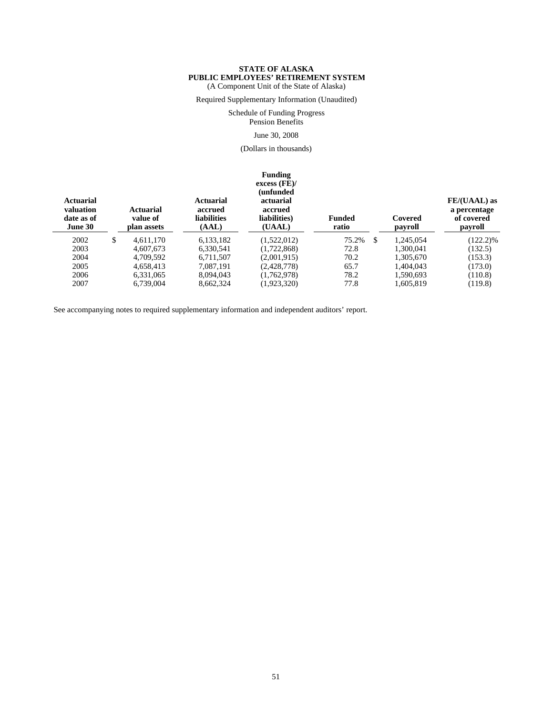#### **STATE OF ALASKA PUBLIC EMPLOYEES' RETIREMENT SYSTEM** (A Component Unit of the State of Alaska)

Required Supplementary Information (Unaudited)

Schedule of Funding Progress

Pension Benefits

#### June 30, 2008

(Dollars in thousands)

#### **Funding**

| <b>Actuarial</b><br>valuation<br>date as of<br>June 30 | <b>Actuarial</b><br>value of<br>plan assets | <b>Actuarial</b><br>accrued<br><b>liabilities</b><br>(AAL) | excess (FE)<br>unfunded)<br>actuarial<br>accrued<br>liabilities)<br>(UAAL) | <b>Funded</b><br>ratio | Covered<br>payroll | FE/(UAAL) as<br>a percentage<br>of covered<br>payroll |
|--------------------------------------------------------|---------------------------------------------|------------------------------------------------------------|----------------------------------------------------------------------------|------------------------|--------------------|-------------------------------------------------------|
| 2002                                                   | \$<br>4.611.170                             | 6,133,182                                                  | (1,522,012)                                                                | 75.2%<br>\$            | 1.245.054          | $(122.2)\%$                                           |
| 2003                                                   | 4.607.673                                   | 6,330,541                                                  | (1,722,868)                                                                | 72.8                   | 1.300.041          | (132.5)                                               |
| 2004                                                   | 4.709.592                                   | 6.711.507                                                  | (2,001,915)                                                                | 70.2                   | 1.305.670          | (153.3)                                               |
| 2005                                                   | 4,658,413                                   | 7.087.191                                                  | (2,428,778)                                                                | 65.7                   | 1,404,043          | (173.0)                                               |
| 2006                                                   | 6.331,065                                   | 8.094.043                                                  | (1.762.978)                                                                | 78.2                   | 1.590.693          | (110.8)                                               |
| 2007                                                   | 6,739,004                                   | 8,662,324                                                  | (1,923,320)                                                                | 77.8                   | 1,605,819          | (119.8)                                               |

See accompanying notes to required supplementary information and independent auditors' report.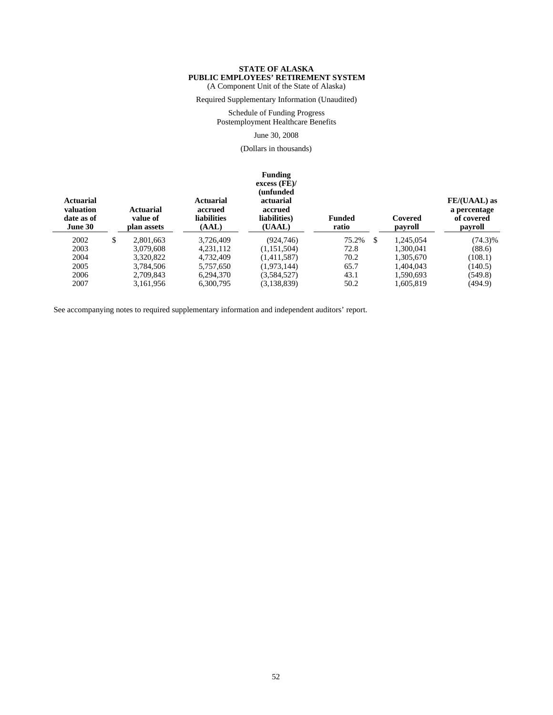#### **STATE OF ALASKA PUBLIC EMPLOYEES' RETIREMENT SYSTEM** (A Component Unit of the State of Alaska)

Required Supplementary Information (Unaudited)

Schedule of Funding Progress Postemployment Healthcare Benefits

#### June 30, 2008

(Dollars in thousands)

| <b>Actuarial</b><br>valuation<br>date as of<br>June 30 | <b>Actuarial</b><br>value of<br>plan assets | Actuarial<br>accrued<br><b>liabilities</b><br>(AAL) | <b>Funding</b><br>excess (FE)<br>(unfunded<br>actuarial<br>accrued<br>liabilities)<br>(UAAL) | <b>Funded</b><br>ratio |     | Covered<br>payroll | FE/(UAAL) as<br>a percentage<br>of covered<br>payroll |
|--------------------------------------------------------|---------------------------------------------|-----------------------------------------------------|----------------------------------------------------------------------------------------------|------------------------|-----|--------------------|-------------------------------------------------------|
| 2002                                                   | \$<br>2,801,663                             | 3,726,409                                           | (924, 746)                                                                                   | 75.2%                  | \$. | 1,245,054          | $(74.3)\%$                                            |
| 2003                                                   | 3.079.608                                   | 4.231.112                                           | (1,151,504)                                                                                  | 72.8                   |     | 1,300,041          | (88.6)                                                |
| 2004                                                   | 3.320.822                                   | 4,732,409                                           | (1,411,587)                                                                                  | 70.2                   |     | 1,305,670          | (108.1)                                               |
| 2005                                                   | 3,784,506                                   | 5,757,650                                           | (1,973,144)                                                                                  | 65.7                   |     | 1,404,043          | (140.5)                                               |
| 2006                                                   | 2.709.843                                   | 6.294.370                                           | (3,584,527)                                                                                  | 43.1                   |     | 1,590,693          | (549.8)                                               |
| 2007                                                   | 3,161,956                                   | 6,300,795                                           | (3,138,839)                                                                                  | 50.2                   |     | 1,605,819          | (494.9)                                               |

See accompanying notes to required supplementary information and independent auditors' report.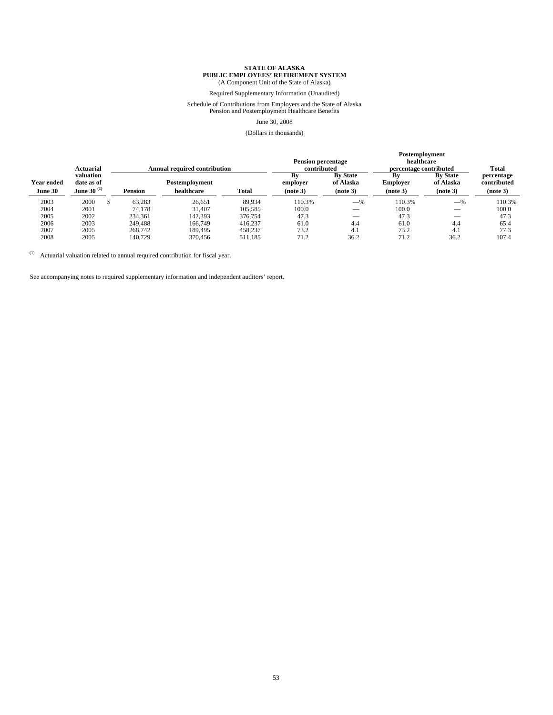# **STATE OF ALASKA<br><b>PUBLIC EMPLOYEES' RETIREMENT SYSTEM**<br>(A Component Unit of the State of Alaska)

Required Supplementary Information (Unaudited)

### Schedule of Contributions from Employers and the State of Alaska Pension and Postemployment Healthcare Benefits

#### June 30, 2008

#### (Dollars in thousands)

|            |                         |                |                                     |              |                                          |                              | Postemployment                       |                              |                           |
|------------|-------------------------|----------------|-------------------------------------|--------------|------------------------------------------|------------------------------|--------------------------------------|------------------------------|---------------------------|
|            | Actuarial               |                | <b>Annual required contribution</b> |              | <b>Pension percentage</b><br>contributed |                              | healthcare<br>percentage contributed |                              | Total                     |
| Year ended | valuation<br>date as of |                | Postemployment                      |              | Bv<br>employer                           | <b>By State</b><br>of Alaska | Bv<br><b>Employer</b>                | <b>By State</b><br>of Alaska | percentage<br>contributed |
| June 30    | June 30 $^{(1)}$        | <b>Pension</b> | healthcare                          | <b>Total</b> | (note 3)                                 | (note 3)                     | (note 3)                             | (note 3)                     | (note 3)                  |
| 2003       | 2000                    | 63.283         | 26.651                              | 89.934       | 110.3%                                   | $-$ %                        | 110.3%                               | $-$ %                        | 110.3%                    |
| 2004       | 2001                    | 74.178         | 31.407                              | 105.585      | 100.0                                    | __                           | 100.0                                |                              | 100.0                     |
| 2005       | 2002                    | 234.361        | 142,393                             | 376,754      | 47.3                                     | $\overline{\phantom{a}}$     | 47.3                                 | $\overline{\phantom{a}}$     | 47.3                      |
| 2006       | 2003                    | 249,488        | 166,749                             | 416.237      | 61.0                                     | 4.4                          | 61.0                                 | 4.4                          | 65.4                      |
| 2007       | 2005                    | 268,742        | 189.495                             | 458,237      | 73.2                                     | 4.1                          | 73.2                                 | 4.1                          | 77.3                      |
| 2008       | 2005                    | 140,729        | 370,456                             | 511.185      | 71.2                                     | 36.2                         | 71.2                                 | 36.2                         | 107.4                     |

 $(1)$  Actuarial valuation related to annual required contribution for fiscal year.

See accompanying notes to required supplementary information and independent auditors' report.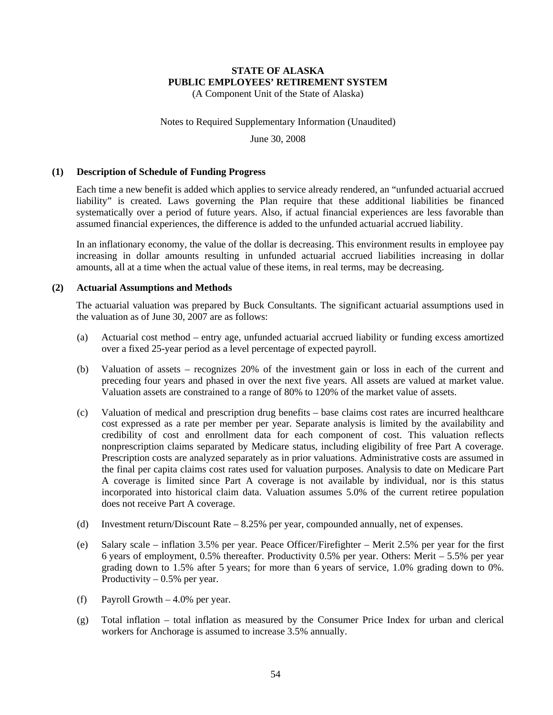(A Component Unit of the State of Alaska)

#### Notes to Required Supplementary Information (Unaudited)

June 30, 2008

#### **(1) Description of Schedule of Funding Progress**

Each time a new benefit is added which applies to service already rendered, an "unfunded actuarial accrued liability" is created. Laws governing the Plan require that these additional liabilities be financed systematically over a period of future years. Also, if actual financial experiences are less favorable than assumed financial experiences, the difference is added to the unfunded actuarial accrued liability.

In an inflationary economy, the value of the dollar is decreasing. This environment results in employee pay increasing in dollar amounts resulting in unfunded actuarial accrued liabilities increasing in dollar amounts, all at a time when the actual value of these items, in real terms, may be decreasing.

#### **(2) Actuarial Assumptions and Methods**

The actuarial valuation was prepared by Buck Consultants. The significant actuarial assumptions used in the valuation as of June 30, 2007 are as follows:

- (a) Actuarial cost method entry age, unfunded actuarial accrued liability or funding excess amortized over a fixed 25-year period as a level percentage of expected payroll.
- (b) Valuation of assets recognizes 20% of the investment gain or loss in each of the current and preceding four years and phased in over the next five years. All assets are valued at market value. Valuation assets are constrained to a range of 80% to 120% of the market value of assets.
- (c) Valuation of medical and prescription drug benefits base claims cost rates are incurred healthcare cost expressed as a rate per member per year. Separate analysis is limited by the availability and credibility of cost and enrollment data for each component of cost. This valuation reflects nonprescription claims separated by Medicare status, including eligibility of free Part A coverage. Prescription costs are analyzed separately as in prior valuations. Administrative costs are assumed in the final per capita claims cost rates used for valuation purposes. Analysis to date on Medicare Part A coverage is limited since Part A coverage is not available by individual, nor is this status incorporated into historical claim data. Valuation assumes 5.0% of the current retiree population does not receive Part A coverage.
- (d) Investment return/Discount Rate 8.25% per year, compounded annually, net of expenses.
- (e) Salary scale inflation 3.5% per year. Peace Officer/Firefighter Merit 2.5% per year for the first 6 years of employment, 0.5% thereafter. Productivity 0.5% per year. Others: Merit – 5.5% per year grading down to 1.5% after 5 years; for more than 6 years of service, 1.0% grading down to 0%. Productivity  $-0.5%$  per year.
- (f) Payroll Growth  $-4.0\%$  per year.
- (g) Total inflation total inflation as measured by the Consumer Price Index for urban and clerical workers for Anchorage is assumed to increase 3.5% annually.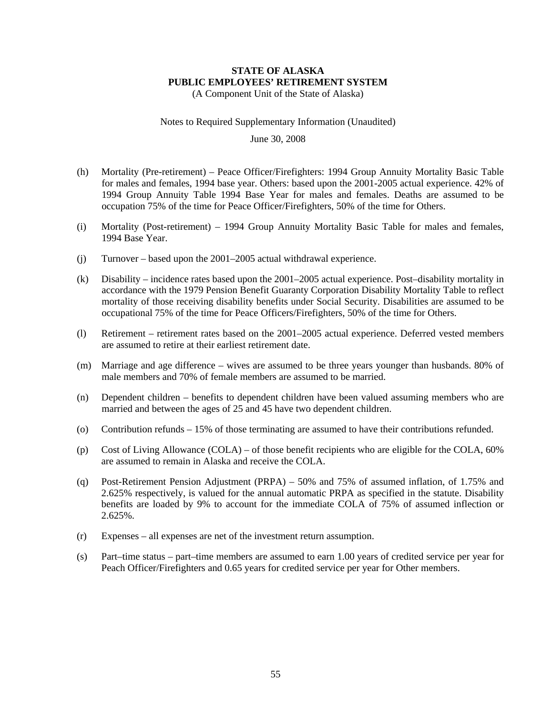#### **STATE OF ALASKA PUBLIC EMPLOYEES' RETIREMENT SYSTEM**  (A Component Unit of the State of Alaska)

Notes to Required Supplementary Information (Unaudited)

#### June 30, 2008

- (h) Mortality (Pre-retirement) Peace Officer/Firefighters: 1994 Group Annuity Mortality Basic Table for males and females, 1994 base year. Others: based upon the 2001-2005 actual experience. 42% of 1994 Group Annuity Table 1994 Base Year for males and females. Deaths are assumed to be occupation 75% of the time for Peace Officer/Firefighters, 50% of the time for Others.
- (i) Mortality (Post-retirement) 1994 Group Annuity Mortality Basic Table for males and females, 1994 Base Year.
- (j) Turnover based upon the 2001–2005 actual withdrawal experience.
- (k) Disability incidence rates based upon the 2001–2005 actual experience. Post–disability mortality in accordance with the 1979 Pension Benefit Guaranty Corporation Disability Mortality Table to reflect mortality of those receiving disability benefits under Social Security. Disabilities are assumed to be occupational 75% of the time for Peace Officers/Firefighters, 50% of the time for Others.
- (l) Retirement retirement rates based on the 2001–2005 actual experience. Deferred vested members are assumed to retire at their earliest retirement date.
- (m) Marriage and age difference wives are assumed to be three years younger than husbands. 80% of male members and 70% of female members are assumed to be married.
- (n) Dependent children benefits to dependent children have been valued assuming members who are married and between the ages of 25 and 45 have two dependent children.
- (o) Contribution refunds 15% of those terminating are assumed to have their contributions refunded.
- (p) Cost of Living Allowance (COLA) of those benefit recipients who are eligible for the COLA, 60% are assumed to remain in Alaska and receive the COLA.
- (q) Post-Retirement Pension Adjustment (PRPA) 50% and 75% of assumed inflation, of 1.75% and 2.625% respectively, is valued for the annual automatic PRPA as specified in the statute. Disability benefits are loaded by 9% to account for the immediate COLA of 75% of assumed inflection or 2.625%.
- (r) Expenses all expenses are net of the investment return assumption.
- (s) Part–time status part–time members are assumed to earn 1.00 years of credited service per year for Peach Officer/Firefighters and 0.65 years for credited service per year for Other members.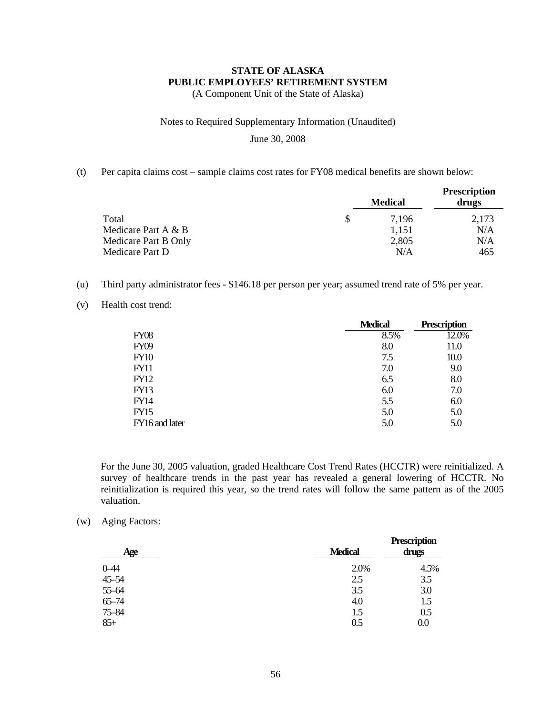#### **STATE OF ALASKA PUBLIC EMPLOYEES' RETIREMENT SYSTEM**  (A Component Unit of the State of Alaska)

#### Notes to Required Supplementary Information (Unaudited)

#### June 30, 2008

(t) Per capita claims cost – sample claims cost rates for FY08 medical benefits are shown below:

|                      | <b>Medical</b> | <b>Prescription</b><br>drugs |
|----------------------|----------------|------------------------------|
| Total                | \$<br>7.196    | 2,173                        |
| Medicare Part A & B  | 1.151          | N/A                          |
| Medicare Part B Only | 2,805          | N/A                          |
| Medicare Part D      | N/A            | 465                          |

- (u) Third party administrator fees \$146.18 per person per year; assumed trend rate of 5% per year.
- (v) Health cost trend:

|                | <b>Medical</b> | Prescription |
|----------------|----------------|--------------|
| <b>FY08</b>    | 8.5%           | 12.0%        |
| <b>FY09</b>    | 8.0            | 11.0         |
| <b>FY10</b>    | 7.5            | 10.0         |
| <b>FY11</b>    | 7.0            | 9.0          |
| <b>FY12</b>    | 6.5            | 8.0          |
| <b>FY13</b>    | 6.0            | 7.0          |
| FY14           | 5.5            | 6.0          |
| <b>FY15</b>    | 5.0            | 5.0          |
| FY16 and later | 5.0            | 5.0          |

For the June 30, 2005 valuation, graded Healthcare Cost Trend Rates (HCCTR) were reinitialized. A survey of healthcare trends in the past year has revealed a general lowering of HCCTR. No reinitialization is required this year, so the trend rates will follow the same pattern as of the 2005 valuation.

(w) Aging Factors:

| Age       | <b>Medical</b> | <b>Prescription</b><br>drugs |
|-----------|----------------|------------------------------|
| $0 - 44$  | 2.0%           | 4.5%                         |
| 45-54     | 2.5            | 3.5                          |
| 55-64     | 3.5            | 3.0                          |
| $65 - 74$ | 4.0            | 1.5                          |
| $75 - 84$ | 1.5            | 0.5                          |
| $85+$     | 0.5            | 0.0                          |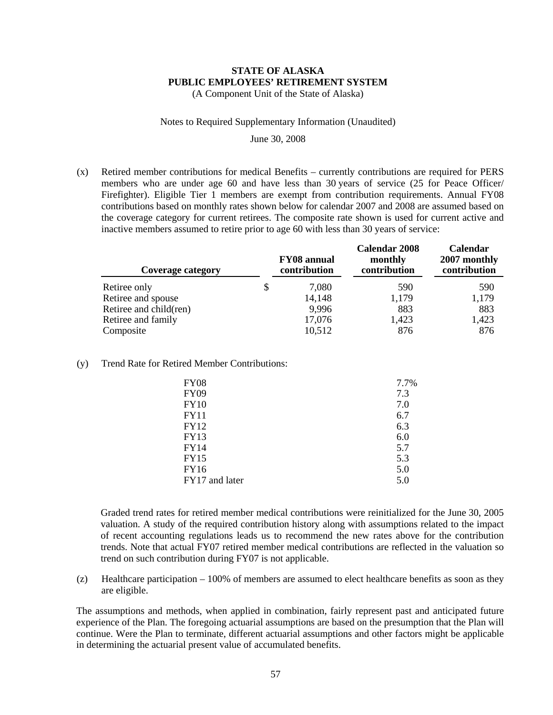(A Component Unit of the State of Alaska)

#### Notes to Required Supplementary Information (Unaudited)

#### June 30, 2008

(x) Retired member contributions for medical Benefits – currently contributions are required for PERS members who are under age 60 and have less than 30 years of service (25 for Peace Officer/ Firefighter). Eligible Tier 1 members are exempt from contribution requirements. Annual FY08 contributions based on monthly rates shown below for calendar 2007 and 2008 are assumed based on the coverage category for current retirees. The composite rate shown is used for current active and inactive members assumed to retire prior to age 60 with less than 30 years of service:

| Coverage category      | <b>FY08</b> annual<br>contribution | <b>Calendar 2008</b><br>monthly<br>contribution | Calendar<br>2007 monthly<br>contribution |
|------------------------|------------------------------------|-------------------------------------------------|------------------------------------------|
| Retiree only           | \$<br>7,080                        | 590                                             | 590                                      |
| Retiree and spouse     | 14,148                             | 1,179                                           | 1,179                                    |
| Retiree and child(ren) | 9,996                              | 883                                             | 883                                      |
| Retiree and family     | 17,076                             | 1,423                                           | 1,423                                    |
| Composite              | 10,512                             | 876                                             | 876                                      |

#### (y) Trend Rate for Retired Member Contributions:

| <b>FY08</b><br>7.7%<br><b>FY09</b><br><b>FY10</b> | 7.3               |
|---------------------------------------------------|-------------------|
| <b>FY11</b><br>FY12                               | 7.0<br>6.7<br>6.3 |
| <b>FY13</b>                                       | 6.0               |
| <b>FY14</b>                                       | 5.7               |
| <b>FY15</b>                                       | 5.3               |
| <b>FY16</b>                                       | 5.0               |
| FY17 and later                                    | 5.0               |

Graded trend rates for retired member medical contributions were reinitialized for the June 30, 2005 valuation. A study of the required contribution history along with assumptions related to the impact of recent accounting regulations leads us to recommend the new rates above for the contribution trends. Note that actual FY07 retired member medical contributions are reflected in the valuation so trend on such contribution during FY07 is not applicable.

(z) Healthcare participation – 100% of members are assumed to elect healthcare benefits as soon as they are eligible.

The assumptions and methods, when applied in combination, fairly represent past and anticipated future experience of the Plan. The foregoing actuarial assumptions are based on the presumption that the Plan will continue. Were the Plan to terminate, different actuarial assumptions and other factors might be applicable in determining the actuarial present value of accumulated benefits.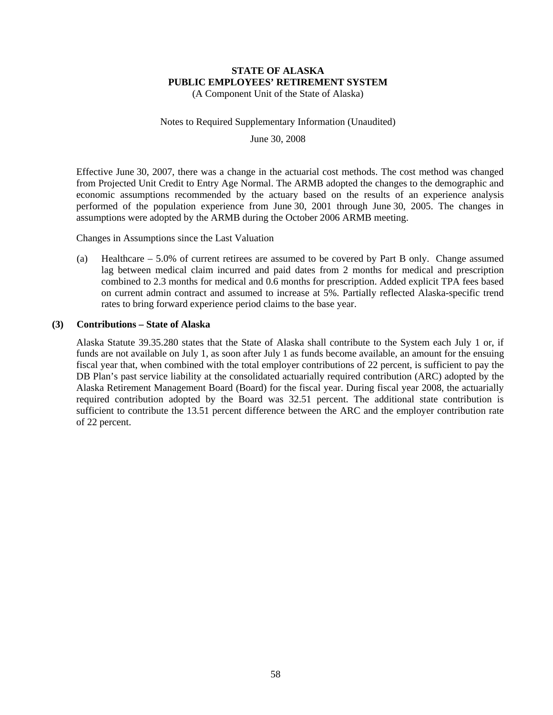#### **STATE OF ALASKA PUBLIC EMPLOYEES' RETIREMENT SYSTEM**  (A Component Unit of the State of Alaska)

#### Notes to Required Supplementary Information (Unaudited)

June 30, 2008

Effective June 30, 2007, there was a change in the actuarial cost methods. The cost method was changed from Projected Unit Credit to Entry Age Normal. The ARMB adopted the changes to the demographic and economic assumptions recommended by the actuary based on the results of an experience analysis performed of the population experience from June 30, 2001 through June 30, 2005. The changes in assumptions were adopted by the ARMB during the October 2006 ARMB meeting.

Changes in Assumptions since the Last Valuation

(a) Healthcare – 5.0% of current retirees are assumed to be covered by Part B only. Change assumed lag between medical claim incurred and paid dates from 2 months for medical and prescription combined to 2.3 months for medical and 0.6 months for prescription. Added explicit TPA fees based on current admin contract and assumed to increase at 5%. Partially reflected Alaska-specific trend rates to bring forward experience period claims to the base year.

#### **(3) Contributions – State of Alaska**

Alaska Statute 39.35.280 states that the State of Alaska shall contribute to the System each July 1 or, if funds are not available on July 1, as soon after July 1 as funds become available, an amount for the ensuing fiscal year that, when combined with the total employer contributions of 22 percent, is sufficient to pay the DB Plan's past service liability at the consolidated actuarially required contribution (ARC) adopted by the Alaska Retirement Management Board (Board) for the fiscal year. During fiscal year 2008, the actuarially required contribution adopted by the Board was 32.51 percent. The additional state contribution is sufficient to contribute the 13.51 percent difference between the ARC and the employer contribution rate of 22 percent.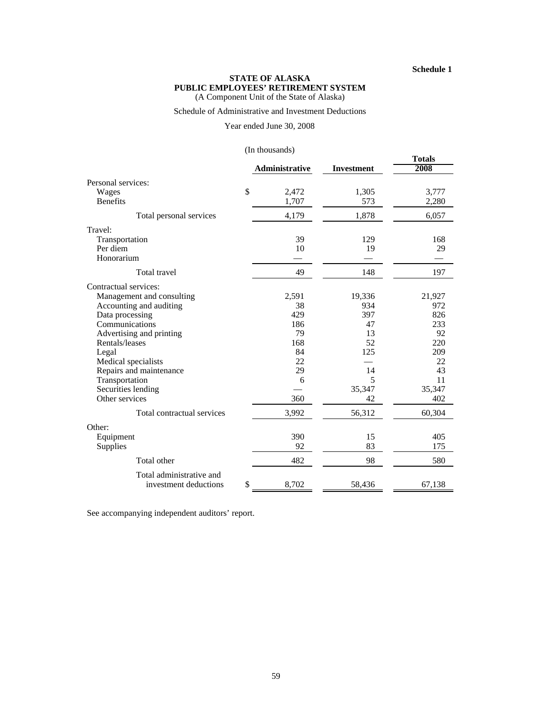#### **Schedule 1**

#### **STATE OF ALASKA PUBLIC EMPLOYEES' RETIREMENT SYSTEM** (A Component Unit of the State of Alaska)

### Schedule of Administrative and Investment Deductions

#### Year ended June 30, 2008

#### (In thousands)

|                             | $(III$ unousanus) |                   |                       |
|-----------------------------|-------------------|-------------------|-----------------------|
|                             | Administrative    | <b>Investment</b> | <b>Totals</b><br>2008 |
| Personal services:          |                   |                   |                       |
| \$<br>Wages                 | 2,472             | 1,305             | 3,777                 |
| <b>Benefits</b>             | 1,707             | 573               | 2,280                 |
| Total personal services     | 4,179             | 1,878             | 6,057                 |
| Travel:                     |                   |                   |                       |
| Transportation              | 39                | 129               | 168                   |
| Per diem                    | 10                | 19                | 29                    |
| Honorarium                  |                   |                   |                       |
| Total travel                | 49                | 148               | 197                   |
| Contractual services:       |                   |                   |                       |
| Management and consulting   | 2,591             | 19,336            | 21,927                |
| Accounting and auditing     | 38                | 934               | 972                   |
| Data processing             | 429               | 397               | 826                   |
| Communications              | 186               | 47                | 233                   |
| Advertising and printing    | 79                | 13                | 92                    |
| Rentals/leases              | 168               | 52                | 220                   |
| Legal                       | 84                | 125               | 209                   |
| Medical specialists         | 22                |                   | 22                    |
| Repairs and maintenance     | 29                | 14                | 43                    |
| Transportation              | 6                 | 5                 | 11                    |
| Securities lending          |                   | 35,347            | 35,347                |
| Other services              | 360               | 42                | 402                   |
| Total contractual services  | 3,992             | 56,312            | 60,304                |
| Other:                      |                   |                   |                       |
| Equipment                   | 390               | 15                | 405                   |
| Supplies                    | 92                | 83                | 175                   |
| Total other                 | 482               | 98                | 580                   |
| Total administrative and    |                   |                   |                       |
| \$<br>investment deductions | 8,702             | 58,436            | 67,138                |

See accompanying independent auditors' report.